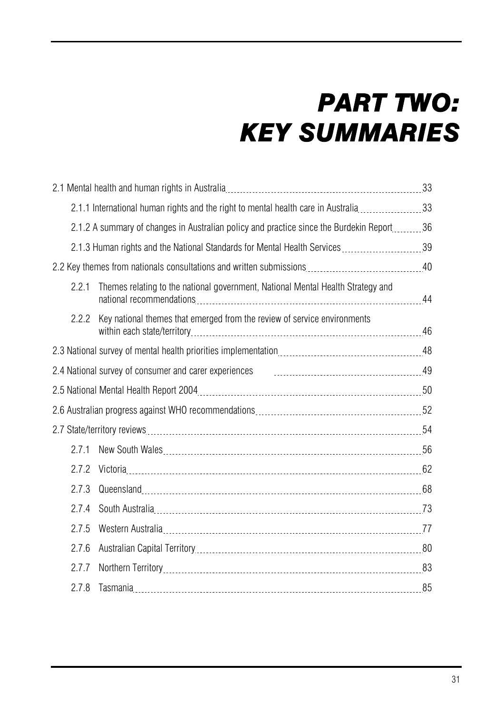# *PART TWO: KEY SUMMARIES*

|       | 2.1.1 International human rights and the right to mental health care in Australia33                 |  |
|-------|-----------------------------------------------------------------------------------------------------|--|
|       | 2.1.2 A summary of changes in Australian policy and practice since the Burdekin Report _________ 36 |  |
|       | 2.1.3 Human rights and the National Standards for Mental Health Services 39                         |  |
|       |                                                                                                     |  |
| 2.2.1 | Themes relating to the national government, National Mental Health Strategy and                     |  |
| 2.2.2 | Key national themes that emerged from the review of service environments                            |  |
|       |                                                                                                     |  |
|       |                                                                                                     |  |
|       |                                                                                                     |  |
|       |                                                                                                     |  |
|       |                                                                                                     |  |
| 2.7.1 |                                                                                                     |  |
| 2.7.2 |                                                                                                     |  |
| 2.7.3 |                                                                                                     |  |
| 2.7.4 |                                                                                                     |  |
| 2.7.5 |                                                                                                     |  |
| 2.7.6 |                                                                                                     |  |
| 2.7.7 |                                                                                                     |  |
| 2.7.8 |                                                                                                     |  |
|       |                                                                                                     |  |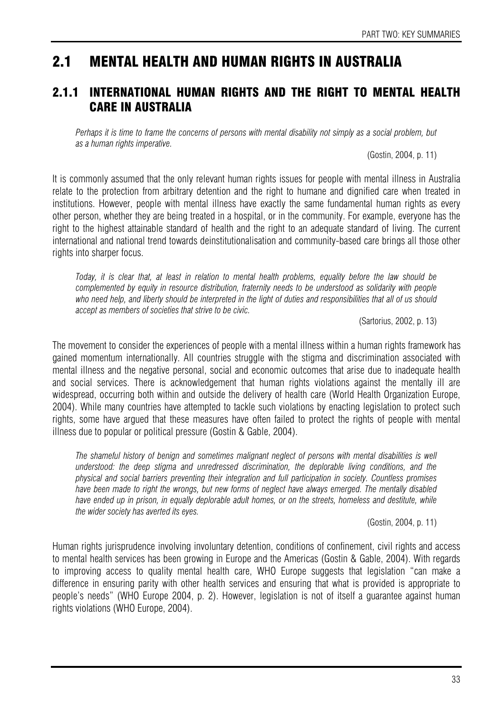# 2.1 MENTAL HEALTH AND HUMAN RIGHTS IN AUSTRALIA

## 2.1.1 INTERNATIONAL HUMAN RIGHTS AND THE RIGHT TO MENTAL HEALTH CARE IN AUSTRALIA

Perhaps it is time to frame the concerns of persons with mental disability not simply as a social problem, but *as a human rights imperative.* 

(Gostin, 2004, p. 11)

It is commonly assumed that the only relevant human rights issues for people with mental illness in Australia relate to the protection from arbitrary detention and the right to humane and dignified care when treated in institutions. However, people with mental illness have exactly the same fundamental human rights as every other person, whether they are being treated in a hospital, or in the community. For example, everyone has the right to the highest attainable standard of health and the right to an adequate standard of living. The current international and national trend towards deinstitutionalisation and community-based care brings all those other rights into sharper focus.

*Today, it is clear that, at least in relation to mental health problems, equality before the law should be complemented by equity in resource distribution, fraternity needs to be understood as solidarity with people*  who need help, and liberty should be interpreted in the light of duties and responsibilities that all of us should *accept as members of societies that strive to be civic.* 

(Sartorius, 2002, p. 13)

The movement to consider the experiences of people with a mental illness within a human rights framework has gained momentum internationally. All countries struggle with the stigma and discrimination associated with mental illness and the negative personal, social and economic outcomes that arise due to inadequate health and social services. There is acknowledgement that human rights violations against the mentally ill are widespread, occurring both within and outside the delivery of health care (World Health Organization Europe, 2004). While many countries have attempted to tackle such violations by enacting legislation to protect such rights, some have argued that these measures have often failed to protect the rights of people with mental illness due to popular or political pressure (Gostin & Gable, 2004).

The shameful history of benign and sometimes malignant neglect of persons with mental disabilities is well *understood: the deep stigma and unredressed discrimination, the deplorable living conditions, and the physical and social barriers preventing their integration and full participation in society. Countless promises have been made to right the wrongs, but new forms of neglect have always emerged. The mentally disabled have ended up in prison, in equally deplorable adult homes, or on the streets, homeless and destitute, while the wider society has averted its eyes.* 

(Gostin, 2004, p. 11)

Human rights jurisprudence involving involuntary detention, conditions of confinement, civil rights and access to mental health services has been growing in Europe and the Americas (Gostin & Gable, 2004). With regards to improving access to quality mental health care, WHO Europe suggests that legislation "can make a difference in ensuring parity with other health services and ensuring that what is provided is appropriate to people's needs" (WHO Europe 2004, p. 2). However, legislation is not of itself a guarantee against human rights violations (WHO Europe, 2004).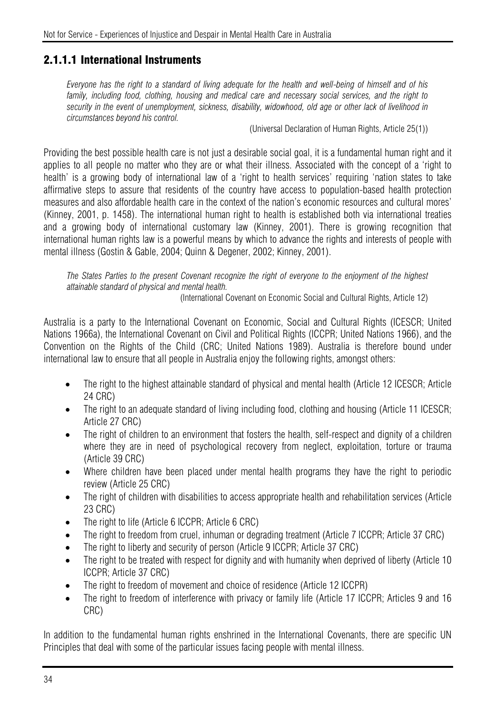## 2.1.1.1 International Instruments

*Everyone has the right to a standard of living adequate for the health and well-being of himself and of his family, including food, clothing, housing and medical care and necessary social services, and the right to security in the event of unemployment, sickness, disability, widowhood, old age or other lack of livelihood in circumstances beyond his control.* 

(Universal Declaration of Human Rights, Article 25(1))

Providing the best possible health care is not just a desirable social goal, it is a fundamental human right and it applies to all people no matter who they are or what their illness. Associated with the concept of a 'right to health' is a growing body of international law of a 'right to health services' requiring 'nation states to take affirmative steps to assure that residents of the country have access to population-based health protection measures and also affordable health care in the context of the nation's economic resources and cultural mores' (Kinney, 2001, p. 1458). The international human right to health is established both via international treaties and a growing body of international customary law (Kinney, 2001). There is growing recognition that international human rights law is a powerful means by which to advance the rights and interests of people with mental illness (Gostin & Gable, 2004; Quinn & Degener, 2002; Kinney, 2001).

*The States Parties to the present Covenant recognize the right of everyone to the enjoyment of the highest attainable standard of physical and mental health.* 

(International Covenant on Economic Social and Cultural Rights, Article 12)

Australia is a party to the International Covenant on Economic, Social and Cultural Rights (ICESCR; United Nations 1966a), the International Covenant on Civil and Political Rights (ICCPR; United Nations 1966), and the Convention on the Rights of the Child (CRC; United Nations 1989). Australia is therefore bound under international law to ensure that all people in Australia enjoy the following rights, amongst others:

- The right to the highest attainable standard of physical and mental health (Article 12 ICESCR; Article 24 CRC)
- The right to an adequate standard of living including food, clothing and housing (Article 11 ICESCR; Article 27 CRC)
- The right of children to an environment that fosters the health, self-respect and dignity of a children where they are in need of psychological recovery from neglect, exploitation, torture or trauma (Article 39 CRC)
- Where children have been placed under mental health programs they have the right to periodic review (Article 25 CRC)
- The right of children with disabilities to access appropriate health and rehabilitation services (Article 23 CRC)
- The right to life (Article 6 ICCPR; Article 6 CRC)
- The right to freedom from cruel, inhuman or degrading treatment (Article 7 ICCPR; Article 37 CRC)
- The right to liberty and security of person (Article 9 ICCPR; Article 37 CRC)
- The right to be treated with respect for dignity and with humanity when deprived of liberty (Article 10 ICCPR; Article 37 CRC)
- The right to freedom of movement and choice of residence (Article 12 ICCPR)
- The right to freedom of interference with privacy or family life (Article 17 ICCPR; Articles 9 and 16 CRC)

In addition to the fundamental human rights enshrined in the International Covenants, there are specific UN Principles that deal with some of the particular issues facing people with mental illness.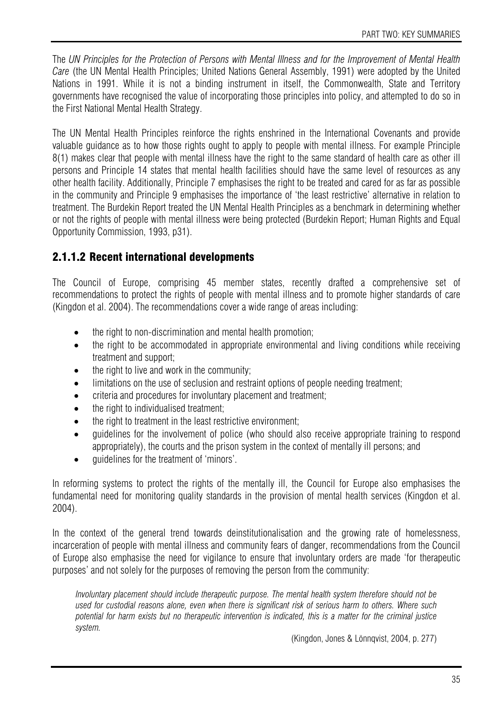The *UN Principles for the Protection of Persons with Mental Illness and for the Improvement of Mental Health Care* (the UN Mental Health Principles; United Nations General Assembly, 1991) were adopted by the United Nations in 1991. While it is not a binding instrument in itself, the Commonwealth, State and Territory governments have recognised the value of incorporating those principles into policy, and attempted to do so in the First National Mental Health Strategy.

The UN Mental Health Principles reinforce the rights enshrined in the International Covenants and provide valuable guidance as to how those rights ought to apply to people with mental illness. For example Principle 8(1) makes clear that people with mental illness have the right to the same standard of health care as other ill persons and Principle 14 states that mental health facilities should have the same level of resources as any other health facility. Additionally, Principle 7 emphasises the right to be treated and cared for as far as possible in the community and Principle 9 emphasises the importance of 'the least restrictive' alternative in relation to treatment. The Burdekin Report treated the UN Mental Health Principles as a benchmark in determining whether or not the rights of people with mental illness were being protected (Burdekin Report; Human Rights and Equal Opportunity Commission, 1993, p31).

## 2.1.1.2 Recent international developments

The Council of Europe, comprising 45 member states, recently drafted a comprehensive set of recommendations to protect the rights of people with mental illness and to promote higher standards of care (Kingdon et al. 2004). The recommendations cover a wide range of areas including:

- the right to non-discrimination and mental health promotion:
- the right to be accommodated in appropriate environmental and living conditions while receiving treatment and support;
- the right to live and work in the community;
- limitations on the use of seclusion and restraint options of people needing treatment;
- criteria and procedures for involuntary placement and treatment;
- the right to individualised treatment:
- the right to treatment in the least restrictive environment:
- quidelines for the involvement of police (who should also receive appropriate training to respond appropriately), the courts and the prison system in the context of mentally ill persons; and
- guidelines for the treatment of 'minors'.

In reforming systems to protect the rights of the mentally ill, the Council for Europe also emphasises the fundamental need for monitoring quality standards in the provision of mental health services (Kingdon et al. 2004).

In the context of the general trend towards deinstitutionalisation and the growing rate of homelessness, incarceration of people with mental illness and community fears of danger, recommendations from the Council of Europe also emphasise the need for vigilance to ensure that involuntary orders are made 'for therapeutic purposes' and not solely for the purposes of removing the person from the community:

*Involuntary placement should include therapeutic purpose. The mental health system therefore should not be used for custodial reasons alone, even when there is significant risk of serious harm to others. Where such potential for harm exists but no therapeutic intervention is indicated, this is a matter for the criminal justice system.* 

(Kingdon, Jones & Lönnqvist, 2004, p. 277)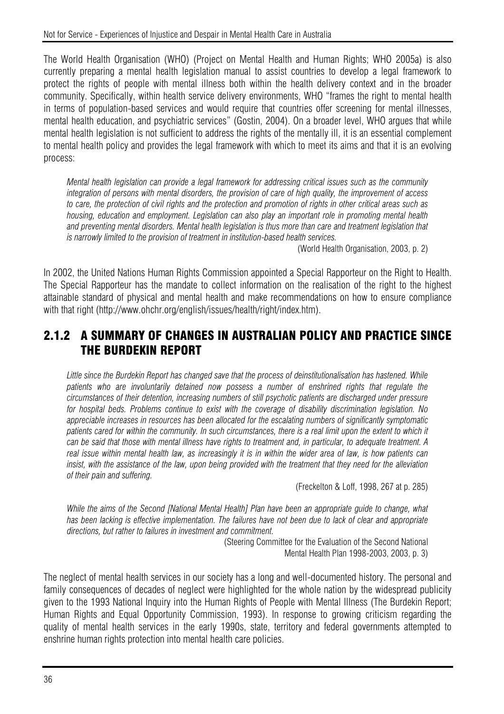The World Health Organisation (WHO) (Project on Mental Health and Human Rights; WHO 2005a) is also currently preparing a mental health legislation manual to assist countries to develop a legal framework to protect the rights of people with mental illness both within the health delivery context and in the broader community. Specifically, within health service delivery environments, WHO "frames the right to mental health in terms of population-based services and would require that countries offer screening for mental illnesses, mental health education, and psychiatric services" (Gostin, 2004). On a broader level, WHO argues that while mental health legislation is not sufficient to address the rights of the mentally ill, it is an essential complement to mental health policy and provides the legal framework with which to meet its aims and that it is an evolving process:

*Mental health legislation can provide a legal framework for addressing critical issues such as the community integration of persons with mental disorders, the provision of care of high quality, the improvement of access to care, the protection of civil rights and the protection and promotion of rights in other critical areas such as housing, education and employment. Legislation can also play an important role in promoting mental health and preventing mental disorders. Mental health legislation is thus more than care and treatment legislation that is narrowly limited to the provision of treatment in institution-based health services.* 

(World Health Organisation, 2003, p. 2)

In 2002, the United Nations Human Rights Commission appointed a Special Rapporteur on the Right to Health. The Special Rapporteur has the mandate to collect information on the realisation of the right to the highest attainable standard of physical and mental health and make recommendations on how to ensure compliance with that right (http://www.ohchr.org/english/issues/health/right/index.htm).

## 2.1.2 A SUMMARY OF CHANGES IN AUSTRALIAN POLICY AND PRACTICE SINCE THE BURDEKIN REPORT

Little since the Burdekin Report has changed save that the process of deinstitutionalisation has hastened. While *patients who are involuntarily detained now possess a number of enshrined rights that regulate the circumstances of their detention, increasing numbers of still psychotic patients are discharged under pressure for hospital beds. Problems continue to exist with the coverage of disability discrimination legislation. No appreciable increases in resources has been allocated for the escalating numbers of significantly symptomatic patients cared for within the community. In such circumstances, there is a real limit upon the extent to which it can be said that those with mental illness have rights to treatment and, in particular, to adequate treatment. A*  real issue within mental health law, as increasingly it is in within the wider area of law, is how patients can *insist, with the assistance of the law, upon being provided with the treatment that they need for the alleviation of their pain and suffering.* 

(Freckelton & Loff, 1998, 267 at p. 285)

*While the aims of the Second [National Mental Health] Plan have been an appropriate guide to change, what has been lacking is effective implementation. The failures have not been due to lack of clear and appropriate directions, but rather to failures in investment and commitment.* 

(Steering Committee for the Evaluation of the Second National Mental Health Plan 1998-2003, 2003, p. 3)

The neglect of mental health services in our society has a long and well-documented history. The personal and family consequences of decades of neglect were highlighted for the whole nation by the widespread publicity given to the 1993 National Inquiry into the Human Rights of People with Mental Illness (The Burdekin Report; Human Rights and Equal Opportunity Commission, 1993). In response to growing criticism regarding the quality of mental health services in the early 1990s, state, territory and federal governments attempted to enshrine human rights protection into mental health care policies.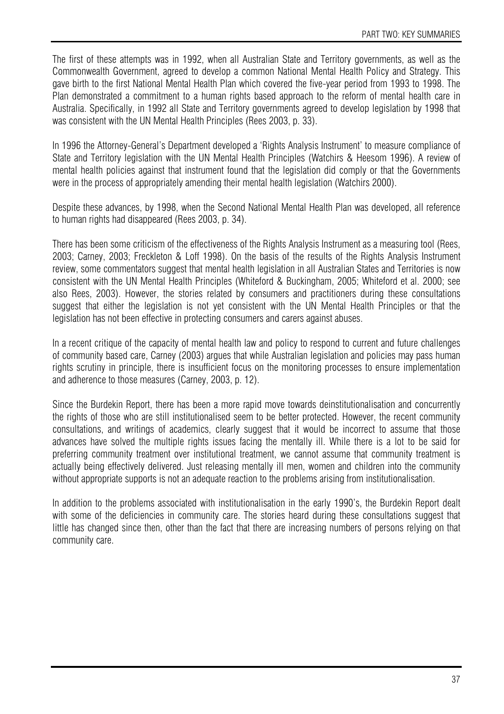The first of these attempts was in 1992, when all Australian State and Territory governments, as well as the Commonwealth Government, agreed to develop a common National Mental Health Policy and Strategy. This gave birth to the first National Mental Health Plan which covered the five-year period from 1993 to 1998. The Plan demonstrated a commitment to a human rights based approach to the reform of mental health care in Australia. Specifically, in 1992 all State and Territory governments agreed to develop legislation by 1998 that was consistent with the UN Mental Health Principles (Rees 2003, p. 33).

In 1996 the Attorney-General's Department developed a 'Rights Analysis Instrument' to measure compliance of State and Territory legislation with the UN Mental Health Principles (Watchirs & Heesom 1996). A review of mental health policies against that instrument found that the legislation did comply or that the Governments were in the process of appropriately amending their mental health legislation (Watchirs 2000).

Despite these advances, by 1998, when the Second National Mental Health Plan was developed, all reference to human rights had disappeared (Rees 2003, p. 34).

There has been some criticism of the effectiveness of the Rights Analysis Instrument as a measuring tool (Rees, 2003; Carney, 2003; Freckleton & Loff 1998). On the basis of the results of the Rights Analysis Instrument review, some commentators suggest that mental health legislation in all Australian States and Territories is now consistent with the UN Mental Health Principles (Whiteford & Buckingham, 2005; Whiteford et al. 2000; see also Rees, 2003). However, the stories related by consumers and practitioners during these consultations suggest that either the legislation is not vet consistent with the UN Mental Health Principles or that the legislation has not been effective in protecting consumers and carers against abuses.

In a recent critique of the capacity of mental health law and policy to respond to current and future challenges of community based care, Carney (2003) argues that while Australian legislation and policies may pass human rights scrutiny in principle, there is insufficient focus on the monitoring processes to ensure implementation and adherence to those measures (Carney, 2003, p. 12).

Since the Burdekin Report, there has been a more rapid move towards deinstitutionalisation and concurrently the rights of those who are still institutionalised seem to be better protected. However, the recent community consultations, and writings of academics, clearly suggest that it would be incorrect to assume that those advances have solved the multiple rights issues facing the mentally ill. While there is a lot to be said for preferring community treatment over institutional treatment, we cannot assume that community treatment is actually being effectively delivered. Just releasing mentally ill men, women and children into the community without appropriate supports is not an adequate reaction to the problems arising from institutionalisation.

In addition to the problems associated with institutionalisation in the early 1990's, the Burdekin Report dealt with some of the deficiencies in community care. The stories heard during these consultations suggest that little has changed since then, other than the fact that there are increasing numbers of persons relying on that community care.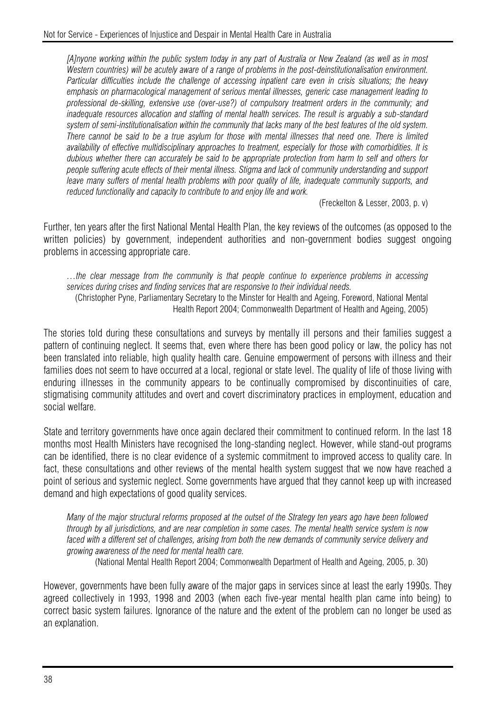*[A]nyone working within the public system today in any part of Australia or New Zealand (as well as in most Western countries) will be acutely aware of a range of problems in the post-deinstitutionalisation environment. Particular difficulties include the challenge of accessing inpatient care even in crisis situations; the heavy emphasis on pharmacological management of serious mental illnesses, generic case management leading to professional de-skilling, extensive use (over-use?) of compulsory treatment orders in the community; and inadequate resources allocation and staffing of mental health services. The result is arguably a sub-standard system of semi-institutionalisation within the community that lacks many of the best features of the old system. There cannot be said to be a true asylum for those with mental illnesses that need one. There is limited availability of effective multidisciplinary approaches to treatment, especially for those with comorbidities. It is dubious whether there can accurately be said to be appropriate protection from harm to self and others for people suffering acute effects of their mental illness. Stigma and lack of community understanding and support leave many suffers of mental health problems with poor quality of life, inadequate community supports, and reduced functionality and capacity to contribute to and enjoy life and work.* 

(Freckelton & Lesser, 2003, p. v)

Further, ten years after the first National Mental Health Plan, the key reviews of the outcomes (as opposed to the written policies) by government, independent authorities and non-government bodies suggest ongoing problems in accessing appropriate care.

*…the clear message from the community is that people continue to experience problems in accessing services during crises and finding services that are responsive to their individual needs.*  (Christopher Pyne, Parliamentary Secretary to the Minster for Health and Ageing, Foreword, National Mental Health Report 2004; Commonwealth Department of Health and Ageing, 2005)

The stories told during these consultations and surveys by mentally ill persons and their families suggest a pattern of continuing neglect. It seems that, even where there has been good policy or law, the policy has not been translated into reliable, high quality health care. Genuine empowerment of persons with illness and their families does not seem to have occurred at a local, regional or state level. The quality of life of those living with enduring illnesses in the community appears to be continually compromised by discontinuities of care, stigmatising community attitudes and overt and covert discriminatory practices in employment, education and social welfare.

State and territory governments have once again declared their commitment to continued reform. In the last 18 months most Health Ministers have recognised the long-standing neglect. However, while stand-out programs can be identified, there is no clear evidence of a systemic commitment to improved access to quality care. In fact, these consultations and other reviews of the mental health system suggest that we now have reached a point of serious and systemic neglect. Some governments have argued that they cannot keep up with increased demand and high expectations of good quality services.

*Many of the major structural reforms proposed at the outset of the Strategy ten years ago have been followed through by all jurisdictions, and are near completion in some cases. The mental health service system is now*  faced with a different set of challenges, arising from both the new demands of community service delivery and *growing awareness of the need for mental health care.* 

(National Mental Health Report 2004; Commonwealth Department of Health and Ageing, 2005, p. 30)

However, governments have been fully aware of the major gaps in services since at least the early 1990s. They agreed collectively in 1993, 1998 and 2003 (when each five-year mental health plan came into being) to correct basic system failures. Ignorance of the nature and the extent of the problem can no longer be used as an explanation.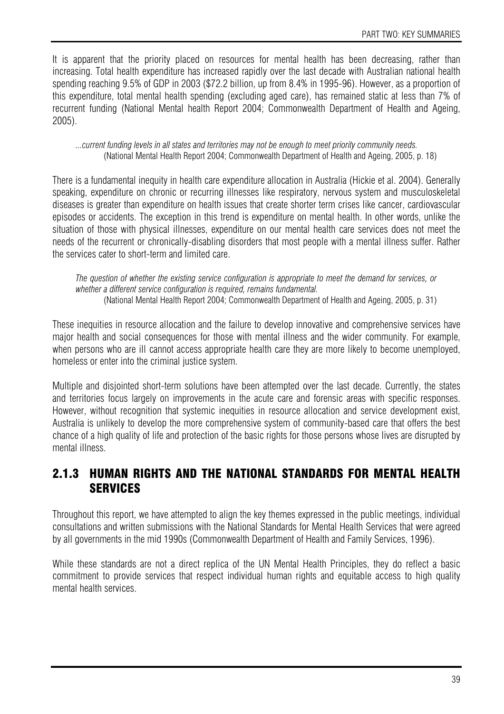It is apparent that the priority placed on resources for mental health has been decreasing, rather than increasing. Total health expenditure has increased rapidly over the last decade with Australian national health spending reaching 9.5% of GDP in 2003 (\$72.2 billion, up from 8.4% in 1995-96). However, as a proportion of this expenditure, total mental health spending (excluding aged care), has remained static at less than 7% of recurrent funding (National Mental health Report 2004; Commonwealth Department of Health and Ageing, 2005).

*...current funding levels in all states and territories may not be enough to meet priority community needs.*  (National Mental Health Report 2004; Commonwealth Department of Health and Ageing, 2005, p. 18)

There is a fundamental inequity in health care expenditure allocation in Australia (Hickie et al. 2004). Generally speaking, expenditure on chronic or recurring illnesses like respiratory, nervous system and musculoskeletal diseases is greater than expenditure on health issues that create shorter term crises like cancer, cardiovascular episodes or accidents. The exception in this trend is expenditure on mental health. In other words, unlike the situation of those with physical illnesses, expenditure on our mental health care services does not meet the needs of the recurrent or chronically-disabling disorders that most people with a mental illness suffer. Rather the services cater to short-term and limited care.

*The question of whether the existing service configuration is appropriate to meet the demand for services, or whether a different service configuration is required, remains fundamental.*  (National Mental Health Report 2004; Commonwealth Department of Health and Ageing, 2005, p. 31)

These inequities in resource allocation and the failure to develop innovative and comprehensive services have major health and social consequences for those with mental illness and the wider community. For example, when persons who are ill cannot access appropriate health care they are more likely to become unemployed, homeless or enter into the criminal justice system.

Multiple and disjointed short-term solutions have been attempted over the last decade. Currently, the states and territories focus largely on improvements in the acute care and forensic areas with specific responses. However, without recognition that systemic inequities in resource allocation and service development exist, Australia is unlikely to develop the more comprehensive system of community-based care that offers the best chance of a high quality of life and protection of the basic rights for those persons whose lives are disrupted by mental illness.

## 2.1.3 HUMAN RIGHTS AND THE NATIONAL STANDARDS FOR MENTAL HEALTH **SERVICES**

Throughout this report, we have attempted to align the key themes expressed in the public meetings, individual consultations and written submissions with the National Standards for Mental Health Services that were agreed by all governments in the mid 1990s (Commonwealth Department of Health and Family Services, 1996).

While these standards are not a direct replica of the UN Mental Health Principles, they do reflect a basic commitment to provide services that respect individual human rights and equitable access to high quality mental health services.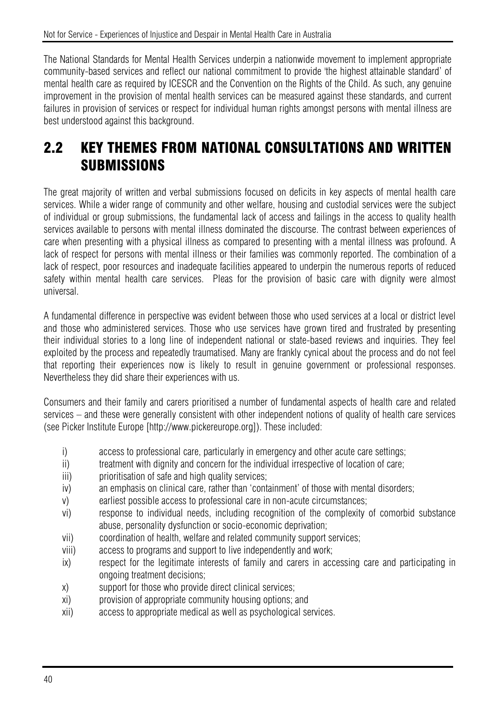The National Standards for Mental Health Services underpin a nationwide movement to implement appropriate community-based services and reflect our national commitment to provide 'the highest attainable standard' of mental health care as required by ICESCR and the Convention on the Rights of the Child. As such, any genuine improvement in the provision of mental health services can be measured against these standards, and current failures in provision of services or respect for individual human rights amongst persons with mental illness are best understood against this background.

# 2.2 KEY THEMES FROM NATIONAL CONSULTATIONS AND WRITTEN **SUBMISSIONS**

The great majority of written and verbal submissions focused on deficits in key aspects of mental health care services. While a wider range of community and other welfare, housing and custodial services were the subject of individual or group submissions, the fundamental lack of access and failings in the access to quality health services available to persons with mental illness dominated the discourse. The contrast between experiences of care when presenting with a physical illness as compared to presenting with a mental illness was profound. A lack of respect for persons with mental illness or their families was commonly reported. The combination of a lack of respect, poor resources and inadequate facilities appeared to underpin the numerous reports of reduced safety within mental health care services. Pleas for the provision of basic care with dignity were almost universal.

A fundamental difference in perspective was evident between those who used services at a local or district level and those who administered services. Those who use services have grown tired and frustrated by presenting their individual stories to a long line of independent national or state-based reviews and inquiries. They feel exploited by the process and repeatedly traumatised. Many are frankly cynical about the process and do not feel that reporting their experiences now is likely to result in genuine government or professional responses. Nevertheless they did share their experiences with us.

Consumers and their family and carers prioritised a number of fundamental aspects of health care and related services – and these were generally consistent with other independent notions of quality of health care services (see Picker Institute Europe [http://www.pickereurope.org]). These included:

- i) access to professional care, particularly in emergency and other acute care settings;
- ii) treatment with dignity and concern for the individual irrespective of location of care;
- iii) prioritisation of safe and high quality services;
- iv) an emphasis on clinical care, rather than 'containment' of those with mental disorders;
- v) earliest possible access to professional care in non-acute circumstances;
- vi) response to individual needs, including recognition of the complexity of comorbid substance abuse, personality dysfunction or socio-economic deprivation;
- vii) coordination of health, welfare and related community support services;
- viii) access to programs and support to live independently and work;
- ix) respect for the legitimate interests of family and carers in accessing care and participating in ongoing treatment decisions;
- x) support for those who provide direct clinical services;
- xi) provision of appropriate community housing options; and
- xii) access to appropriate medical as well as psychological services.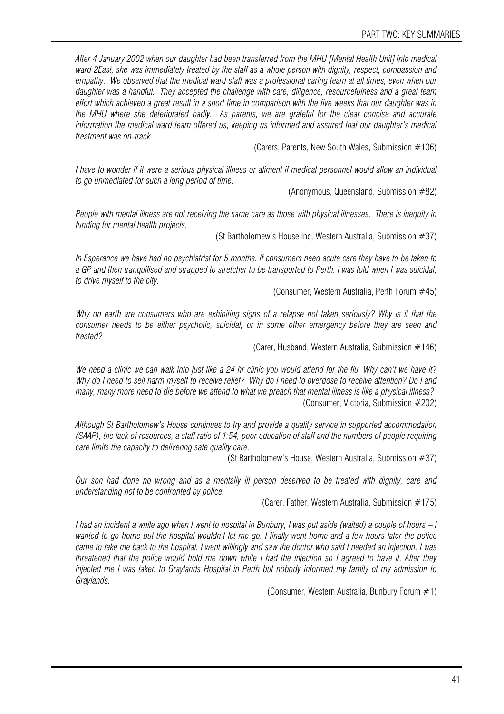*After 4 January 2002 when our daughter had been transferred from the MHU [Mental Health Unit] into medical ward 2East, she was immediately treated by the staff as a whole person with dignity, respect, compassion and empathy. We observed that the medical ward staff was a professional caring team at all times, even when our daughter was a handful. They accepted the challenge with care, diligence, resourcefulness and a great team effort which achieved a great result in a short time in comparison with the five weeks that our daughter was in the MHU where she deteriorated badly. As parents, we are grateful for the clear concise and accurate information the medical ward team offered us, keeping us informed and assured that our daughter's medical treatment was on-track.* 

(Carers, Parents, New South Wales, Submission  $#106$ )

*I have to wonder if it were a serious physical illness or aliment if medical personnel would allow an individual to go unmediated for such a long period of time.* 

(Anonymous, Queensland, Submission #82)

*People with mental illness are not receiving the same care as those with physical illnesses. There is inequity in funding for mental health projects.* 

(St Bartholomew's House Inc, Western Australia, Submission #37)

*In Esperance we have had no psychiatrist for 5 months. If consumers need acute care they have to be taken to a GP and then tranquilised and strapped to stretcher to be transported to Perth. I was told when I was suicidal, to drive myself to the city.* 

(Consumer, Western Australia, Perth Forum #45)

*Why on earth are consumers who are exhibiting signs of a relapse not taken seriously? Why is it that the consumer needs to be either psychotic, suicidal, or in some other emergency before they are seen and treated?* 

(Carer, Husband, Western Australia, Submission #146)

*We need a clinic we can walk into just like a 24 hr clinic you would attend for the flu. Why can't we have it? Why do I need to self harm myself to receive relief? Why do I need to overdose to receive attention? Do I and many, many more need to die before we attend to what we preach that mental illness is like a physical illness?*  (Consumer, Victoria, Submission #202)

*Although St Bartholomew's House continues to try and provide a quality service in supported accommodation (SAAP), the lack of resources, a staff ratio of 1:54, poor education of staff and the numbers of people requiring care limits the capacity to delivering safe quality care.* 

(St Bartholomew's House, Western Australia, Submission #37)

*Our son had done no wrong and as a mentally ill person deserved to be treated with dignity, care and understanding not to be confronted by police.* 

(Carer, Father, Western Australia, Submission #175)

*I* had an incident a while ago when I went to hospital in Bunbury, I was put aside (waited) a couple of hours – I *wanted to go home but the hospital wouldn't let me go. I finally went home and a few hours later the police came to take me back to the hospital. I went willingly and saw the doctor who said I needed an injection. I was threatened that the police would hold me down while I had the injection so I agreed to have it. After they injected me I was taken to Graylands Hospital in Perth but nobody informed my family of my admission to Graylands.* 

(Consumer, Western Australia, Bunbury Forum #1)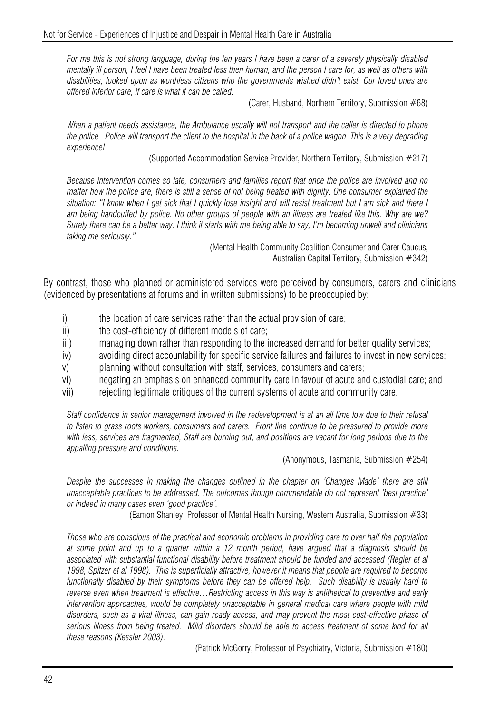*For me this is not strong language, during the ten years I have been a carer of a severely physically disabled mentally ill person, I feel I have been treated less then human, and the person I care for, as well as others with disabilities, looked upon as worthless citizens who the governments wished didn't exist. Our loved ones are offered inferior care, if care is what it can be called.* 

(Carer, Husband, Northern Territory, Submission #68)

*When a patient needs assistance, the Ambulance usually will not transport and the caller is directed to phone the police. Police will transport the client to the hospital in the back of a police wagon. This is a very degrading experience!* 

(Supported Accommodation Service Provider, Northern Territory, Submission #217)

*Because intervention comes so late, consumers and families report that once the police are involved and no matter how the police are, there is still a sense of not being treated with dignity. One consumer explained the situation: "I know when I get sick that I quickly lose insight and will resist treatment but I am sick and there I am being handcuffed by police. No other groups of people with an illness are treated like this. Why are we? Surely there can be a better way. I think it starts with me being able to say, I'm becoming unwell and clinicians taking me seriously."* 

> (Mental Health Community Coalition Consumer and Carer Caucus, Australian Capital Territory, Submission #342)

By contrast, those who planned or administered services were perceived by consumers, carers and clinicians (evidenced by presentations at forums and in written submissions) to be preoccupied by:

- i) the location of care services rather than the actual provision of care;
- ii) the cost-efficiency of different models of care;
- iii) managing down rather than responding to the increased demand for better quality services;
- iv) avoiding direct accountability for specific service failures and failures to invest in new services;
- v) planning without consultation with staff, services, consumers and carers;
- vi) negating an emphasis on enhanced community care in favour of acute and custodial care; and
- vii) rejecting legitimate critiques of the current systems of acute and community care.

*Staff confidence in senior management involved in the redevelopment is at an all time low due to their refusal to listen to grass roots workers, consumers and carers. Front line continue to be pressured to provide more*  with less, services are fragmented, Staff are burning out, and positions are vacant for long periods due to the *appalling pressure and conditions.* 

(Anonymous, Tasmania, Submission #254)

Despite the successes in making the changes outlined in the chapter on 'Changes Made' there are still *unacceptable practices to be addressed. The outcomes though commendable do not represent 'best practice' or indeed in many cases even 'good practice'.* 

(Eamon Shanley, Professor of Mental Health Nursing, Western Australia, Submission #33)

*Those who are conscious of the practical and economic problems in providing care to over half the population at some point and up to a quarter within a 12 month period, have argued that a diagnosis should be associated with substantial functional disability before treatment should be funded and accessed (Regier et al 1998, Spitzer et al 1998). This is superficially attractive, however it means that people are required to become functionally disabled by their symptoms before they can be offered help. Such disability is usually hard to reverse even when treatment is effective…Restricting access in this way is antithetical to preventive and early intervention approaches, would be completely unacceptable in general medical care where people with mild disorders, such as a viral illness, can gain ready access, and may prevent the most cost-effective phase of serious illness from being treated. Mild disorders should be able to access treatment of some kind for all these reasons (Kessler 2003).* 

(Patrick McGorry, Professor of Psychiatry, Victoria, Submission #180)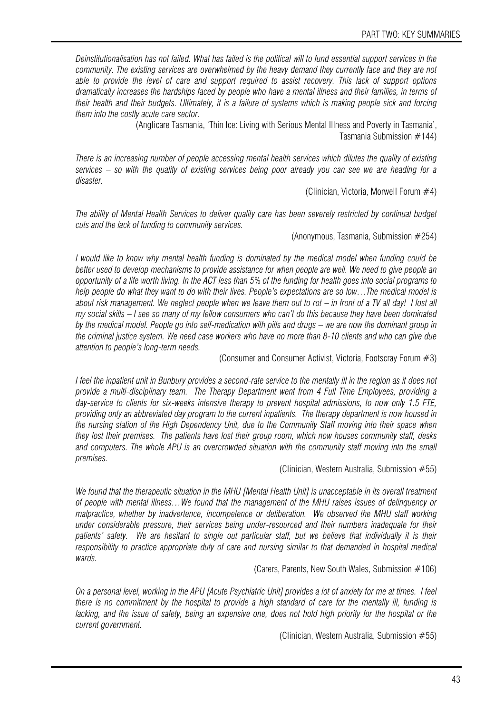*Deinstitutionalisation has not failed. What has failed is the political will to fund essential support services in the community. The existing services are overwhelmed by the heavy demand they currently face and they are not able to provide the level of care and support required to assist recovery. This lack of support options dramatically increases the hardships faced by people who have a mental illness and their families, in terms of their health and their budgets. Ultimately, it is a failure of systems which is making people sick and forcing them into the costly acute care sector.* 

> (Anglicare Tasmania, 'Thin Ice: Living with Serious Mental Illness and Poverty in Tasmania', Tasmania Submission #144)

*There is an increasing number of people accessing mental health services which dilutes the quality of existing services – so with the quality of existing services being poor already you can see we are heading for a disaster.* 

(Clinician, Victoria, Morwell Forum #4)

*The ability of Mental Health Services to deliver quality care has been severely restricted by continual budget cuts and the lack of funding to community services.* 

(Anonymous, Tasmania, Submission #254)

*I would like to know why mental health funding is dominated by the medical model when funding could be better used to develop mechanisms to provide assistance for when people are well. We need to give people an opportunity of a life worth living. In the ACT less than 5% of the funding for health goes into social programs to help people do what they want to do with their lives. People's expectations are so low…The medical model is about risk management. We neglect people when we leave them out to rot – in front of a TV all day! I lost all my social skills – I see so many of my fellow consumers who can't do this because they have been dominated by the medical model. People go into self-medication with pills and drugs – we are now the dominant group in the criminal justice system. We need case workers who have no more than 8-10 clients and who can give due attention to people's long-term needs.* 

(Consumer and Consumer Activist, Victoria, Footscray Forum #3)

*I feel the inpatient unit in Bunbury provides a second-rate service to the mentally ill in the region as it does not provide a multi-disciplinary team. The Therapy Department went from 4 Full Time Employees, providing a day-service to clients for six-weeks intensive therapy to prevent hospital admissions, to now only 1.5 FTE, providing only an abbreviated day program to the current inpatients. The therapy department is now housed in the nursing station of the High Dependency Unit, due to the Community Staff moving into their space when they lost their premises. The patients have lost their group room, which now houses community staff, desks and computers. The whole APU is an overcrowded situation with the community staff moving into the small premises.* 

(Clinician, Western Australia, Submission #55)

*We found that the therapeutic situation in the MHU [Mental Health Unit] is unacceptable in its overall treatment of people with mental illness…We found that the management of the MHU raises issues of delinquency or malpractice, whether by inadvertence, incompetence or deliberation. We observed the MHU staff working under considerable pressure, their services being under-resourced and their numbers inadequate for their*  patients' safety. We are hesitant to single out particular staff, but we believe that individually it is their *responsibility to practice appropriate duty of care and nursing similar to that demanded in hospital medical wards.* 

(Carers, Parents, New South Wales, Submission #106)

*On a personal level, working in the APU [Acute Psychiatric Unit] provides a lot of anxiety for me at times. I feel there is no commitment by the hospital to provide a high standard of care for the mentally ill, funding is lacking, and the issue of safety, being an expensive one, does not hold high priority for the hospital or the current government.* 

(Clinician, Western Australia, Submission #55)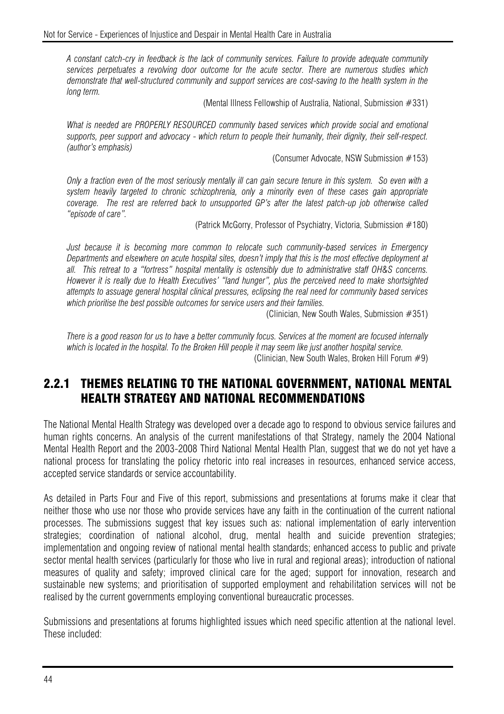*A constant catch-cry in feedback is the lack of community services. Failure to provide adequate community services perpetuates a revolving door outcome for the acute sector. There are numerous studies which demonstrate that well-structured community and support services are cost-saving to the health system in the long term.* 

(Mental Illness Fellowship of Australia, National, Submission #331)

What is needed are PROPERLY RESOURCED community based services which provide social and emotional *supports, peer support and advocacy - which return to people their humanity, their dignity, their self-respect. (author's emphasis)* 

(Consumer Advocate, NSW Submission #153)

*Only a fraction even of the most seriously mentally ill can gain secure tenure in this system. So even with a system heavily targeted to chronic schizophrenia, only a minority even of these cases gain appropriate coverage. The rest are referred back to unsupported GP's after the latest patch-up job otherwise called "episode of care".* 

(Patrick McGorry, Professor of Psychiatry, Victoria, Submission #180)

*Just because it is becoming more common to relocate such community-based services in Emergency Departments and elsewhere on acute hospital sites, doesn't imply that this is the most effective deployment at all. This retreat to a "fortress" hospital mentality is ostensibly due to administrative staff OH&S concerns. However it is really due to Health Executives' "land hunger", plus the perceived need to make shortsighted attempts to assuage general hospital clinical pressures, eclipsing the real need for community based services which prioritise the best possible outcomes for service users and their families.* 

(Clinician, New South Wales, Submission #351)

*There is a good reason for us to have a better community focus. Services at the moment are focused internally which is located in the hospital. To the Broken Hill people it may seem like just another hospital service.*  (Clinician, New South Wales, Broken Hill Forum #9)

## 2.2.1 THEMES RELATING TO THE NATIONAL GOVERNMENT, NATIONAL MENTAL HEALTH STRATEGY AND NATIONAL RECOMMENDATIONS

The National Mental Health Strategy was developed over a decade ago to respond to obvious service failures and human rights concerns. An analysis of the current manifestations of that Strategy, namely the 2004 National Mental Health Report and the 2003-2008 Third National Mental Health Plan, suggest that we do not yet have a national process for translating the policy rhetoric into real increases in resources, enhanced service access, accepted service standards or service accountability.

As detailed in Parts Four and Five of this report, submissions and presentations at forums make it clear that neither those who use nor those who provide services have any faith in the continuation of the current national processes. The submissions suggest that key issues such as: national implementation of early intervention strategies; coordination of national alcohol, drug, mental health and suicide prevention strategies; implementation and ongoing review of national mental health standards; enhanced access to public and private sector mental health services (particularly for those who live in rural and regional areas); introduction of national measures of quality and safety; improved clinical care for the aged; support for innovation, research and sustainable new systems; and prioritisation of supported employment and rehabilitation services will not be realised by the current governments employing conventional bureaucratic processes.

Submissions and presentations at forums highlighted issues which need specific attention at the national level. These included: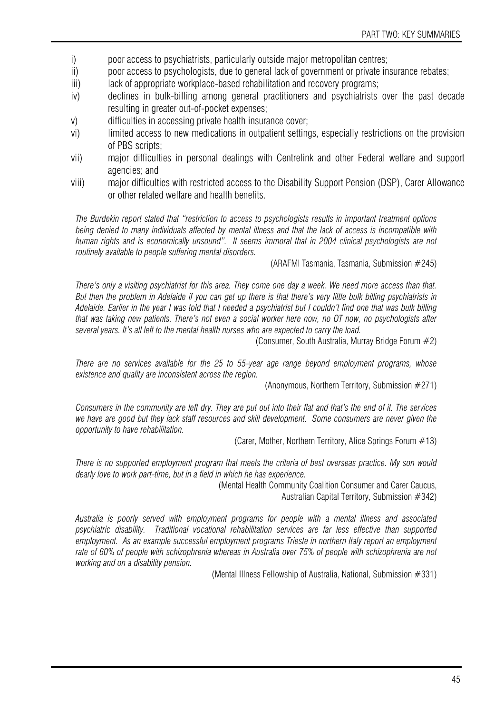- i) poor access to psychiatrists, particularly outside major metropolitan centres;
- ii) poor access to psychologists, due to general lack of government or private insurance rebates;
- iii) lack of appropriate workplace-based rehabilitation and recovery programs;
- iv) declines in bulk-billing among general practitioners and psychiatrists over the past decade resulting in greater out-of-pocket expenses;
- v) difficulties in accessing private health insurance cover;
- vi) limited access to new medications in outpatient settings, especially restrictions on the provision of PBS scripts;
- vii) major difficulties in personal dealings with Centrelink and other Federal welfare and support agencies; and
- viii) major difficulties with restricted access to the Disability Support Pension (DSP), Carer Allowance or other related welfare and health benefits.

*The Burdekin report stated that "restriction to access to psychologists results in important treatment options being denied to many individuals affected by mental illness and that the lack of access is incompatible with human rights and is economically unsound". It seems immoral that in 2004 clinical psychologists are not routinely available to people suffering mental disorders.* 

(ARAFMI Tasmania, Tasmania, Submission #245)

*There's only a visiting psychiatrist for this area. They come one day a week. We need more access than that. But then the problem in Adelaide if you can get up there is that there's very little bulk billing psychiatrists in Adelaide. Earlier in the year I was told that I needed a psychiatrist but I couldn't find one that was bulk billing that was taking new patients. There's not even a social worker here now, no OT now, no psychologists after several years. It's all left to the mental health nurses who are expected to carry the load.*

(Consumer, South Australia, Murray Bridge Forum #2)

*There are no services available for the 25 to 55-year age range beyond employment programs, whose existence and quality are inconsistent across the region.* 

(Anonymous, Northern Territory, Submission #271)

*Consumers in the community are left dry. They are put out into their flat and that's the end of it. The services we have are good but they lack staff resources and skill development. Some consumers are never given the opportunity to have rehabilitation.* 

(Carer, Mother, Northern Territory, Alice Springs Forum #13)

*There is no supported employment program that meets the criteria of best overseas practice. My son would dearly love to work part-time, but in a field in which he has experience.* 

> (Mental Health Community Coalition Consumer and Carer Caucus, Australian Capital Territory, Submission #342)

*Australia is poorly served with employment programs for people with a mental illness and associated psychiatric disability. Traditional vocational rehabilitation services are far less effective than supported employment. As an example successful employment programs Trieste in northern Italy report an employment rate of 60% of people with schizophrenia whereas in Australia over 75% of people with schizophrenia are not working and on a disability pension.* 

(Mental Illness Fellowship of Australia, National, Submission #331)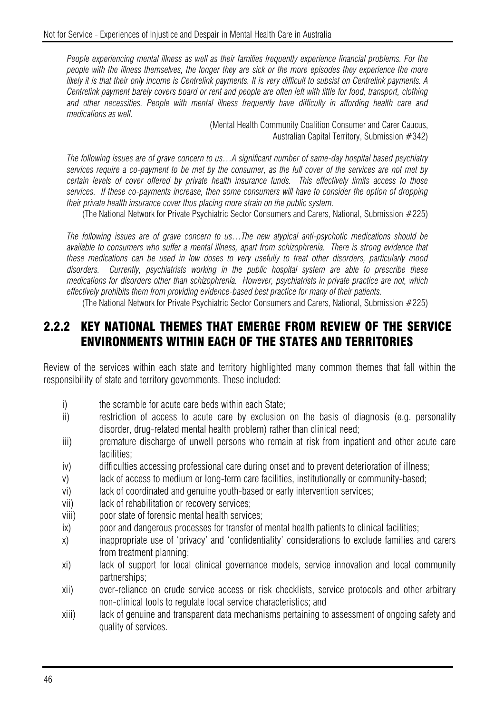*People experiencing mental illness as well as their families frequently experience financial problems. For the people with the illness themselves, the longer they are sick or the more episodes they experience the more likely it is that their only income is Centrelink payments. It is very difficult to subsist on Centrelink payments. A Centrelink payment barely covers board or rent and people are often left with little for food, transport, clothing and other necessities. People with mental illness frequently have difficulty in affording health care and medications as well.* 

> (Mental Health Community Coalition Consumer and Carer Caucus, Australian Capital Territory, Submission #342)

*The following issues are of grave concern to us…A significant number of same-day hospital based psychiatry services require a co-payment to be met by the consumer, as the full cover of the services are not met by certain levels of cover offered by private health insurance funds. This effectively limits access to those services. If these co-payments increase, then some consumers will have to consider the option of dropping their private health insurance cover thus placing more strain on the public system.* 

(The National Network for Private Psychiatric Sector Consumers and Carers, National, Submission #225)

*The following issues are of grave concern to us…The new atypical anti-psychotic medications should be available to consumers who suffer a mental illness, apart from schizophrenia. There is strong evidence that these medications can be used in low doses to very usefully to treat other disorders, particularly mood disorders. Currently, psychiatrists working in the public hospital system are able to prescribe these medications for disorders other than schizophrenia. However, psychiatrists in private practice are not, which effectively prohibits them from providing evidence-based best practice for many of their patients.* 

(The National Network for Private Psychiatric Sector Consumers and Carers, National, Submission #225)

## 2.2.2 KEY NATIONAL THEMES THAT EMERGE FROM REVIEW OF THE SERVICE ENVIRONMENTS WITHIN EACH OF THE STATES AND TERRITORIES

Review of the services within each state and territory highlighted many common themes that fall within the responsibility of state and territory governments. These included:

- i) the scramble for acute care beds within each State;
- ii) restriction of access to acute care by exclusion on the basis of diagnosis (e.g. personality disorder, drug-related mental health problem) rather than clinical need;
- iii) premature discharge of unwell persons who remain at risk from inpatient and other acute care facilities;
- iv) difficulties accessing professional care during onset and to prevent deterioration of illness;
- v) lack of access to medium or long-term care facilities, institutionally or community-based;
- vi) lack of coordinated and genuine youth-based or early intervention services;
- vii) lack of rehabilitation or recovery services;
- viii) poor state of forensic mental health services;
- ix) poor and dangerous processes for transfer of mental health patients to clinical facilities;
- x) inappropriate use of 'privacy' and 'confidentiality' considerations to exclude families and carers from treatment planning;
- xi) lack of support for local clinical governance models, service innovation and local community partnerships;
- xii) over-reliance on crude service access or risk checklists, service protocols and other arbitrary non-clinical tools to regulate local service characteristics; and
- xiii) lack of genuine and transparent data mechanisms pertaining to assessment of ongoing safety and quality of services.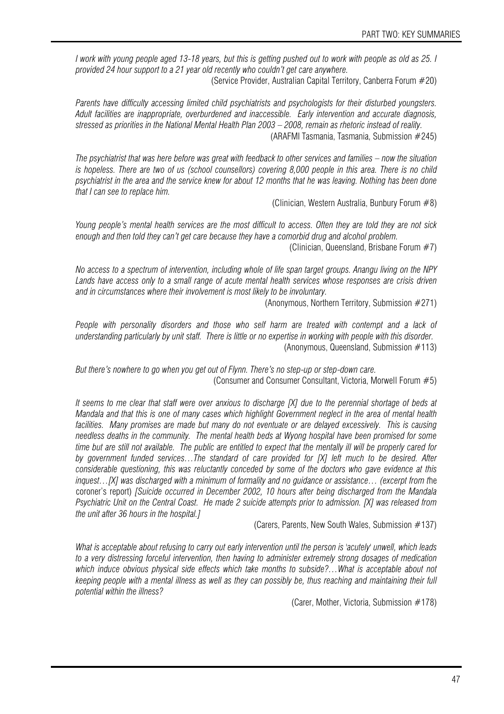*I work with young people aged 13-18 years, but this is getting pushed out to work with people as old as 25. I provided 24 hour support to a 21 year old recently who couldn't get care anywhere.* 

(Service Provider, Australian Capital Territory, Canberra Forum #20)

*Parents have difficulty accessing limited child psychiatrists and psychologists for their disturbed youngsters. Adult facilities are inappropriate, overburdened and inaccessible. Early intervention and accurate diagnosis, stressed as priorities in the National Mental Health Plan 2003 – 2008, remain as rhetoric instead of reality.*  (ARAFMI Tasmania, Tasmania, Submission #245)

*The psychiatrist that was here before was great with feedback to other services and families – now the situation is hopeless. There are two of us (school counsellors) covering 8,000 people in this area. There is no child psychiatrist in the area and the service knew for about 12 months that he was leaving. Nothing has been done that I can see to replace him.* 

(Clinician, Western Australia, Bunbury Forum #8)

*Young people's mental health services are the most difficult to access. Often they are told they are not sick enough and then told they can't get care because they have a comorbid drug and alcohol problem.* 

(Clinician, Queensland, Brisbane Forum #7)

*No access to a spectrum of intervention, including whole of life span target groups. Anangu living on the NPY Lands have access only to a small range of acute mental health services whose responses are crisis driven and in circumstances where their involvement is most likely to be involuntary.* 

(Anonymous, Northern Territory, Submission #271)

People with personality disorders and those who self harm are treated with contempt and a lack of *understanding particularly by unit staff. There is little or no expertise in working with people with this disorder.*  (Anonymous, Queensland, Submission #113)

*But there's nowhere to go when you get out of Flynn. There's no step-up or step-down care.*  (Consumer and Consumer Consultant, Victoria, Morwell Forum #5)

*It seems to me clear that staff were over anxious to discharge [X] due to the perennial shortage of beds at Mandala and that this is one of many cases which highlight Government neglect in the area of mental health facilities. Many promises are made but many do not eventuate or are delayed excessively. This is causing needless deaths in the community. The mental health beds at Wyong hospital have been promised for some time but are still not available. The public are entitled to expect that the mentally ill will be properly cared for by government funded services…The standard of care provided for [X] left much to be desired. After considerable questioning, this was reluctantly conceded by some of the doctors who gave evidence at this inquest…[X] was discharged with a minimum of formality and no guidance or assistance… (excerpt from t*he coroner's report) *[Suicide occurred in December 2002, 10 hours after being discharged from the Mandala Psychiatric Unit on the Central Coast. He made 2 suicide attempts prior to admission. [X] was released from the unit after 36 hours in the hospital.]*

(Carers, Parents, New South Wales, Submission #137)

*What is acceptable about refusing to carry out early intervention until the person is 'acutely' unwell, which leads to a very distressing forceful intervention, then having to administer extremely strong dosages of medication*  which induce obvious physical side effects which take months to subside?...What is acceptable about not *keeping people with a mental illness as well as they can possibly be, thus reaching and maintaining their full potential within the illness?* 

(Carer, Mother, Victoria, Submission #178)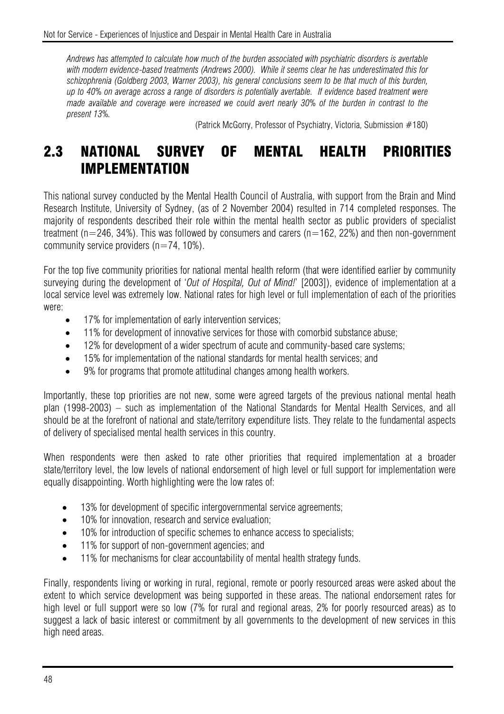*Andrews has attempted to calculate how much of the burden associated with psychiatric disorders is avertable with modern evidence-based treatments (Andrews 2000). While it seems clear he has underestimated this for schizophrenia (Goldberg 2003, Warner 2003), his general conclusions seem to be that much of this burden, up to 40% on average across a range of disorders is potentially avertable. If evidence based treatment were made available and coverage were increased we could avert nearly 30% of the burden in contrast to the present 13%.* 

(Patrick McGorry, Professor of Psychiatry, Victoria, Submission #180)

# 2.3 NATIONAL SURVEY OF MENTAL HEALTH PRIORITIES IMPLEMENTATION

This national survey conducted by the Mental Health Council of Australia, with support from the Brain and Mind Research Institute, University of Sydney, (as of 2 November 2004) resulted in 714 completed responses. The majority of respondents described their role within the mental health sector as public providers of specialist treatment ( $n=246$ , 34%). This was followed by consumers and carers ( $n=162$ , 22%) and then non-government community service providers  $(n=74, 10\%)$ .

For the top five community priorities for national mental health reform (that were identified earlier by community surveying during the development of '*Out of Hospital, Out of Mind!*' [2003]), evidence of implementation at a local service level was extremely low. National rates for high level or full implementation of each of the priorities were:

- 17% for implementation of early intervention services;
- 11% for development of innovative services for those with comorbid substance abuse;
- 12% for development of a wider spectrum of acute and community-based care systems:
- 15% for implementation of the national standards for mental health services; and
- 9% for programs that promote attitudinal changes among health workers.

Importantly, these top priorities are not new, some were agreed targets of the previous national mental heath plan (1998-2003) – such as implementation of the National Standards for Mental Health Services, and all should be at the forefront of national and state/territory expenditure lists. They relate to the fundamental aspects of delivery of specialised mental health services in this country.

When respondents were then asked to rate other priorities that required implementation at a broader state/territory level, the low levels of national endorsement of high level or full support for implementation were equally disappointing. Worth highlighting were the low rates of:

- 13% for development of specific intergovernmental service agreements:
- 10% for innovation, research and service evaluation;
- 10% for introduction of specific schemes to enhance access to specialists;
- 11% for support of non-government agencies; and
- 11% for mechanisms for clear accountability of mental health strategy funds.

Finally, respondents living or working in rural, regional, remote or poorly resourced areas were asked about the extent to which service development was being supported in these areas. The national endorsement rates for high level or full support were so low (7% for rural and regional areas, 2% for poorly resourced areas) as to suggest a lack of basic interest or commitment by all governments to the development of new services in this high need areas.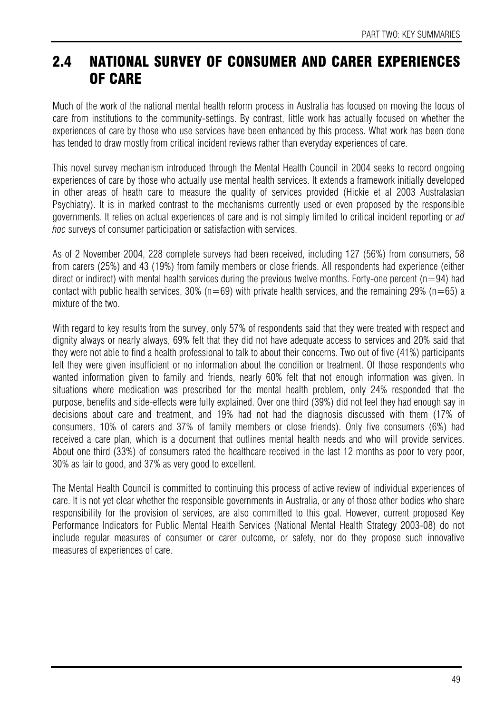# 2.4 NATIONAL SURVEY OF CONSUMER AND CARER EXPERIENCES OF CARE

Much of the work of the national mental health reform process in Australia has focused on moving the locus of care from institutions to the community-settings. By contrast, little work has actually focused on whether the experiences of care by those who use services have been enhanced by this process. What work has been done has tended to draw mostly from critical incident reviews rather than everyday experiences of care.

This novel survey mechanism introduced through the Mental Health Council in 2004 seeks to record ongoing experiences of care by those who actually use mental health services. It extends a framework initially developed in other areas of heath care to measure the quality of services provided (Hickie et al 2003 Australasian Psychiatry). It is in marked contrast to the mechanisms currently used or even proposed by the responsible governments. It relies on actual experiences of care and is not simply limited to critical incident reporting or *ad hoc* surveys of consumer participation or satisfaction with services.

As of 2 November 2004, 228 complete surveys had been received, including 127 (56%) from consumers, 58 from carers (25%) and 43 (19%) from family members or close friends. All respondents had experience (either direct or indirect) with mental health services during the previous twelve months. Forty-one percent ( $n=94$ ) had contact with public health services, 30% ( $n=69$ ) with private health services, and the remaining 29% ( $n=65$ ) a mixture of the two.

With regard to key results from the survey, only 57% of respondents said that they were treated with respect and dignity always or nearly always, 69% felt that they did not have adequate access to services and 20% said that they were not able to find a health professional to talk to about their concerns. Two out of five (41%) participants felt they were given insufficient or no information about the condition or treatment. Of those respondents who wanted information given to family and friends, nearly 60% felt that not enough information was given. In situations where medication was prescribed for the mental health problem, only 24% responded that the purpose, benefits and side-effects were fully explained. Over one third (39%) did not feel they had enough say in decisions about care and treatment, and 19% had not had the diagnosis discussed with them (17% of consumers, 10% of carers and 37% of family members or close friends). Only five consumers (6%) had received a care plan, which is a document that outlines mental health needs and who will provide services. About one third (33%) of consumers rated the healthcare received in the last 12 months as poor to very poor, 30% as fair to good, and 37% as very good to excellent.

The Mental Health Council is committed to continuing this process of active review of individual experiences of care. It is not yet clear whether the responsible governments in Australia, or any of those other bodies who share responsibility for the provision of services, are also committed to this goal. However, current proposed Key Performance Indicators for Public Mental Health Services (National Mental Health Strategy 2003-08) do not include regular measures of consumer or carer outcome, or safety, nor do they propose such innovative measures of experiences of care.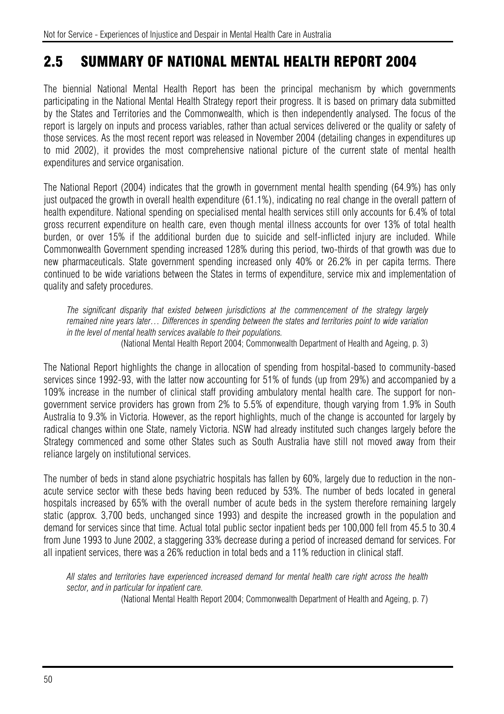# 2.5 SUMMARY OF NATIONAL MENTAL HEALTH REPORT 2004

The biennial National Mental Health Report has been the principal mechanism by which governments participating in the National Mental Health Strategy report their progress. It is based on primary data submitted by the States and Territories and the Commonwealth, which is then independently analysed. The focus of the report is largely on inputs and process variables, rather than actual services delivered or the quality or safety of those services. As the most recent report was released in November 2004 (detailing changes in expenditures up to mid 2002), it provides the most comprehensive national picture of the current state of mental health expenditures and service organisation.

The National Report (2004) indicates that the growth in government mental health spending (64.9%) has only just outpaced the growth in overall health expenditure (61.1%), indicating no real change in the overall pattern of health expenditure. National spending on specialised mental health services still only accounts for 6.4% of total gross recurrent expenditure on health care, even though mental illness accounts for over 13% of total health burden, or over 15% if the additional burden due to suicide and self-inflicted injury are included. While Commonwealth Government spending increased 128% during this period, two-thirds of that growth was due to new pharmaceuticals. State government spending increased only 40% or 26.2% in per capita terms. There continued to be wide variations between the States in terms of expenditure, service mix and implementation of quality and safety procedures.

*The significant disparity that existed between jurisdictions at the commencement of the strategy largely remained nine years later… Differences in spending between the states and territories point to wide variation in the level of mental health services available to their populations.*  (National Mental Health Report 2004; Commonwealth Department of Health and Ageing, p. 3)

The National Report highlights the change in allocation of spending from hospital-based to community-based services since 1992-93, with the latter now accounting for 51% of funds (up from 29%) and accompanied by a 109% increase in the number of clinical staff providing ambulatory mental health care. The support for nongovernment service providers has grown from 2% to 5.5% of expenditure, though varying from 1.9% in South Australia to 9.3% in Victoria. However, as the report highlights, much of the change is accounted for largely by radical changes within one State, namely Victoria. NSW had already instituted such changes largely before the Strategy commenced and some other States such as South Australia have still not moved away from their reliance largely on institutional services.

The number of beds in stand alone psychiatric hospitals has fallen by 60%, largely due to reduction in the nonacute service sector with these beds having been reduced by 53%. The number of beds located in general hospitals increased by 65% with the overall number of acute beds in the system therefore remaining largely static (approx. 3,700 beds, unchanged since 1993) and despite the increased growth in the population and demand for services since that time. Actual total public sector inpatient beds per 100,000 fell from 45.5 to 30.4 from June 1993 to June 2002, a staggering 33% decrease during a period of increased demand for services. For all inpatient services, there was a 26% reduction in total beds and a 11% reduction in clinical staff.

*All states and territories have experienced increased demand for mental health care right across the health sector, and in particular for inpatient care.* 

(National Mental Health Report 2004; Commonwealth Department of Health and Ageing, p. 7)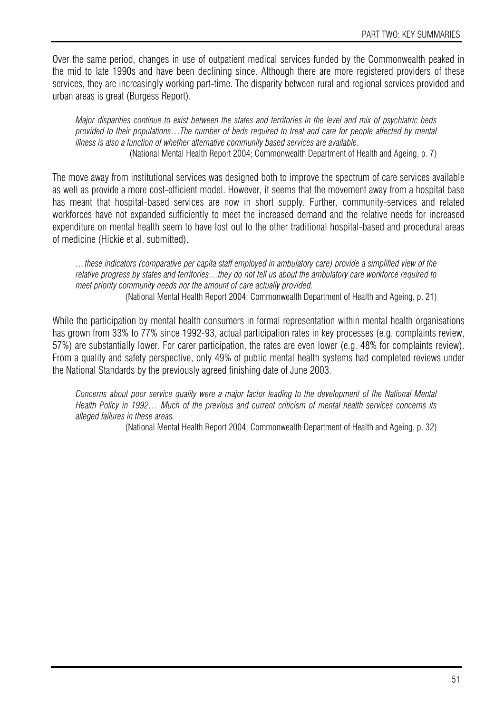Over the same period, changes in use of outpatient medical services funded by the Commonwealth peaked in the mid to late 1990s and have been declining since. Although there are more registered providers of these services, they are increasingly working part-time. The disparity between rural and regional services provided and urban areas is great (Burgess Report).

*Major disparities continue to exist between the states and territories in the level and mix of psychiatric beds provided to their populations…The number of beds required to treat and care for people affected by mental illness is also a function of whether alternative community based services are available.*  (National Mental Health Report 2004; Commonwealth Department of Health and Ageing, p. 7)

The move away from institutional services was designed both to improve the spectrum of care services available as well as provide a more cost-efficient model. However, it seems that the movement away from a hospital base has meant that hospital-based services are now in short supply. Further, community-services and related workforces have not expanded sufficiently to meet the increased demand and the relative needs for increased expenditure on mental health seem to have lost out to the other traditional hospital-based and procedural areas of medicine (Hickie et al. submitted).

*…these indicators (comparative per capita staff employed in ambulatory care) provide a simplified view of the relative progress by states and territories…they do not tell us about the ambulatory care workforce required to meet priority community needs nor the amount of care actually provided.*  (National Mental Health Report 2004; Commonwealth Department of Health and Ageing, p. 21)

While the participation by mental health consumers in formal representation within mental health organisations has grown from 33% to 77% since 1992-93, actual participation rates in key processes (e.g. complaints review, 57%) are substantially lower. For carer participation, the rates are even lower (e.g. 48% for complaints review). From a quality and safety perspective, only 49% of public mental health systems had completed reviews under the National Standards by the previously agreed finishing date of June 2003.

*Concerns about poor service quality were a major factor leading to the development of the National Mental Health Policy in 1992… Much of the previous and current criticism of mental health services concerns its alleged failures in these areas.* 

(National Mental Health Report 2004; Commonwealth Department of Health and Ageing, p. 32)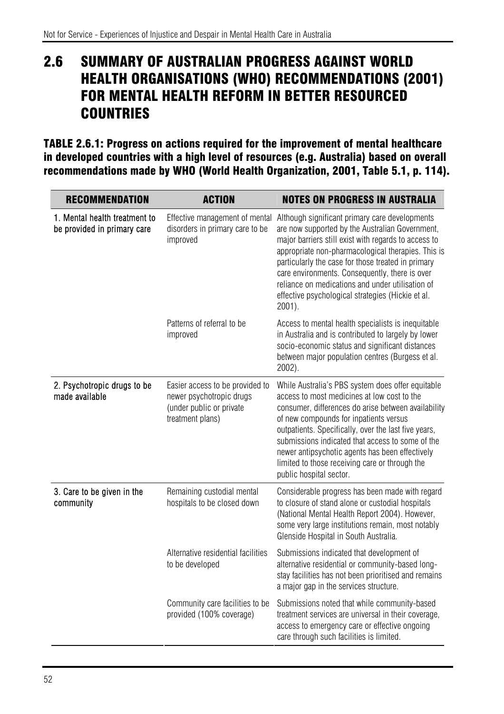# 2.6 SUMMARY OF AUSTRALIAN PROGRESS AGAINST WORLD HEALTH ORGANISATIONS (WHO) RECOMMENDATIONS (2001) FOR MENTAL HEALTH REFORM IN BETTER RESOURCED **COUNTRIES**

TABLE 2.6.1: Progress on actions required for the improvement of mental healthcare in developed countries with a high level of resources (e.g. Australia) based on overall recommendations made by WHO (World Health Organization, 2001, Table 5.1, p. 114).

| <b>RECOMMENDATION</b>                                        | <b>ACTION</b>                                                                                               | <b>NOTES ON PROGRESS IN AUSTRALIA</b>                                                                                                                                                                                                                                                                                                                                                                                                         |
|--------------------------------------------------------------|-------------------------------------------------------------------------------------------------------------|-----------------------------------------------------------------------------------------------------------------------------------------------------------------------------------------------------------------------------------------------------------------------------------------------------------------------------------------------------------------------------------------------------------------------------------------------|
| 1. Mental health treatment to<br>be provided in primary care | Effective management of mental<br>disorders in primary care to be<br>improved                               | Although significant primary care developments<br>are now supported by the Australian Government,<br>major barriers still exist with regards to access to<br>appropriate non-pharmacological therapies. This is<br>particularly the case for those treated in primary<br>care environments. Consequently, there is over<br>reliance on medications and under utilisation of<br>effective psychological strategies (Hickie et al.<br>$2001$ ). |
|                                                              | Patterns of referral to be<br>improved                                                                      | Access to mental health specialists is inequitable<br>in Australia and is contributed to largely by lower<br>socio-economic status and significant distances<br>between major population centres (Burgess et al.<br>2002).                                                                                                                                                                                                                    |
| 2. Psychotropic drugs to be<br>made available                | Easier access to be provided to<br>newer psychotropic drugs<br>(under public or private<br>treatment plans) | While Australia's PBS system does offer equitable<br>access to most medicines at low cost to the<br>consumer, differences do arise between availability<br>of new compounds for inpatients versus<br>outpatients. Specifically, over the last five years,<br>submissions indicated that access to some of the<br>newer antipsychotic agents has been effectively<br>limited to those receiving care or through the<br>public hospital sector. |
| 3. Care to be given in the<br>community                      | Remaining custodial mental<br>hospitals to be closed down                                                   | Considerable progress has been made with regard<br>to closure of stand alone or custodial hospitals<br>(National Mental Health Report 2004). However,<br>some very large institutions remain, most notably<br>Glenside Hospital in South Australia.                                                                                                                                                                                           |
|                                                              | Alternative residential facilities<br>to be developed                                                       | Submissions indicated that development of<br>alternative residential or community-based long-<br>stay facilities has not been prioritised and remains<br>a major gap in the services structure.                                                                                                                                                                                                                                               |
|                                                              | Community care facilities to be<br>provided (100% coverage)                                                 | Submissions noted that while community-based<br>treatment services are universal in their coverage,<br>access to emergency care or effective ongoing<br>care through such facilities is limited.                                                                                                                                                                                                                                              |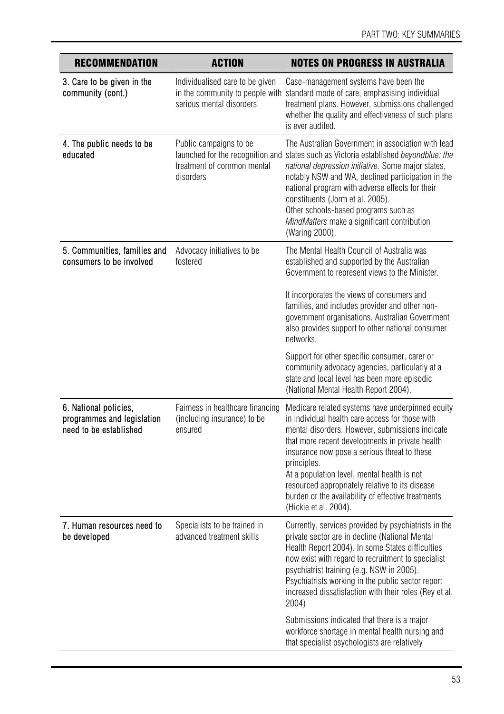| <b>RECOMMENDATION</b>                                                         | <b>ACTION</b>                                                                                  | <b>NOTES ON PROGRESS IN AUSTRALIA</b>                                                                                                                                                                                                                                                                                                                                                                                                                     |
|-------------------------------------------------------------------------------|------------------------------------------------------------------------------------------------|-----------------------------------------------------------------------------------------------------------------------------------------------------------------------------------------------------------------------------------------------------------------------------------------------------------------------------------------------------------------------------------------------------------------------------------------------------------|
| 3. Care to be given in the<br>community (cont.)                               | Individualised care to be given<br>in the community to people with<br>serious mental disorders | Case-management systems have been the<br>standard mode of care, emphasising individual<br>treatment plans. However, submissions challenged<br>whether the quality and effectiveness of such plans<br>is ever audited.                                                                                                                                                                                                                                     |
| 4. The public needs to be<br>educated                                         | Public campaigns to be<br>treatment of common mental<br>disorders                              | The Australian Government in association with lead<br>launched for the recognition and states such as Victoria established beyondblue: the<br>national depression initiative. Some major states,<br>notably NSW and WA, declined participation in the<br>national program with adverse effects for their<br>constituents (Jorm et al. 2005).<br>Other schools-based programs such as<br>MindMatters make a significant contribution<br>(Waring 2000).     |
| 5. Communities, families and<br>consumers to be involved                      | Advocacy initiatives to be<br>fostered                                                         | The Mental Health Council of Australia was<br>established and supported by the Australian<br>Government to represent views to the Minister.                                                                                                                                                                                                                                                                                                               |
|                                                                               |                                                                                                | It incorporates the views of consumers and<br>families, and includes provider and other non-<br>government organisations. Australian Government<br>also provides support to other national consumer<br>networks.                                                                                                                                                                                                                                          |
|                                                                               |                                                                                                | Support for other specific consumer, carer or<br>community advocacy agencies, particularly at a<br>state and local level has been more episodic<br>(National Mental Health Report 2004).                                                                                                                                                                                                                                                                  |
| 6. National policies,<br>programmes and legislation<br>need to be established | Fairness in healthcare financing<br>(including insurance) to be<br>ensured                     | Medicare related systems have underpinned equity<br>in individual health care access for those with<br>mental disorders. However, submissions indicate<br>that more recent developments in private health<br>insurance now pose a serious threat to these<br>principles.<br>At a population level, mental health is not<br>resourced appropriately relative to its disease<br>burden or the availability of effective treatments<br>(Hickie et al. 2004). |
| 7. Human resources need to<br>be developed                                    | Specialists to be trained in<br>advanced treatment skills                                      | Currently, services provided by psychiatrists in the<br>private sector are in decline (National Mental<br>Health Report 2004). In some States difficulties<br>now exist with regard to recruitment to specialist<br>psychiatrist training (e.g. NSW in 2005).<br>Psychiatrists working in the public sector report<br>increased dissatisfaction with their roles (Rey et al.<br>2004)                                                                     |
|                                                                               |                                                                                                | Submissions indicated that there is a major<br>workforce shortage in mental health nursing and<br>that specialist psychologists are relatively                                                                                                                                                                                                                                                                                                            |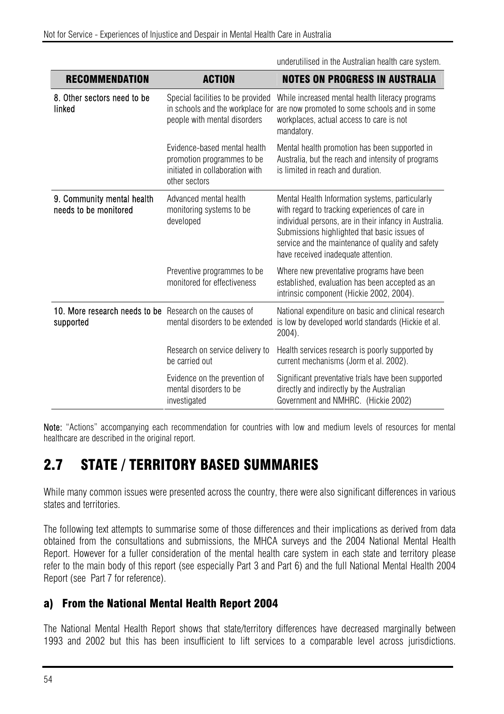| <b>RECOMMENDATION</b>                                                | <b>ACTION</b>                                                                                                  | <b>NOTES ON PROGRESS IN AUSTRALIA</b>                                                                                                                                                                                                                                                                   |
|----------------------------------------------------------------------|----------------------------------------------------------------------------------------------------------------|---------------------------------------------------------------------------------------------------------------------------------------------------------------------------------------------------------------------------------------------------------------------------------------------------------|
| 8. Other sectors need to be<br>linked                                | Special facilities to be provided<br>in schools and the workplace for<br>people with mental disorders          | While increased mental health literacy programs<br>are now promoted to some schools and in some<br>workplaces, actual access to care is not<br>mandatory.                                                                                                                                               |
|                                                                      | Evidence-based mental health<br>promotion programmes to be<br>initiated in collaboration with<br>other sectors | Mental health promotion has been supported in<br>Australia, but the reach and intensity of programs<br>is limited in reach and duration.                                                                                                                                                                |
| 9. Community mental health<br>needs to be monitored                  | Advanced mental health<br>monitoring systems to be<br>developed                                                | Mental Health Information systems, particularly<br>with regard to tracking experiences of care in<br>individual persons, are in their infancy in Australia.<br>Submissions highlighted that basic issues of<br>service and the maintenance of quality and safety<br>have received inadequate attention. |
|                                                                      | Preventive programmes to be<br>monitored for effectiveness                                                     | Where new preventative programs have been<br>established, evaluation has been accepted as an<br>intrinsic component (Hickie 2002, 2004).                                                                                                                                                                |
| 10. More research needs to be Research on the causes of<br>supported | mental disorders to be extended                                                                                | National expenditure on basic and clinical research<br>is low by developed world standards (Hickie et al.<br>$2004$ ).                                                                                                                                                                                  |
|                                                                      | Research on service delivery to<br>be carried out                                                              | Health services research is poorly supported by<br>current mechanisms (Jorm et al. 2002).                                                                                                                                                                                                               |
|                                                                      | Evidence on the prevention of<br>mental disorders to be<br>investigated                                        | Significant preventative trials have been supported<br>directly and indirectly by the Australian<br>Government and NMHRC. (Hickie 2002)                                                                                                                                                                 |

underutilised in the Australian health care system.

Note: "Actions" accompanying each recommendation for countries with low and medium levels of resources for mental healthcare are described in the original report.

# 2.7 STATE / TERRITORY BASED SUMMARIES

While many common issues were presented across the country, there were also significant differences in various states and territories.

The following text attempts to summarise some of those differences and their implications as derived from data obtained from the consultations and submissions, the MHCA surveys and the 2004 National Mental Health Report. However for a fuller consideration of the mental health care system in each state and territory please refer to the main body of this report (see especially Part 3 and Part 6) and the full National Mental Health 2004 Report (see Part 7 for reference).

## a) From the National Mental Health Report 2004

The National Mental Health Report shows that state/territory differences have decreased marginally between 1993 and 2002 but this has been insufficient to lift services to a comparable level across jurisdictions.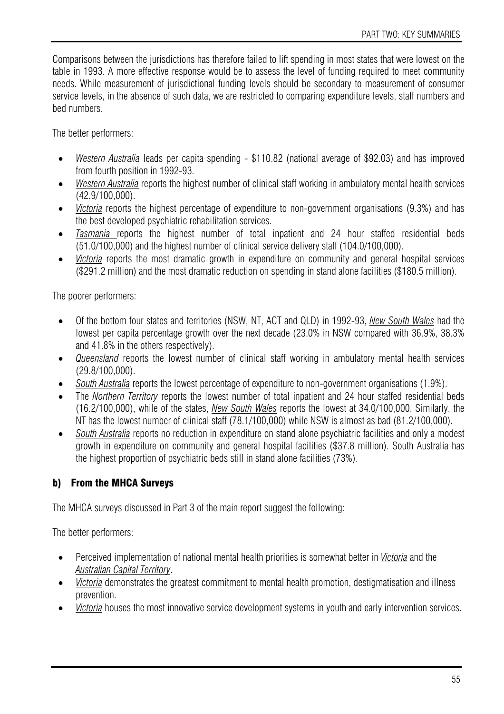Comparisons between the jurisdictions has therefore failed to lift spending in most states that were lowest on the table in 1993. A more effective response would be to assess the level of funding required to meet community needs. While measurement of jurisdictional funding levels should be secondary to measurement of consumer service levels, in the absence of such data, we are restricted to comparing expenditure levels, staff numbers and bed numbers.

The better performers:

- *Western Australia* leads per capita spending \$110.82 (national average of \$92.03) and has improved from fourth position in 1992-93.
- *Western Australia* reports the highest number of clinical staff working in ambulatory mental health services (42.9/100,000).
- *Victoria* reports the highest percentage of expenditure to non-government organisations (9.3%) and has the best developed psychiatric rehabilitation services.
- *Tasmania* reports the highest number of total inpatient and 24 hour staffed residential beds (51.0/100,000) and the highest number of clinical service delivery staff (104.0/100,000).
- *Victoria* reports the most dramatic growth in expenditure on community and general hospital services (\$291.2 million) and the most dramatic reduction on spending in stand alone facilities (\$180.5 million).

The poorer performers:

- Of the bottom four states and territories (NSW, NT, ACT and QLD) in 1992-93, *New South Wales* had the lowest per capita percentage growth over the next decade (23.0% in NSW compared with 36.9%, 38.3% and 41.8% in the others respectively).
- *Queensland* reports the lowest number of clinical staff working in ambulatory mental health services (29.8/100,000).
- *South Australia* reports the lowest percentage of expenditure to non-government organisations (1.9%).
- The *Northern Territory* reports the lowest number of total inpatient and 24 hour staffed residential beds (16.2/100,000), while of the states, *New South Wales* reports the lowest at 34.0/100,000. Similarly, the NT has the lowest number of clinical staff (78.1/100,000) while NSW is almost as bad (81.2/100,000).
- *South Australia* reports no reduction in expenditure on stand alone psychiatric facilities and only a modest growth in expenditure on community and general hospital facilities (\$37.8 million). South Australia has the highest proportion of psychiatric beds still in stand alone facilities (73%).

#### b) From the MHCA Surveys

The MHCA surveys discussed in Part 3 of the main report suggest the following:

The better performers:

- Perceived implementation of national mental health priorities is somewhat better in *Victoria* and the *Australian Capital Territory*.
- *Victoria* demonstrates the greatest commitment to mental health promotion, destigmatisation and illness prevention.
- *Victoria* houses the most innovative service development systems in youth and early intervention services.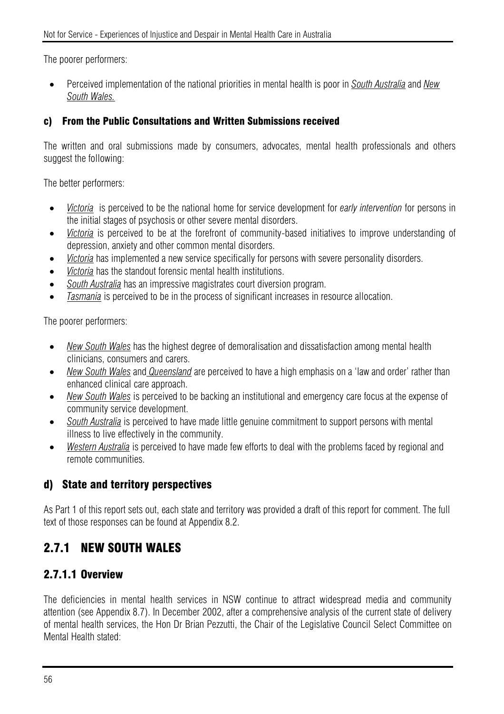The poorer performers:

• Perceived implementation of the national priorities in mental health is poor in *South Australia* and *New South Wales.*

#### c) From the Public Consultations and Written Submissions received

The written and oral submissions made by consumers, advocates, mental health professionals and others suggest the following:

The better performers:

- *Victoria* is perceived to be the national home for service development for *early intervention* for persons in the initial stages of psychosis or other severe mental disorders.
- *Victoria* is perceived to be at the forefront of community-based initiatives to improve understanding of depression, anxiety and other common mental disorders.
- *Victoria* has implemented a new service specifically for persons with severe personality disorders.
- *Victoria* has the standout forensic mental health institutions.
- *South Australia* has an impressive magistrates court diversion program.
- *Tasmania* is perceived to be in the process of significant increases in resource allocation.

The poorer performers:

- *New South Wales* has the highest degree of demoralisation and dissatisfaction among mental health clinicians, consumers and carers.
- *New South Wales* and *Queensland* are perceived to have a high emphasis on a 'law and order' rather than enhanced clinical care approach.
- *New South Wales* is perceived to be backing an institutional and emergency care focus at the expense of community service development.
- *South Australia* is perceived to have made little genuine commitment to support persons with mental illness to live effectively in the community.
- *Western Australia* is perceived to have made few efforts to deal with the problems faced by regional and remote communities.

## d) State and territory perspectives

As Part 1 of this report sets out, each state and territory was provided a draft of this report for comment. The full text of those responses can be found at Appendix 8.2.

## 2.7.1 NEW SOUTH WALES

## 2.7.1.1 Overview

The deficiencies in mental health services in NSW continue to attract widespread media and community attention (see Appendix 8.7). In December 2002, after a comprehensive analysis of the current state of delivery of mental health services, the Hon Dr Brian Pezzutti, the Chair of the Legislative Council Select Committee on Mental Health stated: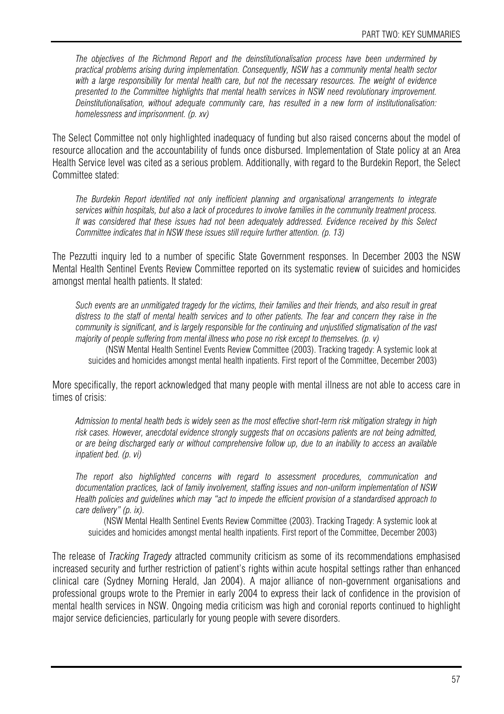*The objectives of the Richmond Report and the deinstitutionalisation process have been undermined by practical problems arising during implementation. Consequently, NSW has a community mental health sector*  with a large responsibility for mental health care, but not the necessary resources. The weight of evidence *presented to the Committee highlights that mental health services in NSW need revolutionary improvement. Deinstitutionalisation, without adequate community care, has resulted in a new form of institutionalisation: homelessness and imprisonment. (p. xv)* 

The Select Committee not only highlighted inadequacy of funding but also raised concerns about the model of resource allocation and the accountability of funds once disbursed. Implementation of State policy at an Area Health Service level was cited as a serious problem. Additionally, with regard to the Burdekin Report, the Select Committee stated:

*The Burdekin Report identified not only inefficient planning and organisational arrangements to integrate services within hospitals, but also a lack of procedures to involve families in the community treatment process. It was considered that these issues had not been adequately addressed. Evidence received by this Select Committee indicates that in NSW these issues still require further attention. (p. 13)* 

The Pezzutti inquiry led to a number of specific State Government responses. In December 2003 the NSW Mental Health Sentinel Events Review Committee reported on its systematic review of suicides and homicides amongst mental health patients. It stated:

*Such events are an unmitigated tragedy for the victims, their families and their friends, and also result in great distress to the staff of mental health services and to other patients. The fear and concern they raise in the community is significant, and is largely responsible for the continuing and unjustified stigmatisation of the vast majority of people suffering from mental illness who pose no risk except to themselves. (p. v)* 

(NSW Mental Health Sentinel Events Review Committee (2003). Tracking tragedy: A systemic look at suicides and homicides amongst mental health inpatients. First report of the Committee, December 2003)

More specifically, the report acknowledged that many people with mental illness are not able to access care in times of crisis:

*Admission to mental health beds is widely seen as the most effective short-term risk mitigation strategy in high risk cases. However, anecdotal evidence strongly suggests that on occasions patients are not being admitted, or are being discharged early or without comprehensive follow up, due to an inability to access an available inpatient bed. (p. vi)* 

*The report also highlighted concerns with regard to assessment procedures, communication and documentation practices, lack of family involvement, staffing issues and non-uniform implementation of NSW Health policies and guidelines which may "act to impede the efficient provision of a standardised approach to care delivery" (p. ix).* 

(NSW Mental Health Sentinel Events Review Committee (2003). Tracking Tragedy: A systemic look at suicides and homicides amongst mental health inpatients. First report of the Committee, December 2003)

The release of *Tracking Tragedy* attracted community criticism as some of its recommendations emphasised increased security and further restriction of patient's rights within acute hospital settings rather than enhanced clinical care (Sydney Morning Herald, Jan 2004). A major alliance of non-government organisations and professional groups wrote to the Premier in early 2004 to express their lack of confidence in the provision of mental health services in NSW. Ongoing media criticism was high and coronial reports continued to highlight major service deficiencies, particularly for young people with severe disorders.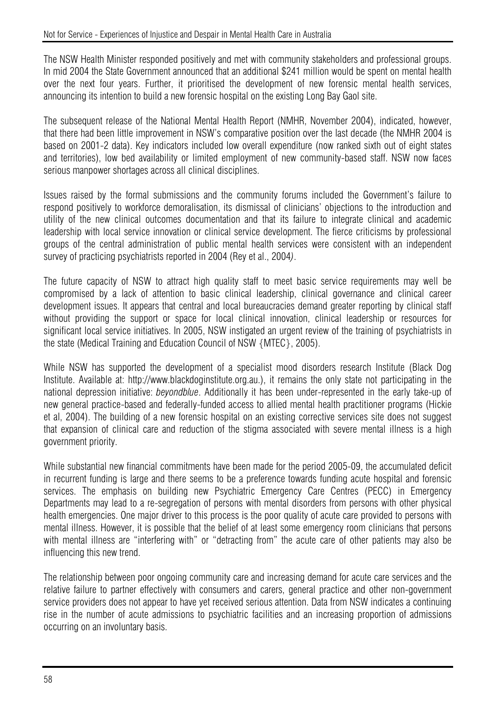The NSW Health Minister responded positively and met with community stakeholders and professional groups. In mid 2004 the State Government announced that an additional \$241 million would be spent on mental health over the next four years. Further, it prioritised the development of new forensic mental health services, announcing its intention to build a new forensic hospital on the existing Long Bay Gaol site.

The subsequent release of the National Mental Health Report (NMHR, November 2004), indicated, however, that there had been little improvement in NSW's comparative position over the last decade (the NMHR 2004 is based on 2001-2 data). Key indicators included low overall expenditure (now ranked sixth out of eight states and territories), low bed availability or limited employment of new community-based staff. NSW now faces serious manpower shortages across all clinical disciplines.

Issues raised by the formal submissions and the community forums included the Government's failure to respond positively to workforce demoralisation, its dismissal of clinicians' objections to the introduction and utility of the new clinical outcomes documentation and that its failure to integrate clinical and academic leadership with local service innovation or clinical service development. The fierce criticisms by professional groups of the central administration of public mental health services were consistent with an independent survey of practicing psychiatrists reported in 2004 (Rey et al., 2004*)*.

The future capacity of NSW to attract high quality staff to meet basic service requirements may well be compromised by a lack of attention to basic clinical leadership, clinical governance and clinical career development issues. It appears that central and local bureaucracies demand greater reporting by clinical staff without providing the support or space for local clinical innovation, clinical leadership or resources for significant local service initiatives. In 2005, NSW instigated an urgent review of the training of psychiatrists in the state (Medical Training and Education Council of NSW {MTEC}, 2005).

While NSW has supported the development of a specialist mood disorders research Institute (Black Dog Institute. Available at: http://www.blackdoginstitute.org.au.), it remains the only state not participating in the national depression initiative: *beyondblue*. Additionally it has been under-represented in the early take-up of new general practice-based and federally-funded access to allied mental health practitioner programs (Hickie et al. 2004). The building of a new forensic hospital on an existing corrective services site does not suggest that expansion of clinical care and reduction of the stigma associated with severe mental illness is a high government priority.

While substantial new financial commitments have been made for the period 2005-09, the accumulated deficit in recurrent funding is large and there seems to be a preference towards funding acute hospital and forensic services. The emphasis on building new Psychiatric Emergency Care Centres (PECC) in Emergency Departments may lead to a re-segregation of persons with mental disorders from persons with other physical health emergencies. One major driver to this process is the poor quality of acute care provided to persons with mental illness. However, it is possible that the belief of at least some emergency room clinicians that persons with mental illness are "interfering with" or "detracting from" the acute care of other patients may also be influencing this new trend.

The relationship between poor ongoing community care and increasing demand for acute care services and the relative failure to partner effectively with consumers and carers, general practice and other non-government service providers does not appear to have yet received serious attention. Data from NSW indicates a continuing rise in the number of acute admissions to psychiatric facilities and an increasing proportion of admissions occurring on an involuntary basis.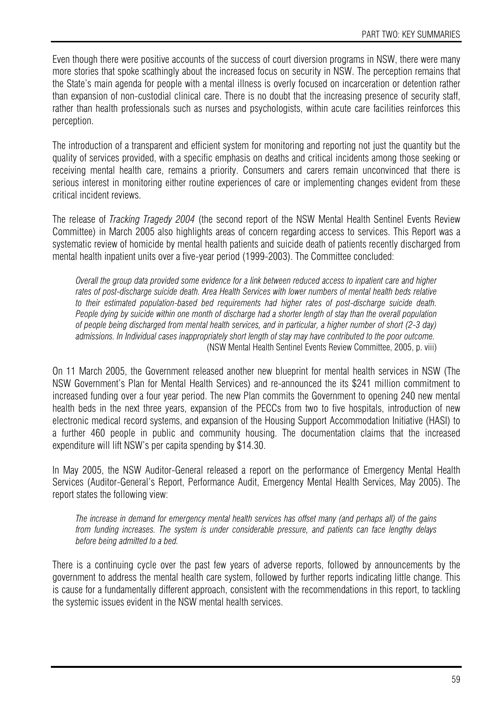Even though there were positive accounts of the success of court diversion programs in NSW, there were many more stories that spoke scathingly about the increased focus on security in NSW. The perception remains that the State's main agenda for people with a mental illness is overly focused on incarceration or detention rather than expansion of non-custodial clinical care. There is no doubt that the increasing presence of security staff, rather than health professionals such as nurses and psychologists, within acute care facilities reinforces this perception.

The introduction of a transparent and efficient system for monitoring and reporting not just the quantity but the quality of services provided, with a specific emphasis on deaths and critical incidents among those seeking or receiving mental health care, remains a priority. Consumers and carers remain unconvinced that there is serious interest in monitoring either routine experiences of care or implementing changes evident from these critical incident reviews.

The release of *Tracking Tragedy 2004* (the second report of the NSW Mental Health Sentinel Events Review Committee) in March 2005 also highlights areas of concern regarding access to services. This Report was a systematic review of homicide by mental health patients and suicide death of patients recently discharged from mental health inpatient units over a five-year period (1999-2003). The Committee concluded:

*Overall the group data provided some evidence for a link between reduced access to inpatient care and higher rates of post-discharge suicide death. Area Health Services with lower numbers of mental health beds relative to their estimated population-based bed requirements had higher rates of post-discharge suicide death. People dying by suicide within one month of discharge had a shorter length of stay than the overall population of people being discharged from mental health services, and in particular, a higher number of short (2-3 day) admissions. In Individual cases inappropriately short length of stay may have contributed to the poor outcome.*  (NSW Mental Health Sentinel Events Review Committee, 2005, p. viii)

On 11 March 2005, the Government released another new blueprint for mental health services in NSW (The NSW Government's Plan for Mental Health Services) and re-announced the its \$241 million commitment to increased funding over a four year period. The new Plan commits the Government to opening 240 new mental health beds in the next three years, expansion of the PECCs from two to five hospitals, introduction of new electronic medical record systems, and expansion of the Housing Support Accommodation Initiative (HASI) to a further 460 people in public and community housing. The documentation claims that the increased expenditure will lift NSW's per capita spending by \$14.30.

In May 2005, the NSW Auditor-General released a report on the performance of Emergency Mental Health Services (Auditor-General's Report, Performance Audit, Emergency Mental Health Services, May 2005). The report states the following view:

*The increase in demand for emergency mental health services has offset many (and perhaps all) of the gains from funding increases. The system is under considerable pressure, and patients can face lengthy delays before being admitted to a bed.* 

There is a continuing cycle over the past few years of adverse reports, followed by announcements by the government to address the mental health care system, followed by further reports indicating little change. This is cause for a fundamentally different approach, consistent with the recommendations in this report, to tackling the systemic issues evident in the NSW mental health services.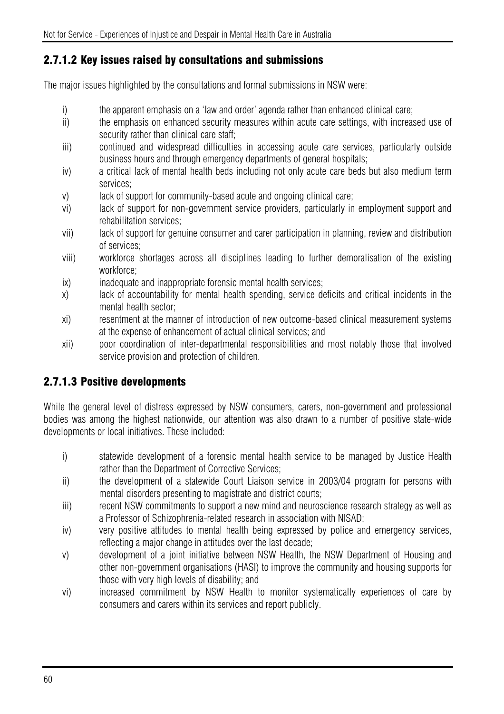## 2.7.1.2 Key issues raised by consultations and submissions

The major issues highlighted by the consultations and formal submissions in NSW were:

- i) the apparent emphasis on a 'law and order' agenda rather than enhanced clinical care;
- ii) the emphasis on enhanced security measures within acute care settings, with increased use of security rather than clinical care staff;
- iii) continued and widespread difficulties in accessing acute care services, particularly outside business hours and through emergency departments of general hospitals;
- iv) a critical lack of mental health beds including not only acute care beds but also medium term services;
- v) lack of support for community-based acute and ongoing clinical care;
- vi) lack of support for non-government service providers, particularly in employment support and rehabilitation services;
- vii) lack of support for genuine consumer and carer participation in planning, review and distribution of services;
- viii) workforce shortages across all disciplines leading to further demoralisation of the existing workforce;
- ix) inadequate and inappropriate forensic mental health services;
- x) lack of accountability for mental health spending, service deficits and critical incidents in the mental health sector;
- xi) resentment at the manner of introduction of new outcome-based clinical measurement systems at the expense of enhancement of actual clinical services; and
- xii) poor coordination of inter-departmental responsibilities and most notably those that involved service provision and protection of children.

## 2.7.1.3 Positive developments

While the general level of distress expressed by NSW consumers, carers, non-government and professional bodies was among the highest nationwide, our attention was also drawn to a number of positive state-wide developments or local initiatives. These included:

- i) statewide development of a forensic mental health service to be managed by Justice Health rather than the Department of Corrective Services;
- ii) the development of a statewide Court Liaison service in 2003/04 program for persons with mental disorders presenting to magistrate and district courts;
- iii) recent NSW commitments to support a new mind and neuroscience research strategy as well as a Professor of Schizophrenia-related research in association with NISAD;
- iv) very positive attitudes to mental health being expressed by police and emergency services, reflecting a major change in attitudes over the last decade;
- v) development of a joint initiative between NSW Health, the NSW Department of Housing and other non-government organisations (HASI) to improve the community and housing supports for those with very high levels of disability; and
- vi) increased commitment by NSW Health to monitor systematically experiences of care by consumers and carers within its services and report publicly.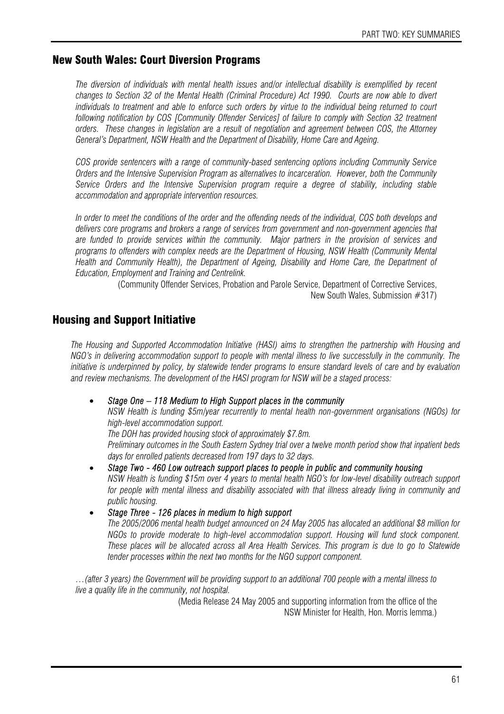#### New South Wales: Court Diversion Programs

*The diversion of individuals with mental health issues and/or intellectual disability is exemplified by recent changes to Section 32 of the Mental Health (Criminal Procedure) Act 1990. Courts are now able to divert individuals to treatment and able to enforce such orders by virtue to the individual being returned to court following notification by COS [Community Offender Services] of failure to comply with Section 32 treatment orders. These changes in legislation are a result of negotiation and agreement between COS, the Attorney General's Department, NSW Health and the Department of Disability, Home Care and Ageing.* 

*COS provide sentencers with a range of community-based sentencing options including Community Service Orders and the Intensive Supervision Program as alternatives to incarceration. However, both the Community Service Orders and the Intensive Supervision program require a degree of stability, including stable accommodation and appropriate intervention resources.* 

*In order to meet the conditions of the order and the offending needs of the individual, COS both develops and delivers core programs and brokers a range of services from government and non-government agencies that are funded to provide services within the community. Major partners in the provision of services and programs to offenders with complex needs are the Department of Housing, NSW Health (Community Mental Health and Community Health), the Department of Ageing, Disability and Home Care, the Department of Education, Employment and Training and Centrelink.* 

(Community Offender Services, Probation and Parole Service, Department of Corrective Services, New South Wales, Submission #317)

#### Housing and Support Initiative

*The Housing and Supported Accommodation Initiative (HASI) aims to strengthen the partnership with Housing and NGO's in delivering accommodation support to people with mental illness to live successfully in the community. The initiative is underpinned by policy, by statewide tender programs to ensure standard levels of care and by evaluation and review mechanisms. The development of the HASI program for NSW will be a staged process:* 

#### • *Stage One – 118 Medium to High Support places in the community*

*NSW Health is funding \$5m/year recurrently to mental health non-government organisations (NGOs) for high-level accommodation support.* 

*The DOH has provided housing stock of approximately \$7.8m.* 

*Preliminary outcomes in the South Eastern Sydney trial over a twelve month period show that inpatient beds days for enrolled patients decreased from 197 days to 32 days.* 

• *Stage Two - 460 Low outreach support places to people in public and community housing NSW Health is funding \$15m over 4 years to mental health NGO's for low-level disability outreach support for people with mental illness and disability associated with that illness already living in community and public housing.* 

• *Stage Three - 126 places in medium to high support* 

*The 2005/2006 mental health budget announced on 24 May 2005 has allocated an additional \$8 million for NGOs to provide moderate to high-level accommodation support. Housing will fund stock component. These places will be allocated across all Area Health Services. This program is due to go to Statewide tender processes within the next two months for the NGO support component.* 

*…(after 3 years) the Government will be providing support to an additional 700 people with a mental illness to live a quality life in the community, not hospital.* 

(Media Release 24 May 2005 and supporting information from the office of the NSW Minister for Health, Hon. Morris Iemma.)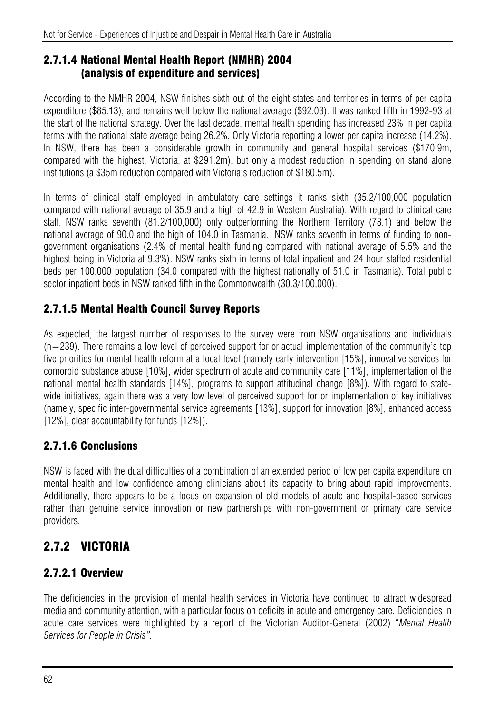#### 2.7.1.4 National Mental Health Report (NMHR) 2004 (analysis of expenditure and services)

According to the NMHR 2004, NSW finishes sixth out of the eight states and territories in terms of per capita expenditure (\$85.13), and remains well below the national average (\$92.03). It was ranked fifth in 1992-93 at the start of the national strategy. Over the last decade, mental health spending has increased 23% in per capita terms with the national state average being 26.2%. Only Victoria reporting a lower per capita increase (14.2%). In NSW, there has been a considerable growth in community and general hospital services (\$170.9m, compared with the highest, Victoria, at \$291.2m), but only a modest reduction in spending on stand alone institutions (a \$35m reduction compared with Victoria's reduction of \$180.5m).

In terms of clinical staff employed in ambulatory care settings it ranks sixth (35.2/100,000 population compared with national average of 35.9 and a high of 42.9 in Western Australia). With regard to clinical care staff, NSW ranks seventh (81.2/100,000) only outperforming the Northern Territory (78.1) and below the national average of 90.0 and the high of 104.0 in Tasmania. NSW ranks seventh in terms of funding to nongovernment organisations (2.4% of mental health funding compared with national average of 5.5% and the highest being in Victoria at 9.3%). NSW ranks sixth in terms of total inpatient and 24 hour staffed residential beds per 100,000 population (34.0 compared with the highest nationally of 51.0 in Tasmania). Total public sector inpatient beds in NSW ranked fifth in the Commonwealth (30.3/100,000).

## 2.7.1.5 Mental Health Council Survey Reports

As expected, the largest number of responses to the survey were from NSW organisations and individuals  $(n=239)$ . There remains a low level of perceived support for or actual implementation of the community's top five priorities for mental health reform at a local level (namely early intervention [15%], innovative services for comorbid substance abuse [10%], wider spectrum of acute and community care [11%], implementation of the national mental health standards [14%], programs to support attitudinal change [8%]). With regard to statewide initiatives, again there was a very low level of perceived support for or implementation of key initiatives (namely, specific inter-governmental service agreements [13%], support for innovation [8%], enhanced access [12%], clear accountability for funds [12%]).

## 2.7.1.6 Conclusions

NSW is faced with the dual difficulties of a combination of an extended period of low per capita expenditure on mental health and low confidence among clinicians about its capacity to bring about rapid improvements. Additionally, there appears to be a focus on expansion of old models of acute and hospital-based services rather than genuine service innovation or new partnerships with non-government or primary care service providers.

# 2.7.2 VICTORIA

## 2.7.2.1 Overview

The deficiencies in the provision of mental health services in Victoria have continued to attract widespread media and community attention, with a particular focus on deficits in acute and emergency care. Deficiencies in acute care services were highlighted by a report of the Victorian Auditor-General (2002) "*Mental Health Services for People in Crisis".*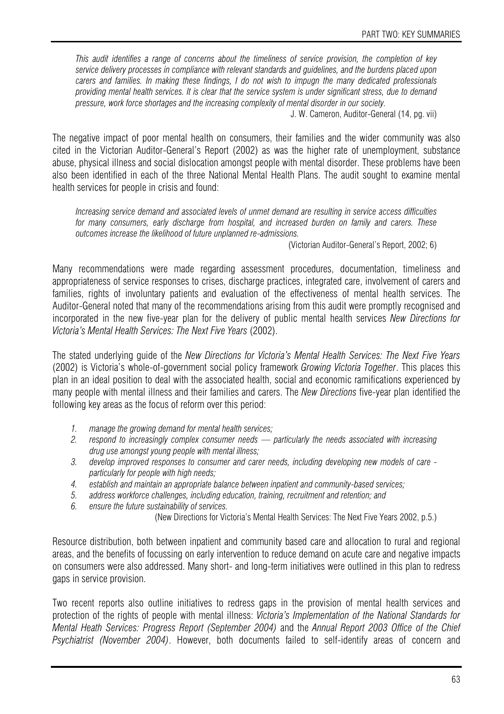*This audit identifies a range of concerns about the timeliness of service provision, the completion of key service delivery processes in compliance with relevant standards and guidelines, and the burdens placed upon carers and families. In making these findings, I do not wish to impugn the many dedicated professionals providing mental health services. It is clear that the service system is under significant stress, due to demand pressure, work force shortages and the increasing complexity of mental disorder in our society.* 

J. W. Cameron, Auditor-General (14, pg. vii)

The negative impact of poor mental health on consumers, their families and the wider community was also cited in the Victorian Auditor-General's Report (2002) as was the higher rate of unemployment, substance abuse, physical illness and social dislocation amongst people with mental disorder. These problems have been also been identified in each of the three National Mental Health Plans. The audit sought to examine mental health services for people in crisis and found:

*Increasing service demand and associated levels of unmet demand are resulting in service access difficulties for many consumers, early discharge from hospital, and increased burden on family and carers. These outcomes increase the likelihood of future unplanned re-admissions.* 

(Victorian Auditor-General's Report, 2002; 6)

Many recommendations were made regarding assessment procedures, documentation, timeliness and appropriateness of service responses to crises, discharge practices, integrated care, involvement of carers and families, rights of involuntary patients and evaluation of the effectiveness of mental health services. The Auditor-General noted that many of the recommendations arising from this audit were promptly recognised and incorporated in the new five-year plan for the delivery of public mental health services *New Directions for Victoria's Mental Health Services: The Next Five Years* (2002).

The stated underlying guide of the *New Directions for Victoria's Mental Health Services: The Next Five Years* (2002) is Victoria's whole-of-government social policy framework *Growing Victoria Together*. This places this plan in an ideal position to deal with the associated health, social and economic ramifications experienced by many people with mental illness and their families and carers. The *New Directions* five-year plan identified the following key areas as the focus of reform over this period:

- *1. manage the growing demand for mental health services;*
- *2. respond to increasingly complex consumer needs particularly the needs associated with increasing drug use amongst young people with mental illness;*
- *3. develop improved responses to consumer and carer needs, including developing new models of care particularly for people with high needs;*
- *4. establish and maintain an appropriate balance between inpatient and community-based services;*
- *5. address workforce challenges, including education, training, recruitment and retention; and*
- *6. ensure the future sustainability of services.* 
	- (New Directions for Victoria's Mental Health Services: The Next Five Years 2002, p.5.)

Resource distribution, both between inpatient and community based care and allocation to rural and regional areas, and the benefits of focussing on early intervention to reduce demand on acute care and negative impacts on consumers were also addressed. Many short- and long-term initiatives were outlined in this plan to redress gaps in service provision.

Two recent reports also outline initiatives to redress gaps in the provision of mental health services and protection of the rights of people with mental illness: *Victoria's Implementation of the National Standards for Mental Heath Services: Progress Report (September 2004)* and the *Annual Report 2003 Office of the Chief Psychiatrist (November 2004)*. However, both documents failed to self-identify areas of concern and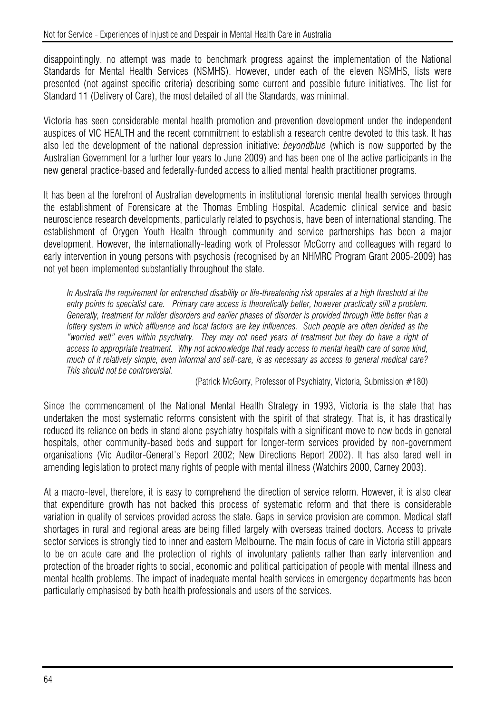disappointingly, no attempt was made to benchmark progress against the implementation of the National Standards for Mental Health Services (NSMHS). However, under each of the eleven NSMHS, lists were presented (not against specific criteria) describing some current and possible future initiatives. The list for Standard 11 (Delivery of Care), the most detailed of all the Standards, was minimal.

Victoria has seen considerable mental health promotion and prevention development under the independent auspices of VIC HEALTH and the recent commitment to establish a research centre devoted to this task. It has also led the development of the national depression initiative: *beyondblue* (which is now supported by the Australian Government for a further four years to June 2009) and has been one of the active participants in the new general practice-based and federally-funded access to allied mental health practitioner programs.

It has been at the forefront of Australian developments in institutional forensic mental health services through the establishment of Forensicare at the Thomas Embling Hospital. Academic clinical service and basic neuroscience research developments, particularly related to psychosis, have been of international standing. The establishment of Orygen Youth Health through community and service partnerships has been a major development. However, the internationally-leading work of Professor McGorry and colleagues with regard to early intervention in young persons with psychosis (recognised by an NHMRC Program Grant 2005-2009) has not yet been implemented substantially throughout the state.

In Australia the requirement for entrenched disability or life-threatening risk operates at a high threshold at the entry points to specialist care. Primary care access is theoretically better, however practically still a problem. *Generally, treatment for milder disorders and earlier phases of disorder is provided through little better than a lottery system in which affluence and local factors are key influences. Such people are often derided as the "worried well" even within psychiatry. They may not need years of treatment but they do have a right of access to appropriate treatment. Why not acknowledge that ready access to mental health care of some kind, much of it relatively simple, even informal and self-care, is as necessary as access to general medical care? This should not be controversial.* 

(Patrick McGorry, Professor of Psychiatry, Victoria, Submission #180)

Since the commencement of the National Mental Health Strategy in 1993, Victoria is the state that has undertaken the most systematic reforms consistent with the spirit of that strategy. That is, it has drastically reduced its reliance on beds in stand alone psychiatry hospitals with a significant move to new beds in general hospitals, other community-based beds and support for longer-term services provided by non-government organisations (Vic Auditor-General's Report 2002; New Directions Report 2002). It has also fared well in amending legislation to protect many rights of people with mental illness (Watchirs 2000, Carney 2003).

At a macro-level, therefore, it is easy to comprehend the direction of service reform. However, it is also clear that expenditure growth has not backed this process of systematic reform and that there is considerable variation in quality of services provided across the state. Gaps in service provision are common. Medical staff shortages in rural and regional areas are being filled largely with overseas trained doctors. Access to private sector services is strongly tied to inner and eastern Melbourne. The main focus of care in Victoria still appears to be on acute care and the protection of rights of involuntary patients rather than early intervention and protection of the broader rights to social, economic and political participation of people with mental illness and mental health problems. The impact of inadequate mental health services in emergency departments has been particularly emphasised by both health professionals and users of the services.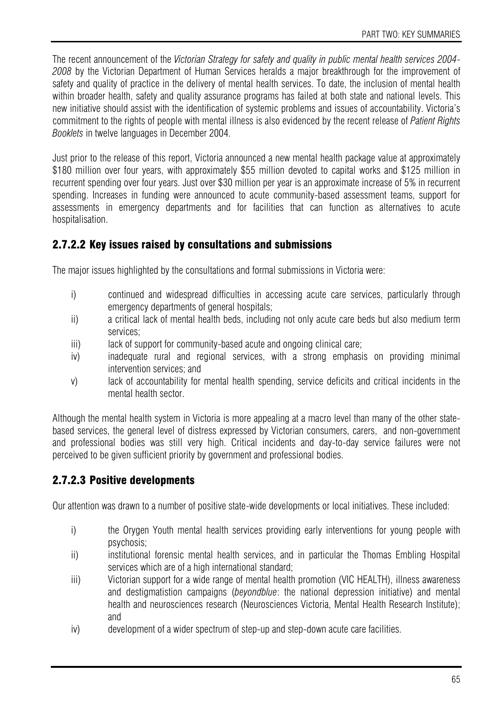The recent announcement of the *Victorian Strategy for safety and quality in public mental health services 2004- 2008* by the Victorian Department of Human Services heralds a major breakthrough for the improvement of safety and quality of practice in the delivery of mental health services. To date, the inclusion of mental health within broader health, safety and quality assurance programs has failed at both state and national levels. This new initiative should assist with the identification of systemic problems and issues of accountability. Victoria's commitment to the rights of people with mental illness is also evidenced by the recent release of *Patient Rights Booklets* in twelve languages in December 2004.

Just prior to the release of this report, Victoria announced a new mental health package value at approximately \$180 million over four years, with approximately \$55 million devoted to capital works and \$125 million in recurrent spending over four years. Just over \$30 million per year is an approximate increase of 5% in recurrent spending. Increases in funding were announced to acute community-based assessment teams, support for assessments in emergency departments and for facilities that can function as alternatives to acute hospitalisation.

## 2.7.2.2 Key issues raised by consultations and submissions

The major issues highlighted by the consultations and formal submissions in Victoria were:

- i) continued and widespread difficulties in accessing acute care services, particularly through emergency departments of general hospitals;
- ii) a critical lack of mental health beds, including not only acute care beds but also medium term services;
- iii) lack of support for community-based acute and ongoing clinical care;
- iv) inadequate rural and regional services, with a strong emphasis on providing minimal intervention services; and
- v) lack of accountability for mental health spending, service deficits and critical incidents in the mental health sector.

Although the mental health system in Victoria is more appealing at a macro level than many of the other statebased services, the general level of distress expressed by Victorian consumers, carers, and non-government and professional bodies was still very high. Critical incidents and day-to-day service failures were not perceived to be given sufficient priority by government and professional bodies.

## 2.7.2.3 Positive developments

Our attention was drawn to a number of positive state-wide developments or local initiatives. These included:

- i) the Orygen Youth mental health services providing early interventions for young people with psychosis;
- ii) institutional forensic mental health services, and in particular the Thomas Embling Hospital services which are of a high international standard;
- iii) Victorian support for a wide range of mental health promotion (VIC HEALTH), illness awareness and destigmatistion campaigns (*beyondblue*: the national depression initiative) and mental health and neurosciences research (Neurosciences Victoria, Mental Health Research Institute); and
- iv) development of a wider spectrum of step-up and step-down acute care facilities.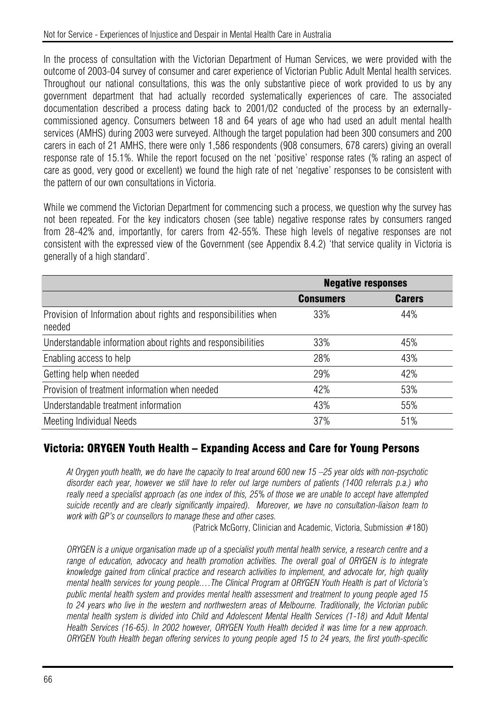In the process of consultation with the Victorian Department of Human Services, we were provided with the outcome of 2003-04 survey of consumer and carer experience of Victorian Public Adult Mental health services. Throughout our national consultations, this was the only substantive piece of work provided to us by any government department that had actually recorded systematically experiences of care. The associated documentation described a process dating back to 2001/02 conducted of the process by an externallycommissioned agency. Consumers between 18 and 64 years of age who had used an adult mental health services (AMHS) during 2003 were surveyed. Although the target population had been 300 consumers and 200 carers in each of 21 AMHS, there were only 1,586 respondents (908 consumers, 678 carers) giving an overall response rate of 15.1%. While the report focused on the net 'positive' response rates (% rating an aspect of care as good, very good or excellent) we found the high rate of net 'negative' responses to be consistent with the pattern of our own consultations in Victoria.

While we commend the Victorian Department for commencing such a process, we question why the survey has not been repeated. For the key indicators chosen (see table) negative response rates by consumers ranged from 28-42% and, importantly, for carers from 42-55%. These high levels of negative responses are not consistent with the expressed view of the Government (see Appendix 8.4.2) 'that service quality in Victoria is generally of a high standard'.

|                                                                           | <b>Negative responses</b> |               |
|---------------------------------------------------------------------------|---------------------------|---------------|
|                                                                           | <b>Consumers</b>          | <b>Carers</b> |
| Provision of Information about rights and responsibilities when<br>needed | 33%                       | 44%           |
| Understandable information about rights and responsibilities              | 33%                       | 45%           |
| Enabling access to help                                                   | 28%                       | 43%           |
| Getting help when needed                                                  | 29%                       | 42%           |
| Provision of treatment information when needed                            | 42%                       | 53%           |
| Understandable treatment information                                      | 43%                       | 55%           |
| Meeting Individual Needs                                                  | 37%                       | 51%           |

#### Victoria: ORYGEN Youth Health – Expanding Access and Care for Young Persons

*At Orygen youth health, we do have the capacity to treat around 600 new 15 –25 year olds with non-psychotic disorder each year, however we still have to refer out large numbers of patients (1400 referrals p.a.) who really need a specialist approach (as one index of this, 25% of those we are unable to accept have attempted suicide recently and are clearly significantly impaired). Moreover, we have no consultation-liaison team to work with GP's or counsellors to manage these and other cases.* 

(Patrick McGorry, Clinician and Academic, Victoria, Submission #180)

*ORYGEN is a unique organisation made up of a specialist youth mental health service, a research centre and a range of education, advocacy and health promotion activities. The overall goal of ORYGEN is to integrate knowledge gained from clinical practice and research activities to implement, and advocate for, high quality mental health services for young people.…The Clinical Program at ORYGEN Youth Health is part of Victoria's public mental health system and provides mental health assessment and treatment to young people aged 15 to 24 years who live in the western and northwestern areas of Melbourne. Traditionally, the Victorian public mental health system is divided into Child and Adolescent Mental Health Services (1-18) and Adult Mental Health Services (16-65). In 2002 however, ORYGEN Youth Health decided it was time for a new approach. ORYGEN Youth Health began offering services to young people aged 15 to 24 years, the first youth-specific*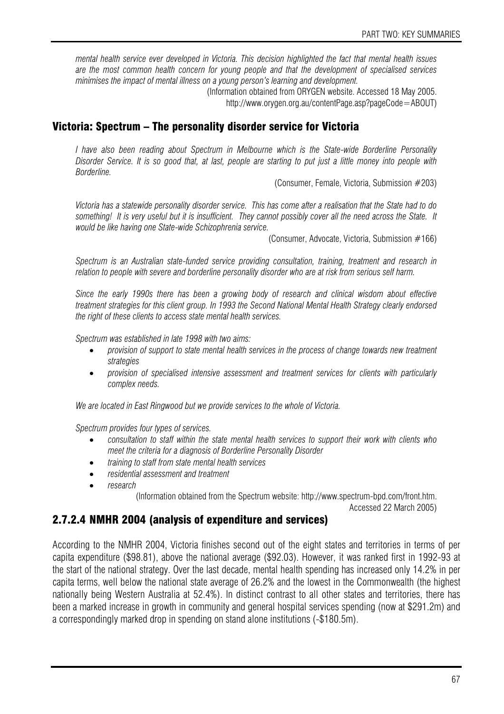*mental health service ever developed in Victoria. This decision highlighted the fact that mental health issues are the most common health concern for young people and that the development of specialised services minimises the impact of mental illness on a young person's learning and development.* 

> (Information obtained from ORYGEN website. Accessed 18 May 2005. http://www.orygen.org.au/contentPage.asp?pageCode=ABOUT)

#### Victoria: Spectrum – The personality disorder service for Victoria

*I have also been reading about Spectrum in Melbourne which is the State-wide Borderline Personality Disorder Service. It is so good that, at last, people are starting to put just a little money into people with Borderline.* 

(Consumer, Female, Victoria, Submission #203)

*Victoria has a statewide personality disorder service. This has come after a realisation that the State had to do something! It is very useful but it is insufficient. They cannot possibly cover all the need across the State. It would be like having one State-wide Schizophrenia service.* 

(Consumer, Advocate, Victoria, Submission #166)

*Spectrum is an Australian state-funded service providing consultation, training, treatment and research in relation to people with severe and borderline personality disorder who are at risk from serious self harm.* 

*Since the early 1990s there has been a growing body of research and clinical wisdom about effective treatment strategies for this client group. In 1993 the Second National Mental Health Strategy clearly endorsed the right of these clients to access state mental health services.* 

*Spectrum was established in late 1998 with two aims:* 

- *provision of support to state mental health services in the process of change towards new treatment strategies*
- *provision of specialised intensive assessment and treatment services for clients with particularly complex needs.*

*We are located in East Ringwood but we provide services to the whole of Victoria.* 

*Spectrum provides four types of services.* 

- *consultation to staff within the state mental health services to support their work with clients who meet the criteria for a diagnosis of Borderline Personality Disorder*
- *training to staff from state mental health services*
- *residential assessment and treatment*
- *research*

(Information obtained from the Spectrum website: http://www.spectrum-bpd.com/front.htm.

Accessed 22 March 2005)

#### 2.7.2.4 NMHR 2004 (analysis of expenditure and services)

According to the NMHR 2004, Victoria finishes second out of the eight states and territories in terms of per capita expenditure (\$98.81), above the national average (\$92.03). However, it was ranked first in 1992-93 at the start of the national strategy. Over the last decade, mental health spending has increased only 14.2% in per capita terms, well below the national state average of 26.2% and the lowest in the Commonwealth (the highest nationally being Western Australia at 52.4%). In distinct contrast to all other states and territories, there has been a marked increase in growth in community and general hospital services spending (now at \$291.2m) and a correspondingly marked drop in spending on stand alone institutions (-\$180.5m).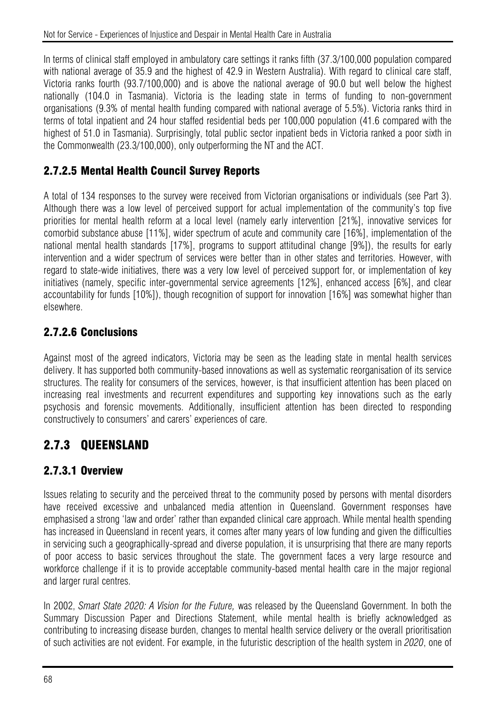In terms of clinical staff employed in ambulatory care settings it ranks fifth (37.3/100,000 population compared with national average of 35.9 and the highest of 42.9 in Western Australia). With regard to clinical care staff, Victoria ranks fourth (93.7/100,000) and is above the national average of 90.0 but well below the highest nationally (104.0 in Tasmania). Victoria is the leading state in terms of funding to non-government organisations (9.3% of mental health funding compared with national average of 5.5%). Victoria ranks third in terms of total inpatient and 24 hour staffed residential beds per 100,000 population (41.6 compared with the highest of 51.0 in Tasmania). Surprisingly, total public sector inpatient beds in Victoria ranked a poor sixth in the Commonwealth (23.3/100,000), only outperforming the NT and the ACT.

## 2.7.2.5 Mental Health Council Survey Reports

A total of 134 responses to the survey were received from Victorian organisations or individuals (see Part 3). Although there was a low level of perceived support for actual implementation of the community's top five priorities for mental health reform at a local level (namely early intervention [21%], innovative services for comorbid substance abuse [11%], wider spectrum of acute and community care [16%], implementation of the national mental health standards [17%], programs to support attitudinal change [9%]), the results for early intervention and a wider spectrum of services were better than in other states and territories. However, with regard to state-wide initiatives, there was a very low level of perceived support for, or implementation of key initiatives (namely, specific inter-governmental service agreements [12%], enhanced access [6%], and clear accountability for funds [10%]), though recognition of support for innovation [16%] was somewhat higher than elsewhere.

## 2.7.2.6 Conclusions

Against most of the agreed indicators, Victoria may be seen as the leading state in mental health services delivery. It has supported both community-based innovations as well as systematic reorganisation of its service structures. The reality for consumers of the services, however, is that insufficient attention has been placed on increasing real investments and recurrent expenditures and supporting key innovations such as the early psychosis and forensic movements. Additionally, insufficient attention has been directed to responding constructively to consumers' and carers' experiences of care.

# 2.7.3 QUEENSLAND

## 2.7.3.1 Overview

Issues relating to security and the perceived threat to the community posed by persons with mental disorders have received excessive and unbalanced media attention in Queensland. Government responses have emphasised a strong 'law and order' rather than expanded clinical care approach. While mental health spending has increased in Queensland in recent years, it comes after many years of low funding and given the difficulties in servicing such a geographically-spread and diverse population, it is unsurprising that there are many reports of poor access to basic services throughout the state. The government faces a very large resource and workforce challenge if it is to provide acceptable community-based mental health care in the major regional and larger rural centres.

In 2002, *Smart State 2020: A Vision for the Future,* was released by the Queensland Government. In both the Summary Discussion Paper and Directions Statement, while mental health is briefly acknowledged as contributing to increasing disease burden, changes to mental health service delivery or the overall prioritisation of such activities are not evident. For example, in the futuristic description of the health system in *2020*, one of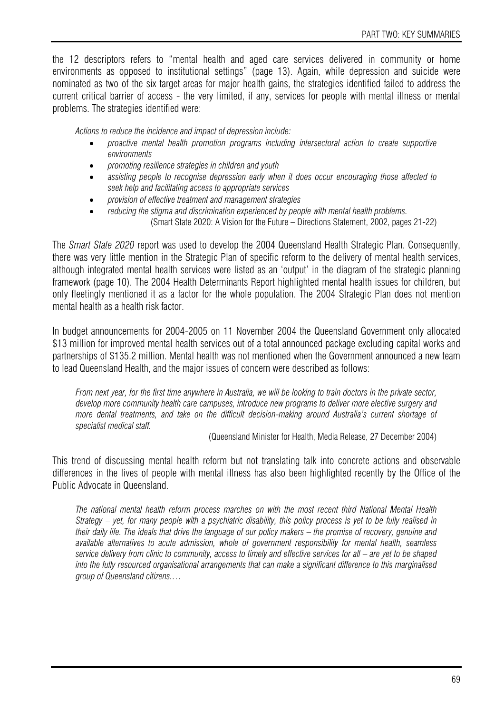the 12 descriptors refers to "mental health and aged care services delivered in community or home environments as opposed to institutional settings" (page 13). Again, while depression and suicide were nominated as two of the six target areas for major health gains, the strategies identified failed to address the current critical barrier of access - the very limited, if any, services for people with mental illness or mental problems. The strategies identified were:

*Actions to reduce the incidence and impact of depression include:* 

- *proactive mental health promotion programs including intersectoral action to create supportive environments*
- *promoting resilience strategies in children and youth*
- *assisting people to recognise depression early when it does occur encouraging those affected to seek help and facilitating access to appropriate services*
- *provision of effective treatment and management strategies*
- *reducing the stigma and discrimination experienced by people with mental health problems.*  (Smart State 2020: A Vision for the Future – Directions Statement, 2002, pages 21-22)

The *Smart State 2020* report was used to develop the 2004 Queensland Health Strategic Plan. Consequently, there was very little mention in the Strategic Plan of specific reform to the delivery of mental health services, although integrated mental health services were listed as an 'output' in the diagram of the strategic planning framework (page 10). The 2004 Health Determinants Report highlighted mental health issues for children, but only fleetingly mentioned it as a factor for the whole population. The 2004 Strategic Plan does not mention mental health as a health risk factor.

In budget announcements for 2004-2005 on 11 November 2004 the Queensland Government only allocated \$13 million for improved mental health services out of a total announced package excluding capital works and partnerships of \$135.2 million. Mental health was not mentioned when the Government announced a new team to lead Queensland Health, and the major issues of concern were described as follows:

*From next year, for the first time anywhere in Australia, we will be looking to train doctors in the private sector, develop more community health care campuses, introduce new programs to deliver more elective surgery and more dental treatments, and take on the difficult decision-making around Australia's current shortage of specialist medical staff.* 

(Queensland Minister for Health, Media Release, 27 December 2004)

This trend of discussing mental health reform but not translating talk into concrete actions and observable differences in the lives of people with mental illness has also been highlighted recently by the Office of the Public Advocate in Queensland.

*The national mental health reform process marches on with the most recent third National Mental Health Strategy – yet, for many people with a psychiatric disability, this policy process is yet to be fully realised in their daily life. The ideals that drive the language of our policy makers – the promise of recovery, genuine and available alternatives to acute admission, whole of government responsibility for mental health, seamless service delivery from clinic to community, access to timely and effective services for all – are yet to be shaped into the fully resourced organisational arrangements that can make a significant difference to this marginalised group of Queensland citizens.…*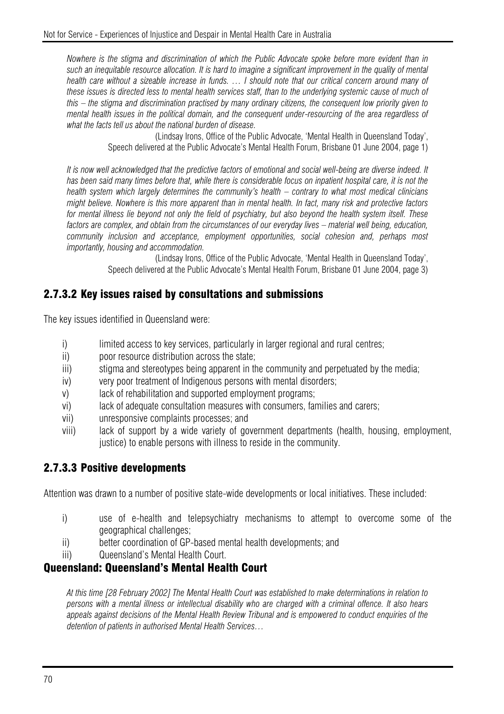*Nowhere is the stigma and discrimination of which the Public Advocate spoke before more evident than in such an inequitable resource allocation. It is hard to imagine a significant improvement in the quality of mental health care without a sizeable increase in funds. … I should note that our critical concern around many of these issues is directed less to mental health services staff, than to the underlying systemic cause of much of this – the stigma and discrimination practised by many ordinary citizens, the consequent low priority given to mental health issues in the political domain, and the consequent under-resourcing of the area regardless of what the facts tell us about the national burden of disease.* 

> (Lindsay Irons, Office of the Public Advocate, 'Mental Health in Queensland Today', Speech delivered at the Public Advocate's Mental Health Forum, Brisbane 01 June 2004, page 1)

*It is now well acknowledged that the predictive factors of emotional and social well-being are diverse indeed. It has been said many times before that, while there is considerable focus on inpatient hospital care, it is not the health system which largely determines the community's health – contrary to what most medical clinicians might believe. Nowhere is this more apparent than in mental health. In fact, many risk and protective factors for mental illness lie beyond not only the field of psychiatry, but also beyond the health system itself. These*  factors are complex, and obtain from the circumstances of our everyday lives – material well being, education, *community inclusion and acceptance, employment opportunities, social cohesion and, perhaps most importantly, housing and accommodation.*

(Lindsay Irons, Office of the Public Advocate, 'Mental Health in Queensland Today', Speech delivered at the Public Advocate's Mental Health Forum, Brisbane 01 June 2004, page 3)

#### 2.7.3.2 Key issues raised by consultations and submissions

The key issues identified in Queensland were:

- i) limited access to key services, particularly in larger regional and rural centres;
- ii) poor resource distribution across the state;
- iii) stigma and stereotypes being apparent in the community and perpetuated by the media;
- iv) very poor treatment of Indigenous persons with mental disorders;
- v) lack of rehabilitation and supported employment programs;
- vi) lack of adequate consultation measures with consumers, families and carers;
- vii) unresponsive complaints processes; and
- viii) lack of support by a wide variety of government departments (health, housing, employment, justice) to enable persons with illness to reside in the community.

#### 2.7.3.3 Positive developments

Attention was drawn to a number of positive state-wide developments or local initiatives. These included:

- i) use of e-health and telepsychiatry mechanisms to attempt to overcome some of the geographical challenges;
- ii) better coordination of GP-based mental health developments; and
- iii) Queensland's Mental Health Court.

#### Queensland: Queensland's Mental Health Court

*At this time [28 February 2002] The Mental Health Court was established to make determinations in relation to persons with a mental illness or intellectual disability who are charged with a criminal offence. It also hears appeals against decisions of the Mental Health Review Tribunal and is empowered to conduct enquiries of the detention of patients in authorised Mental Health Services…*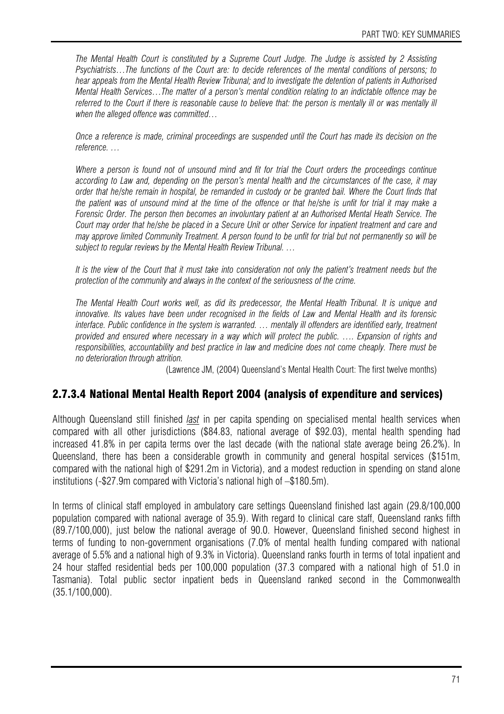*The Mental Health Court is constituted by a Supreme Court Judge. The Judge is assisted by 2 Assisting Psychiatrists…The functions of the Court are: to decide references of the mental conditions of persons; to hear appeals from the Mental Health Review Tribunal; and to investigate the detention of patients in Authorised Mental Health Services…The matter of a person's mental condition relating to an indictable offence may be referred to the Court if there is reasonable cause to believe that: the person is mentally ill or was mentally ill when the alleged offence was committed…* 

*Once a reference is made, criminal proceedings are suspended until the Court has made its decision on the reference. …* 

*Where a person is found not of unsound mind and fit for trial the Court orders the proceedings continue according to Law and, depending on the person's mental health and the circumstances of the case, it may order that he/she remain in hospital, be remanded in custody or be granted bail. Where the Court finds that the patient was of unsound mind at the time of the offence or that he/she is unfit for trial it may make a Forensic Order. The person then becomes an involuntary patient at an Authorised Mental Heath Service. The Court may order that he/she be placed in a Secure Unit or other Service for inpatient treatment and care and may approve limited Community Treatment. A person found to be unfit for trial but not permanently so will be subject to regular reviews by the Mental Health Review Tribunal. …* 

*It is the view of the Court that it must take into consideration not only the patient's treatment needs but the protection of the community and always in the context of the seriousness of the crime.* 

*The Mental Health Court works well, as did its predecessor, the Mental Health Tribunal. It is unique and innovative. Its values have been under recognised in the fields of Law and Mental Health and its forensic*  interface. Public confidence in the system is warranted. ... mentally ill offenders are identified early, treatment *provided and ensured where necessary in a way which will protect the public. …. Expansion of rights and responsibilities, accountability and best practice in law and medicine does not come cheaply. There must be no deterioration through attrition.* 

(Lawrence JM, (2004) Queensland's Mental Health Court: The first twelve months)

#### 2.7.3.4 National Mental Health Report 2004 (analysis of expenditure and services)

Although Queensland still finished *last* in per capita spending on specialised mental health services when compared with all other jurisdictions (\$84.83, national average of \$92.03), mental health spending had increased 41.8% in per capita terms over the last decade (with the national state average being 26.2%). In Queensland, there has been a considerable growth in community and general hospital services (\$151m, compared with the national high of \$291.2m in Victoria), and a modest reduction in spending on stand alone institutions (-\$27.9m compared with Victoria's national high of –\$180.5m).

In terms of clinical staff employed in ambulatory care settings Queensland finished last again (29.8/100,000 population compared with national average of 35.9). With regard to clinical care staff, Queensland ranks fifth (89.7/100,000), just below the national average of 90.0. However, Queensland finished second highest in terms of funding to non-government organisations (7.0% of mental health funding compared with national average of 5.5% and a national high of 9.3% in Victoria). Queensland ranks fourth in terms of total inpatient and 24 hour staffed residential beds per 100,000 population (37.3 compared with a national high of 51.0 in Tasmania). Total public sector inpatient beds in Queensland ranked second in the Commonwealth (35.1/100,000).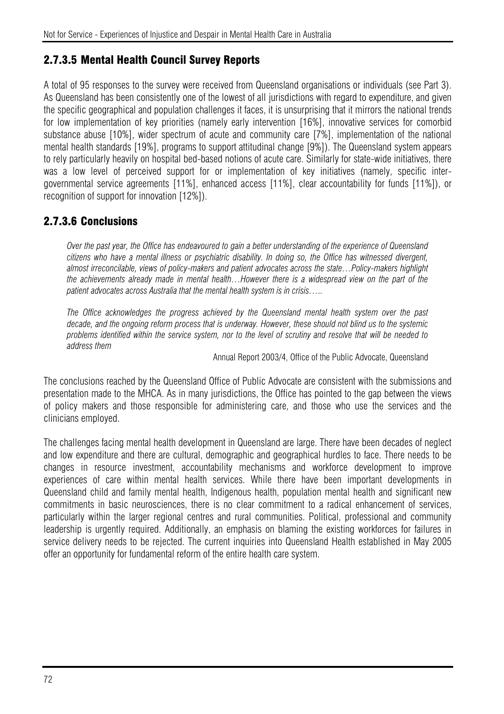#### 2.7.3.5 Mental Health Council Survey Reports

A total of 95 responses to the survey were received from Queensland organisations or individuals (see Part 3). As Queensland has been consistently one of the lowest of all jurisdictions with regard to expenditure, and given the specific geographical and population challenges it faces, it is unsurprising that it mirrors the national trends for low implementation of key priorities (namely early intervention [16%], innovative services for comorbid substance abuse [10%], wider spectrum of acute and community care [7%], implementation of the national mental health standards [19%], programs to support attitudinal change [9%]). The Queensland system appears to rely particularly heavily on hospital bed-based notions of acute care. Similarly for state-wide initiatives, there was a low level of perceived support for or implementation of key initiatives (namely, specific intergovernmental service agreements [11%], enhanced access [11%], clear accountability for funds [11%]), or recognition of support for innovation [12%]).

## 2.7.3.6 Conclusions

*Over the past year, the Office has endeavoured to gain a better understanding of the experience of Queensland citizens who have a mental illness or psychiatric disability. In doing so, the Office has witnessed divergent, almost irreconcilable, views of policy-makers and patient advocates across the state…Policy-makers highlight the achievements already made in mental health…However there is a widespread view on the part of the patient advocates across Australia that the mental health system is in crisis…..* 

*The Office acknowledges the progress achieved by the Queensland mental health system over the past decade, and the ongoing reform process that is underway. However, these should not blind us to the systemic problems identified within the service system, nor to the level of scrutiny and resolve that will be needed to address them*

Annual Report 2003/4, Office of the Public Advocate, Queensland

The conclusions reached by the Queensland Office of Public Advocate are consistent with the submissions and presentation made to the MHCA. As in many jurisdictions, the Office has pointed to the gap between the views of policy makers and those responsible for administering care, and those who use the services and the clinicians employed.

The challenges facing mental health development in Queensland are large. There have been decades of neglect and low expenditure and there are cultural, demographic and geographical hurdles to face. There needs to be changes in resource investment, accountability mechanisms and workforce development to improve experiences of care within mental health services. While there have been important developments in Queensland child and family mental health, Indigenous health, population mental health and significant new commitments in basic neurosciences, there is no clear commitment to a radical enhancement of services, particularly within the larger regional centres and rural communities. Political, professional and community leadership is urgently required. Additionally, an emphasis on blaming the existing workforces for failures in service delivery needs to be rejected. The current inquiries into Queensland Health established in May 2005 offer an opportunity for fundamental reform of the entire health care system.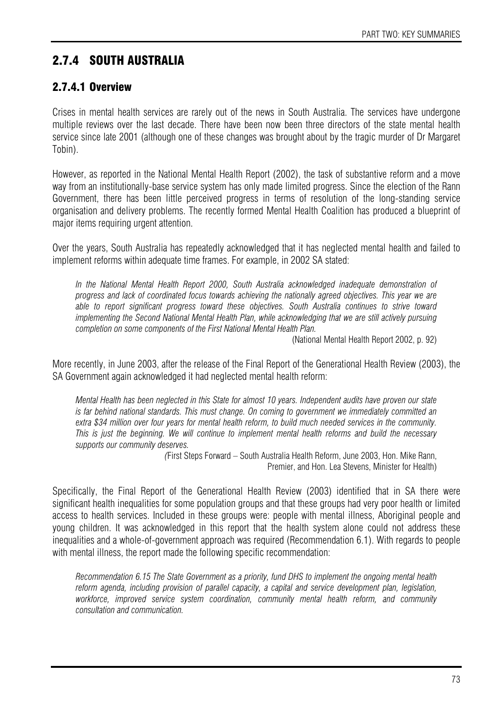# 2.7.4 SOUTH AUSTRALIA

## 2.7.4.1 Overview

Crises in mental health services are rarely out of the news in South Australia. The services have undergone multiple reviews over the last decade. There have been now been three directors of the state mental health service since late 2001 (although one of these changes was brought about by the tragic murder of Dr Margaret Tobin).

However, as reported in the National Mental Health Report (2002), the task of substantive reform and a move way from an institutionally-base service system has only made limited progress. Since the election of the Rann Government, there has been little perceived progress in terms of resolution of the long-standing service organisation and delivery problems. The recently formed Mental Health Coalition has produced a blueprint of major items requiring urgent attention.

Over the years, South Australia has repeatedly acknowledged that it has neglected mental health and failed to implement reforms within adequate time frames. For example, in 2002 SA stated:

*In the National Mental Health Report 2000, South Australia acknowledged inadequate demonstration of progress and lack of coordinated focus towards achieving the nationally agreed objectives. This year we are able to report significant progress toward these objectives. South Australia continues to strive toward implementing the Second National Mental Health Plan, while acknowledging that we are still actively pursuing completion on some components of the First National Mental Health Plan.* 

(National Mental Health Report 2002, p. 92)

More recently, in June 2003, after the release of the Final Report of the Generational Health Review (2003), the SA Government again acknowledged it had neglected mental health reform:

*Mental Health has been neglected in this State for almost 10 years. Independent audits have proven our state is far behind national standards. This must change. On coming to government we immediately committed an extra \$34 million over four years for mental health reform, to build much needed services in the community. This is just the beginning. We will continue to implement mental health reforms and build the necessary supports our community deserves.* 

*(*First Steps Forward – South Australia Health Reform, June 2003, Hon. Mike Rann, Premier, and Hon. Lea Stevens, Minister for Health)

Specifically, the Final Report of the Generational Health Review (2003) identified that in SA there were significant health inequalities for some population groups and that these groups had very poor health or limited access to health services. Included in these groups were: people with mental illness, Aboriginal people and young children. It was acknowledged in this report that the health system alone could not address these inequalities and a whole-of-government approach was required (Recommendation 6.1). With regards to people with mental illness, the report made the following specific recommendation:

*Recommendation 6.15 The State Government as a priority, fund DHS to implement the ongoing mental health reform agenda, including provision of parallel capacity, a capital and service development plan, legislation, workforce, improved service system coordination, community mental health reform, and community consultation and communication.*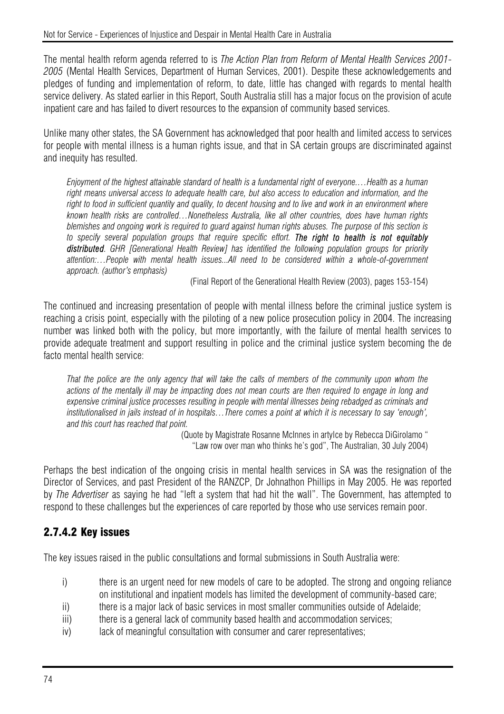The mental health reform agenda referred to is *The Action Plan from Reform of Mental Health Services 2001- 2005* (Mental Health Services, Department of Human Services, 2001). Despite these acknowledgements and pledges of funding and implementation of reform, to date, little has changed with regards to mental health service delivery. As stated earlier in this Report, South Australia still has a major focus on the provision of acute inpatient care and has failed to divert resources to the expansion of community based services.

Unlike many other states, the SA Government has acknowledged that poor health and limited access to services for people with mental illness is a human rights issue, and that in SA certain groups are discriminated against and inequity has resulted.

*Enjoyment of the highest attainable standard of health is a fundamental right of everyone.…Health as a human right means universal access to adequate health care, but also access to education and information, and the right to food in sufficient quantity and quality, to decent housing and to live and work in an environment where known health risks are controlled…Nonetheless Australia, like all other countries, does have human rights blemishes and ongoing work is required to guard against human rights abuses. The purpose of this section is to specify several population groups that require specific effort. The right to health is not equitably distributed. GHR [Generational Health Review] has identified the following population groups for priority attention:…People with mental health issues...All need to be considered within a whole-of-government approach. (author's emphasis)* 

(Final Report of the Generational Health Review (2003), pages 153-154)

The continued and increasing presentation of people with mental illness before the criminal justice system is reaching a crisis point, especially with the piloting of a new police prosecution policy in 2004. The increasing number was linked both with the policy, but more importantly, with the failure of mental health services to provide adequate treatment and support resulting in police and the criminal justice system becoming the de facto mental health service:

*That the police are the only agency that will take the calls of members of the community upon whom the actions of the mentally ill may be impacting does not mean courts are then required to engage in long and*  expensive criminal justice processes resulting in people with mental illnesses being rebadged as criminals and *institutionalised in jails instead of in hospitals…There comes a point at which it is necessary to say 'enough', and this court has reached that point.* 

(Quote by Magistrate Rosanne McInnes in artylce by Rebecca DiGirolamo " "Law row over man who thinks he's god", The Australian, 30 July 2004)

Perhaps the best indication of the ongoing crisis in mental health services in SA was the resignation of the Director of Services, and past President of the RANZCP, Dr Johnathon Phillips in May 2005. He was reported by *The Advertiser* as saying he had "left a system that had hit the wall". The Government, has attempted to respond to these challenges but the experiences of care reported by those who use services remain poor.

## 2.7.4.2 Key issues

The key issues raised in the public consultations and formal submissions in South Australia were:

- i) there is an urgent need for new models of care to be adopted. The strong and ongoing reliance on institutional and inpatient models has limited the development of community-based care;
- ii) there is a major lack of basic services in most smaller communities outside of Adelaide;
- iii) there is a general lack of community based health and accommodation services;
- iv) lack of meaningful consultation with consumer and carer representatives;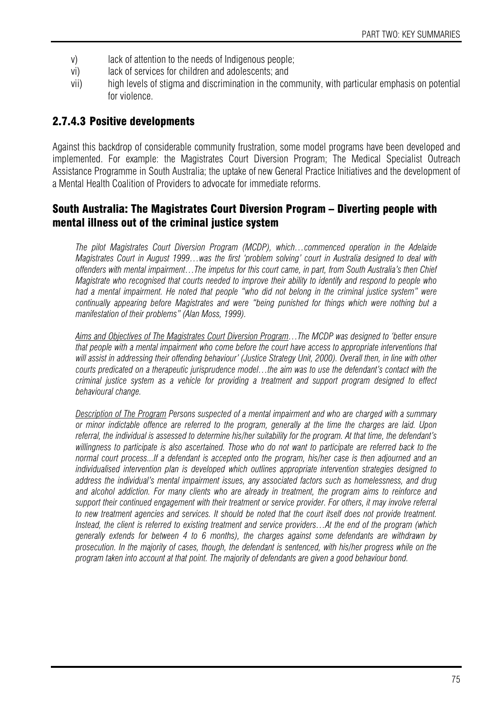- v) lack of attention to the needs of Indigenous people;
- vi) lack of services for children and adolescents; and
- vii) high levels of stigma and discrimination in the community, with particular emphasis on potential for violence.

## 2.7.4.3 Positive developments

Against this backdrop of considerable community frustration, some model programs have been developed and implemented. For example: the Magistrates Court Diversion Program; The Medical Specialist Outreach Assistance Programme in South Australia; the uptake of new General Practice Initiatives and the development of a Mental Health Coalition of Providers to advocate for immediate reforms.

## South Australia: The Magistrates Court Diversion Program – Diverting people with mental illness out of the criminal justice system

*The pilot Magistrates Court Diversion Program (MCDP), which…commenced operation in the Adelaide Magistrates Court in August 1999…was the first 'problem solving' court in Australia designed to deal with offenders with mental impairment…The impetus for this court came, in part, from South Australia's then Chief Magistrate who recognised that courts needed to improve their ability to identify and respond to people who*  had a mental impairment. He noted that people "who did not belong in the criminal justice system" were *continually appearing before Magistrates and were "being punished for things which were nothing but a manifestation of their problems" (Alan Moss, 1999).* 

*Aims and Objectives of The Magistrates Court Diversion Program…The MCDP was designed to 'better ensure that people with a mental impairment who come before the court have access to appropriate interventions that will assist in addressing their offending behaviour' (Justice Strategy Unit, 2000). Overall then, in line with other courts predicated on a therapeutic jurisprudence model…the aim was to use the defendant's contact with the criminal justice system as a vehicle for providing a treatment and support program designed to effect behavioural change.* 

*Description of The Program Persons suspected of a mental impairment and who are charged with a summary or minor indictable offence are referred to the program, generally at the time the charges are laid. Upon referral, the individual is assessed to determine his/her suitability for the program. At that time, the defendant's willingness to participate is also ascertained. Those who do not want to participate are referred back to the normal court process...If a defendant is accepted onto the program, his/her case is then adjourned and an individualised intervention plan is developed which outlines appropriate intervention strategies designed to address the individual's mental impairment issues, any associated factors such as homelessness, and drug and alcohol addiction. For many clients who are already in treatment, the program aims to reinforce and support their continued engagement with their treatment or service provider. For others, it may involve referral to new treatment agencies and services. It should be noted that the court itself does not provide treatment. Instead, the client is referred to existing treatment and service providers…At the end of the program (which generally extends for between 4 to 6 months), the charges against some defendants are withdrawn by prosecution. In the majority of cases, though, the defendant is sentenced, with his/her progress while on the program taken into account at that point. The majority of defendants are given a good behaviour bond.*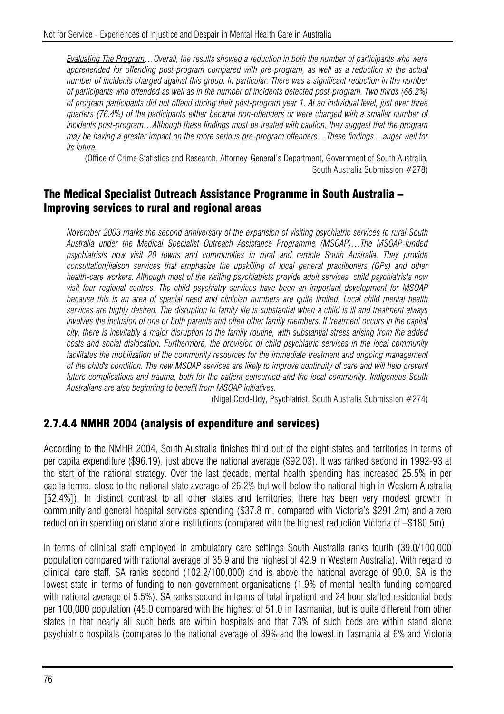*Evaluating The Program…Overall, the results showed a reduction in both the number of participants who were apprehended for offending post-program compared with pre-program, as well as a reduction in the actual number of incidents charged against this group. In particular: There was a significant reduction in the number of participants who offended as well as in the number of incidents detected post-program. Two thirds (66.2%) of program participants did not offend during their post-program year 1. At an individual level, just over three quarters (76.4%) of the participants either became non-offenders or were charged with a smaller number of incidents post-program…Although these findings must be treated with caution, they suggest that the program may be having a greater impact on the more serious pre-program offenders…These findings…auger well for its future.* 

(Office of Crime Statistics and Research, Attorney-General's Department, Government of South Australia, South Australia Submission #278)

#### The Medical Specialist Outreach Assistance Programme in South Australia – Improving services to rural and regional areas

*November 2003 marks the second anniversary of the expansion of visiting psychiatric services to rural South Australia under the Medical Specialist Outreach Assistance Programme (MSOAP)…The MSOAP-funded psychiatrists now visit 20 towns and communities in rural and remote South Australia. They provide consultation/liaison services that emphasize the upskilling of local general practitioners (GPs) and other health-care workers. Although most of the visiting psychiatrists provide adult services, child psychiatrists now visit four regional centres. The child psychiatry services have been an important development for MSOAP because this is an area of special need and clinician numbers are quite limited. Local child mental health services are highly desired. The disruption to family life is substantial when a child is ill and treatment always involves the inclusion of one or both parents and often other family members. If treatment occurs in the capital city, there is inevitably a major disruption to the family routine, with substantial stress arising from the added costs and social dislocation. Furthermore, the provision of child psychiatric services in the local community*  facilitates the mobilization of the community resources for the immediate treatment and ongoing management *of the child's condition. The new MSOAP services are likely to improve continuity of care and will help prevent future complications and trauma, both for the patient concerned and the local community. Indigenous South Australians are also beginning to benefit from MSOAP initiatives.* 

(Nigel Cord-Udy, Psychiatrist, South Australia Submission #274)

#### 2.7.4.4 NMHR 2004 (analysis of expenditure and services)

According to the NMHR 2004, South Australia finishes third out of the eight states and territories in terms of per capita expenditure (\$96.19), just above the national average (\$92.03). It was ranked second in 1992-93 at the start of the national strategy. Over the last decade, mental health spending has increased 25.5% in per capita terms, close to the national state average of 26.2% but well below the national high in Western Australia [52.4%]). In distinct contrast to all other states and territories, there has been very modest growth in community and general hospital services spending (\$37.8 m, compared with Victoria's \$291.2m) and a zero reduction in spending on stand alone institutions (compared with the highest reduction Victoria of –\$180.5m).

In terms of clinical staff employed in ambulatory care settings South Australia ranks fourth (39.0/100,000 population compared with national average of 35.9 and the highest of 42.9 in Western Australia). With regard to clinical care staff, SA ranks second (102.2/100,000) and is above the national average of 90.0. SA is the lowest state in terms of funding to non-government organisations (1.9% of mental health funding compared with national average of 5.5%). SA ranks second in terms of total inpatient and 24 hour staffed residential beds per 100,000 population (45.0 compared with the highest of 51.0 in Tasmania), but is quite different from other states in that nearly all such beds are within hospitals and that 73% of such beds are within stand alone psychiatric hospitals (compares to the national average of 39% and the lowest in Tasmania at 6% and Victoria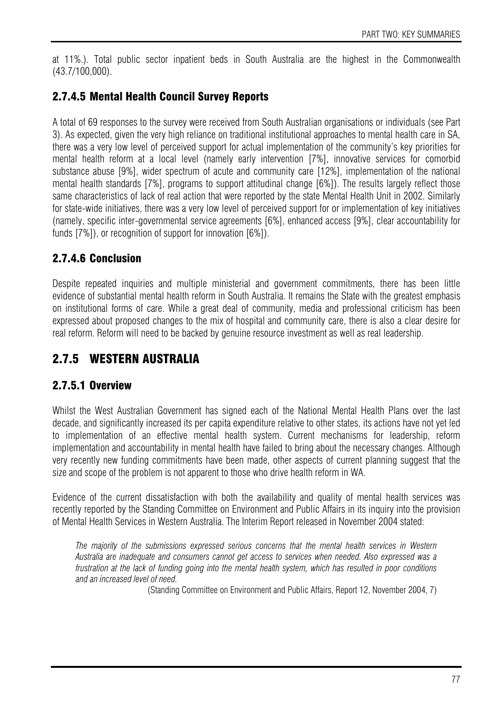at 11%.). Total public sector inpatient beds in South Australia are the highest in the Commonwealth (43.7/100,000).

## 2.7.4.5 Mental Health Council Survey Reports

A total of 69 responses to the survey were received from South Australian organisations or individuals (see Part 3). As expected, given the very high reliance on traditional institutional approaches to mental health care in SA, there was a very low level of perceived support for actual implementation of the community's key priorities for mental health reform at a local level (namely early intervention [7%], innovative services for comorbid substance abuse [9%], wider spectrum of acute and community care [12%], implementation of the national mental health standards [7%], programs to support attitudinal change [6%]). The results largely reflect those same characteristics of lack of real action that were reported by the state Mental Health Unit in 2002. Similarly for state-wide initiatives, there was a very low level of perceived support for or implementation of key initiatives (namely, specific inter-governmental service agreements [6%], enhanced access [9%], clear accountability for funds [7%]), or recognition of support for innovation [6%]).

## 2.7.4.6 Conclusion

Despite repeated inquiries and multiple ministerial and government commitments, there has been little evidence of substantial mental health reform in South Australia. It remains the State with the greatest emphasis on institutional forms of care. While a great deal of community, media and professional criticism has been expressed about proposed changes to the mix of hospital and community care, there is also a clear desire for real reform. Reform will need to be backed by genuine resource investment as well as real leadership.

## 2.7.5 WESTERN AUSTRALIA

## 2.7.5.1 Overview

Whilst the West Australian Government has signed each of the National Mental Health Plans over the last decade, and significantly increased its per capita expenditure relative to other states, its actions have not yet led to implementation of an effective mental health system. Current mechanisms for leadership, reform implementation and accountability in mental health have failed to bring about the necessary changes. Although very recently new funding commitments have been made, other aspects of current planning suggest that the size and scope of the problem is not apparent to those who drive health reform in WA.

Evidence of the current dissatisfaction with both the availability and quality of mental health services was recently reported by the Standing Committee on Environment and Public Affairs in its inquiry into the provision of Mental Health Services in Western Australia. The Interim Report released in November 2004 stated:

*The majority of the submissions expressed serious concerns that the mental health services in Western Australia are inadequate and consumers cannot get access to services when needed. Also expressed was a frustration at the lack of funding going into the mental health system, which has resulted in poor conditions and an increased level of need.* 

(Standing Committee on Environment and Public Affairs, Report 12, November 2004, 7)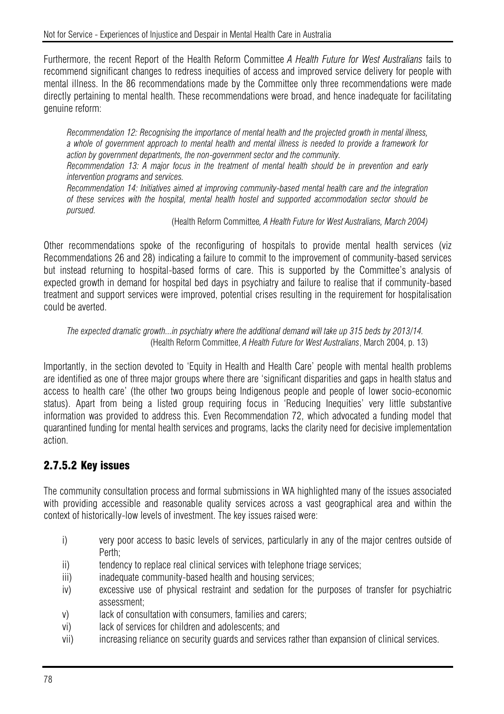Furthermore, the recent Report of the Health Reform Committee *A Health Future for West Australians* fails to recommend significant changes to redress inequities of access and improved service delivery for people with mental illness. In the 86 recommendations made by the Committee only three recommendations were made directly pertaining to mental health. These recommendations were broad, and hence inadequate for facilitating genuine reform:

*Recommendation 12: Recognising the importance of mental health and the projected growth in mental illness, a whole of government approach to mental health and mental illness is needed to provide a framework for action by government departments, the non-government sector and the community.* 

*Recommendation 13: A major focus in the treatment of mental health should be in prevention and early intervention programs and services.* 

*Recommendation 14: Initiatives aimed at improving community-based mental health care and the integration of these services with the hospital, mental health hostel and supported accommodation sector should be pursued.* 

(Health Reform Committee*, A Health Future for West Australians, March 2004)* 

Other recommendations spoke of the reconfiguring of hospitals to provide mental health services (viz Recommendations 26 and 28) indicating a failure to commit to the improvement of community-based services but instead returning to hospital-based forms of care. This is supported by the Committee's analysis of expected growth in demand for hospital bed days in psychiatry and failure to realise that if community-based treatment and support services were improved, potential crises resulting in the requirement for hospitalisation could be averted.

#### *The expected dramatic growth...in psychiatry where the additional demand will take up 315 beds by 2013/14.*  (Health Reform Committee, *A Health Future for West Australians*, March 2004, p. 13)

Importantly, in the section devoted to 'Equity in Health and Health Care' people with mental health problems are identified as one of three major groups where there are 'significant disparities and gaps in health status and access to health care' (the other two groups being Indigenous people and people of lower socio-economic status). Apart from being a listed group requiring focus in 'Reducing Inequities' very little substantive information was provided to address this. Even Recommendation 72, which advocated a funding model that quarantined funding for mental health services and programs, lacks the clarity need for decisive implementation action.

## 2.7.5.2 Key issues

The community consultation process and formal submissions in WA highlighted many of the issues associated with providing accessible and reasonable quality services across a vast geographical area and within the context of historically-low levels of investment. The key issues raised were:

- i) very poor access to basic levels of services, particularly in any of the major centres outside of Perth;
- ii) tendency to replace real clinical services with telephone triage services;
- iii) iii) inadequate community-based health and housing services;
- iv) excessive use of physical restraint and sedation for the purposes of transfer for psychiatric assessment;
- v) lack of consultation with consumers, families and carers;
- vi) lack of services for children and adolescents; and
- vii) increasing reliance on security guards and services rather than expansion of clinical services.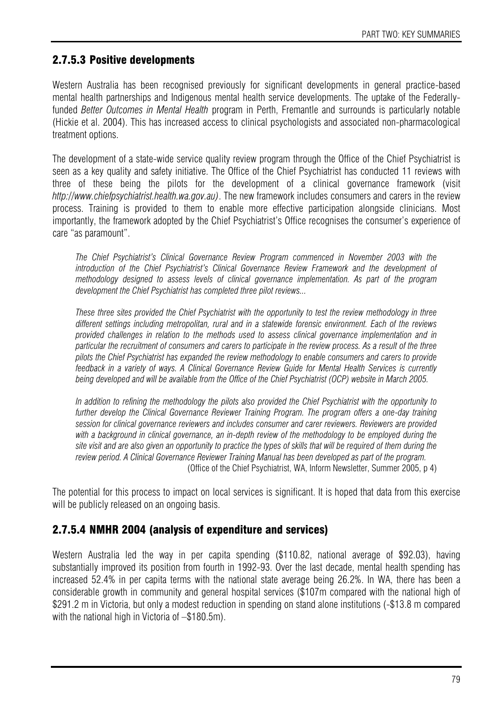## 2.7.5.3 Positive developments

Western Australia has been recognised previously for significant developments in general practice-based mental health partnerships and Indigenous mental health service developments. The uptake of the Federallyfunded *Better Outcomes in Mental Health* program in Perth, Fremantle and surrounds is particularly notable (Hickie et al. 2004). This has increased access to clinical psychologists and associated non-pharmacological treatment options.

The development of a state-wide service quality review program through the Office of the Chief Psychiatrist is seen as a key quality and safety initiative. The Office of the Chief Psychiatrist has conducted 11 reviews with three of these being the pilots for the development of a clinical governance framework (visit *http://www.chiefpsychiatrist.health.wa.gov.au)*. The new framework includes consumers and carers in the review process. Training is provided to them to enable more effective participation alongside clinicians. Most importantly, the framework adopted by the Chief Psychiatrist's Office recognises the consumer's experience of care "as paramount".

*The Chief Psychiatrist's Clinical Governance Review Program commenced in November 2003 with the introduction of the Chief Psychiatrist's Clinical Governance Review Framework and the development of methodology designed to assess levels of clinical governance implementation. As part of the program development the Chief Psychiatrist has completed three pilot reviews...* 

*These three sites provided the Chief Psychiatrist with the opportunity to test the review methodology in three different settings including metropolitan, rural and in a statewide forensic environment. Each of the reviews provided challenges in relation to the methods used to assess clinical governance implementation and in particular the recruitment of consumers and carers to participate in the review process. As a result of the three pilots the Chief Psychiatrist has expanded the review methodology to enable consumers and carers to provide feedback in a variety of ways. A Clinical Governance Review Guide for Mental Health Services is currently being developed and will be available from the Office of the Chief Psychiatrist (OCP) website in March 2005.* 

*In addition to refining the methodology the pilots also provided the Chief Psychiatrist with the opportunity to further develop the Clinical Governance Reviewer Training Program. The program offers a one-day training session for clinical governance reviewers and includes consumer and carer reviewers. Reviewers are provided with a background in clinical governance, an in-depth review of the methodology to be employed during the site visit and are also given an opportunity to practice the types of skills that will be required of them during the review period. A Clinical Governance Reviewer Training Manual has been developed as part of the program.*  (Office of the Chief Psychiatrist, WA, Inform Newsletter, Summer 2005, p 4)

The potential for this process to impact on local services is significant. It is hoped that data from this exercise will be publicly released on an ongoing basis.

## 2.7.5.4 NMHR 2004 (analysis of expenditure and services)

Western Australia led the way in per capita spending (\$110.82, national average of \$92.03), having substantially improved its position from fourth in 1992-93. Over the last decade, mental health spending has increased 52.4% in per capita terms with the national state average being 26.2%. In WA, there has been a considerable growth in community and general hospital services (\$107m compared with the national high of \$291.2 m in Victoria, but only a modest reduction in spending on stand alone institutions (-\$13.8 m compared with the national high in Victoria of  $-$ \$180.5m).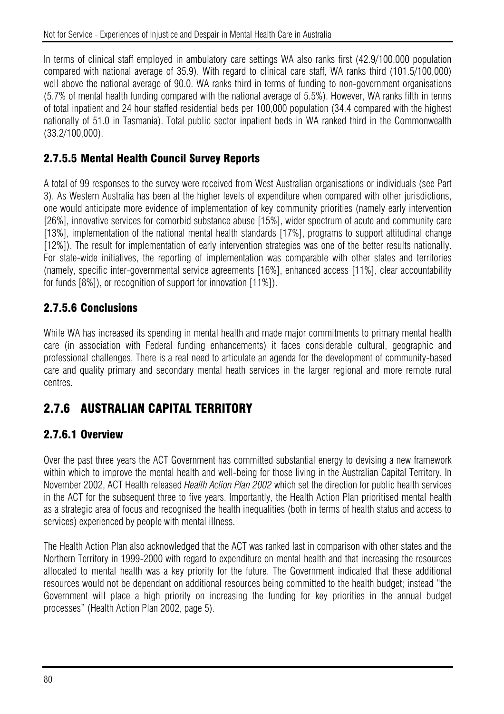In terms of clinical staff employed in ambulatory care settings WA also ranks first (42.9/100,000 population compared with national average of 35.9). With regard to clinical care staff, WA ranks third (101.5/100,000) well above the national average of 90.0. WA ranks third in terms of funding to non-government organisations (5.7% of mental health funding compared with the national average of 5.5%). However, WA ranks fifth in terms of total inpatient and 24 hour staffed residential beds per 100,000 population (34.4 compared with the highest nationally of 51.0 in Tasmania). Total public sector inpatient beds in WA ranked third in the Commonwealth (33.2/100,000).

## 2.7.5.5 Mental Health Council Survey Reports

A total of 99 responses to the survey were received from West Australian organisations or individuals (see Part 3). As Western Australia has been at the higher levels of expenditure when compared with other jurisdictions, one would anticipate more evidence of implementation of key community priorities (namely early intervention [26%], innovative services for comorbid substance abuse [15%], wider spectrum of acute and community care [13%], implementation of the national mental health standards [17%], programs to support attitudinal change [12%]). The result for implementation of early intervention strategies was one of the better results nationally. For state-wide initiatives, the reporting of implementation was comparable with other states and territories (namely, specific inter-governmental service agreements [16%], enhanced access [11%], clear accountability for funds  $[8\%]$ ), or recognition of support for innovation  $[11\%]$ ).

## 2.7.5.6 Conclusions

While WA has increased its spending in mental health and made major commitments to primary mental health care (in association with Federal funding enhancements) it faces considerable cultural, geographic and professional challenges. There is a real need to articulate an agenda for the development of community-based care and quality primary and secondary mental heath services in the larger regional and more remote rural centres.

## 2.7.6 AUSTRALIAN CAPITAL TERRITORY

## 2.7.6.1 Overview

Over the past three years the ACT Government has committed substantial energy to devising a new framework within which to improve the mental health and well-being for those living in the Australian Capital Territory. In November 2002, ACT Health released *Health Action Plan 2002* which set the direction for public health services in the ACT for the subsequent three to five years. Importantly, the Health Action Plan prioritised mental health as a strategic area of focus and recognised the health inequalities (both in terms of health status and access to services) experienced by people with mental illness.

The Health Action Plan also acknowledged that the ACT was ranked last in comparison with other states and the Northern Territory in 1999-2000 with regard to expenditure on mental health and that increasing the resources allocated to mental health was a key priority for the future. The Government indicated that these additional resources would not be dependant on additional resources being committed to the health budget; instead "the Government will place a high priority on increasing the funding for key priorities in the annual budget processes" (Health Action Plan 2002, page 5).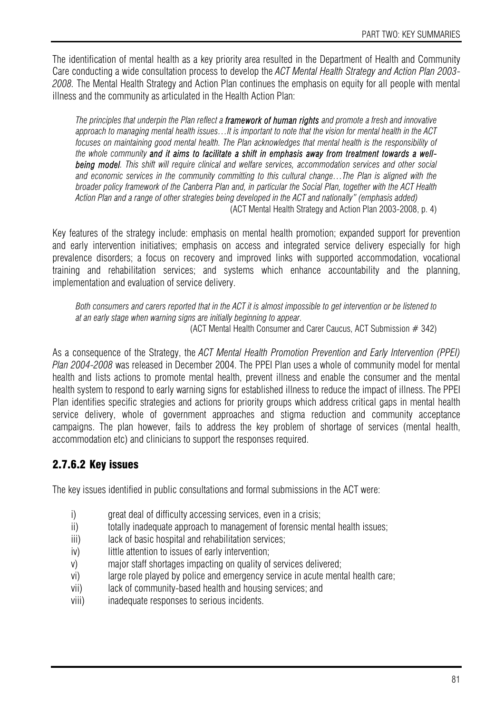The identification of mental health as a key priority area resulted in the Department of Health and Community Care conducting a wide consultation process to develop the *ACT Mental Health Strategy and Action Plan 2003- 2008.* The Mental Health Strategy and Action Plan continues the emphasis on equity for all people with mental illness and the community as articulated in the Health Action Plan:

*The principles that underpin the Plan reflect a framework of human rights and promote a fresh and innovative approach to managing mental health issues…It is important to note that the vision for mental health in the ACT*  focuses on maintaining good mental health. The Plan acknowledges that mental health is the responsibility of *the whole community and it aims to facilitate a shift in emphasis away from treatment towards a wellbeing model. This shift will require clinical and welfare services, accommodation services and other social and economic services in the community committing to this cultural change…The Plan is aligned with the broader policy framework of the Canberra Plan and, in particular the Social Plan, together with the ACT Health Action Plan and a range of other strategies being developed in the ACT and nationally" (emphasis added)*  (ACT Mental Health Strategy and Action Plan 2003-2008, p. 4)

Key features of the strategy include: emphasis on mental health promotion; expanded support for prevention and early intervention initiatives; emphasis on access and integrated service delivery especially for high prevalence disorders; a focus on recovery and improved links with supported accommodation, vocational training and rehabilitation services; and systems which enhance accountability and the planning, implementation and evaluation of service delivery.

*Both consumers and carers reported that in the ACT it is almost impossible to get intervention or be listened to at an early stage when warning signs are initially beginning to appear.*  (ACT Mental Health Consumer and Carer Caucus, ACT Submission # 342)

As a consequence of the Strategy, the *ACT Mental Health Promotion Prevention and Early Intervention (PPEI) Plan 2004-2008* was released in December 2004. The PPEI Plan uses a whole of community model for mental health and lists actions to promote mental health, prevent illness and enable the consumer and the mental health system to respond to early warning signs for established illness to reduce the impact of illness. The PPEI Plan identifies specific strategies and actions for priority groups which address critical gaps in mental health service delivery, whole of government approaches and stigma reduction and community acceptance campaigns. The plan however, fails to address the key problem of shortage of services (mental health, accommodation etc) and clinicians to support the responses required.

## 2.7.6.2 Key issues

The key issues identified in public consultations and formal submissions in the ACT were:

- i) great deal of difficulty accessing services, even in a crisis;
- ii) totally inadequate approach to management of forensic mental health issues;
- iii) lack of basic hospital and rehabilitation services;
- iv) little attention to issues of early intervention:
- v) major staff shortages impacting on quality of services delivered;
- vi) large role played by police and emergency service in acute mental health care;
- vii) lack of community-based health and housing services; and
- viii) inadequate responses to serious incidents.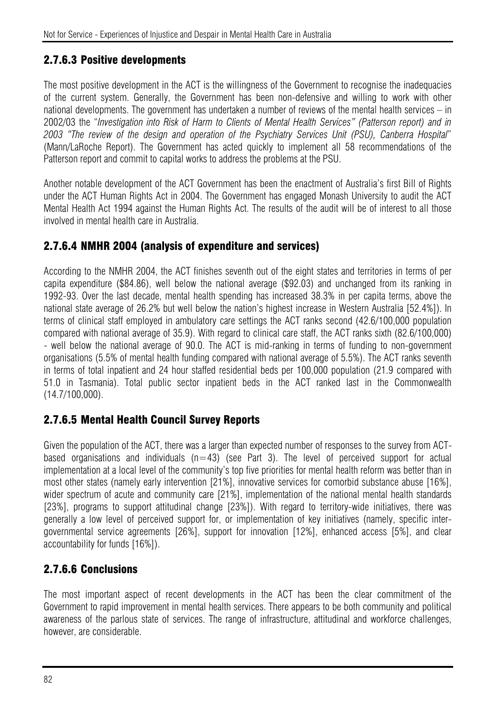## 2.7.6.3 Positive developments

The most positive development in the ACT is the willingness of the Government to recognise the inadequacies of the current system. Generally, the Government has been non-defensive and willing to work with other national developments. The government has undertaken a number of reviews of the mental health services – in 2002/03 the "*Investigation into Risk of Harm to Clients of Mental Health Services" (Patterson report) and in 2003 "The review of the design and operation of the Psychiatry Services Unit (PSU), Canberra Hospital*" (Mann/LaRoche Report). The Government has acted quickly to implement all 58 recommendations of the Patterson report and commit to capital works to address the problems at the PSU.

Another notable development of the ACT Government has been the enactment of Australia's first Bill of Rights under the ACT Human Rights Act in 2004. The Government has engaged Monash University to audit the ACT Mental Health Act 1994 against the Human Rights Act. The results of the audit will be of interest to all those involved in mental health care in Australia.

#### 2.7.6.4 NMHR 2004 (analysis of expenditure and services)

According to the NMHR 2004, the ACT finishes seventh out of the eight states and territories in terms of per capita expenditure (\$84.86), well below the national average (\$92.03) and unchanged from its ranking in 1992-93. Over the last decade, mental health spending has increased 38.3% in per capita terms, above the national state average of 26.2% but well below the nation's highest increase in Western Australia [52.4%]). In terms of clinical staff employed in ambulatory care settings the ACT ranks second (42.6/100,000 population compared with national average of 35.9). With regard to clinical care staff, the ACT ranks sixth (82.6/100,000) - well below the national average of 90.0. The ACT is mid-ranking in terms of funding to non-government organisations (5.5% of mental health funding compared with national average of 5.5%). The ACT ranks seventh in terms of total inpatient and 24 hour staffed residential beds per 100,000 population (21.9 compared with 51.0 in Tasmania). Total public sector inpatient beds in the ACT ranked last in the Commonwealth (14.7/100,000).

## 2.7.6.5 Mental Health Council Survey Reports

Given the population of the ACT, there was a larger than expected number of responses to the survey from ACTbased organisations and individuals  $(n=43)$  (see Part 3). The level of perceived support for actual implementation at a local level of the community's top five priorities for mental health reform was better than in most other states (namely early intervention [21%], innovative services for comorbid substance abuse [16%], wider spectrum of acute and community care [21%], implementation of the national mental health standards [23%], programs to support attitudinal change [23%]). With regard to territory-wide initiatives, there was generally a low level of perceived support for, or implementation of key initiatives (namely, specific intergovernmental service agreements [26%], support for innovation [12%], enhanced access [5%], and clear accountability for funds [16%]).

## 2.7.6.6 Conclusions

The most important aspect of recent developments in the ACT has been the clear commitment of the Government to rapid improvement in mental health services. There appears to be both community and political awareness of the parlous state of services. The range of infrastructure, attitudinal and workforce challenges, however, are considerable.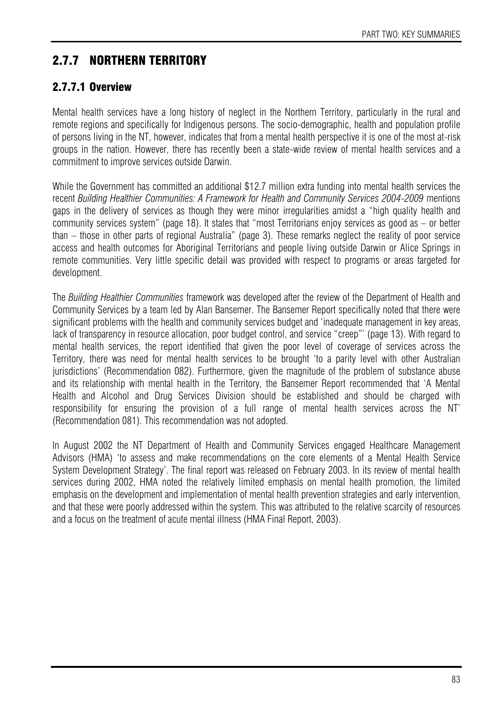# 2.7.7 NORTHERN TERRITORY

## 2.7.7.1 Overview

Mental health services have a long history of neglect in the Northern Territory, particularly in the rural and remote regions and specifically for Indigenous persons. The socio-demographic, health and population profile of persons living in the NT, however, indicates that from a mental health perspective it is one of the most at-risk groups in the nation. However, there has recently been a state-wide review of mental health services and a commitment to improve services outside Darwin.

While the Government has committed an additional \$12.7 million extra funding into mental health services the recent *Building Healthier Communities: A Framework for Health and Community Services 2004-2009* mentions gaps in the delivery of services as though they were minor irregularities amidst a "high quality health and community services system" (page 18). It states that "most Territorians enjoy services as good as – or better than – those in other parts of regional Australia" (page 3). These remarks neglect the reality of poor service access and health outcomes for Aboriginal Territorians and people living outside Darwin or Alice Springs in remote communities. Very little specific detail was provided with respect to programs or areas targeted for development.

The *Building Healthier Communities* framework was developed after the review of the Department of Health and Community Services by a team led by Alan Bansemer. The Bansemer Report specifically noted that there were significant problems with the health and community services budget and 'inadequate management in key areas, lack of transparency in resource allocation, poor budget control, and service "creep"' (page 13). With regard to mental health services, the report identified that given the poor level of coverage of services across the Territory, there was need for mental health services to be brought 'to a parity level with other Australian jurisdictions' (Recommendation 082). Furthermore, given the magnitude of the problem of substance abuse and its relationship with mental health in the Territory, the Bansemer Report recommended that 'A Mental Health and Alcohol and Drug Services Division should be established and should be charged with responsibility for ensuring the provision of a full range of mental health services across the NT' (Recommendation 081). This recommendation was not adopted.

In August 2002 the NT Department of Health and Community Services engaged Healthcare Management Advisors (HMA) 'to assess and make recommendations on the core elements of a Mental Health Service System Development Strategy'. The final report was released on February 2003. In its review of mental health services during 2002, HMA noted the relatively limited emphasis on mental health promotion, the limited emphasis on the development and implementation of mental health prevention strategies and early intervention, and that these were poorly addressed within the system. This was attributed to the relative scarcity of resources and a focus on the treatment of acute mental illness (HMA Final Report, 2003).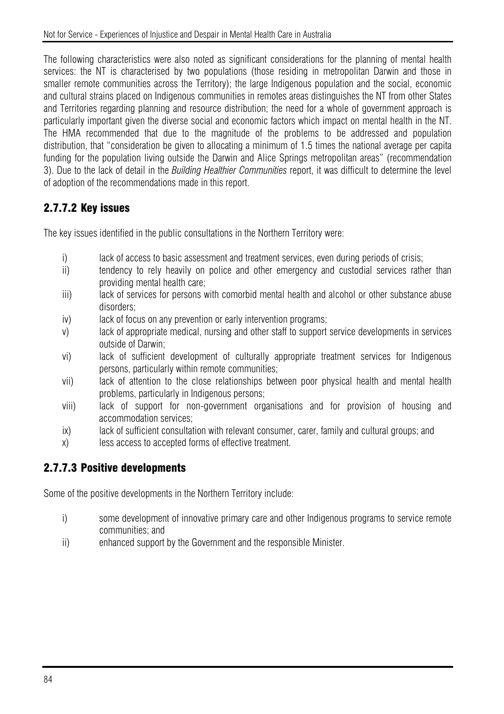The following characteristics were also noted as significant considerations for the planning of mental health services: the NT is characterised by two populations (those residing in metropolitan Darwin and those in smaller remote communities across the Territory); the large Indigenous population and the social, economic and cultural strains placed on Indigenous communities in remotes areas distinguishes the NT from other States and Territories regarding planning and resource distribution; the need for a whole of government approach is particularly important given the diverse social and economic factors which impact on mental health in the NT. The HMA recommended that due to the magnitude of the problems to be addressed and population distribution, that "consideration be given to allocating a minimum of 1.5 times the national average per capita funding for the population living outside the Darwin and Alice Springs metropolitan areas" (recommendation 3). Due to the lack of detail in the *Building Healthier Communities* report, it was difficult to determine the level of adoption of the recommendations made in this report.

## 2.7.7.2 Key issues

The key issues identified in the public consultations in the Northern Territory were:

- i) lack of access to basic assessment and treatment services, even during periods of crisis;
- ii) tendency to rely heavily on police and other emergency and custodial services rather than providing mental health care;
- iii) lack of services for persons with comorbid mental health and alcohol or other substance abuse disorders;
- iv) lack of focus on any prevention or early intervention programs;
- v) lack of appropriate medical, nursing and other staff to support service developments in services outside of Darwin;
- vi) lack of sufficient development of culturally appropriate treatment services for Indigenous persons, particularly within remote communities;
- vii) lack of attention to the close relationships between poor physical health and mental health problems, particularly in Indigenous persons;
- viii) lack of support for non-government organisations and for provision of housing and accommodation services;
- ix) lack of sufficient consultation with relevant consumer, carer, family and cultural groups; and
- x) less access to accepted forms of effective treatment.

## 2.7.7.3 Positive developments

Some of the positive developments in the Northern Territory include:

- i) some development of innovative primary care and other Indigenous programs to service remote communities; and
- ii) enhanced support by the Government and the responsible Minister.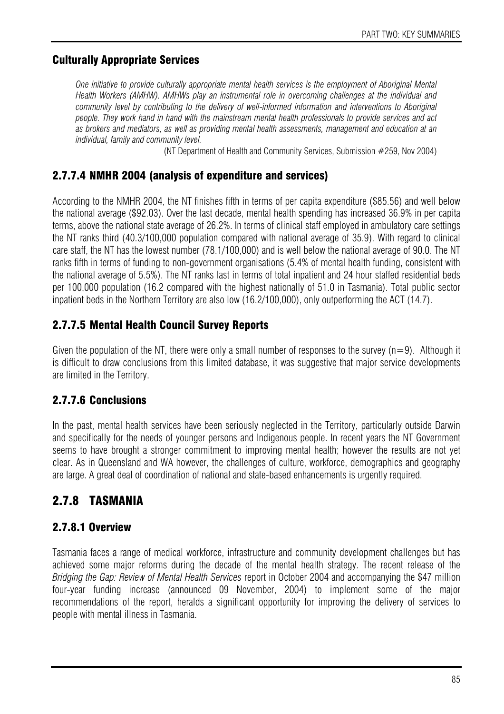## Culturally Appropriate Services

*One initiative to provide culturally appropriate mental health services is the employment of Aboriginal Mental Health Workers (AMHW). AMHWs play an instrumental role in overcoming challenges at the individual and community level by contributing to the delivery of well-informed information and interventions to Aboriginal people. They work hand in hand with the mainstream mental health professionals to provide services and act as brokers and mediators, as well as providing mental health assessments, management and education at an individual, family and community level.* 

(NT Department of Health and Community Services, Submission #259, Nov 2004)

## 2.7.7.4 NMHR 2004 (analysis of expenditure and services)

According to the NMHR 2004, the NT finishes fifth in terms of per capita expenditure (\$85.56) and well below the national average (\$92.03). Over the last decade, mental health spending has increased 36.9% in per capita terms, above the national state average of 26.2%. In terms of clinical staff employed in ambulatory care settings the NT ranks third (40.3/100,000 population compared with national average of 35.9). With regard to clinical care staff, the NT has the lowest number (78.1/100,000) and is well below the national average of 90.0. The NT ranks fifth in terms of funding to non-government organisations (5.4% of mental health funding, consistent with the national average of 5.5%). The NT ranks last in terms of total inpatient and 24 hour staffed residential beds per 100,000 population (16.2 compared with the highest nationally of 51.0 in Tasmania). Total public sector inpatient beds in the Northern Territory are also low (16.2/100,000), only outperforming the ACT (14.7).

## 2.7.7.5 Mental Health Council Survey Reports

Given the population of the NT, there were only a small number of responses to the survey  $(n=9)$ . Although it is difficult to draw conclusions from this limited database, it was suggestive that major service developments are limited in the Territory.

## 2.7.7.6 Conclusions

In the past, mental health services have been seriously neglected in the Territory, particularly outside Darwin and specifically for the needs of younger persons and Indigenous people. In recent years the NT Government seems to have brought a stronger commitment to improving mental health; however the results are not yet clear. As in Queensland and WA however, the challenges of culture, workforce, demographics and geography are large. A great deal of coordination of national and state-based enhancements is urgently required.

## 2.7.8 TASMANIA

## 2.7.8.1 Overview

Tasmania faces a range of medical workforce, infrastructure and community development challenges but has achieved some major reforms during the decade of the mental health strategy. The recent release of the *Bridging the Gap: Review of Mental Health Services* report in October 2004 and accompanying the \$47 million four-year funding increase (announced 09 November, 2004) to implement some of the major recommendations of the report, heralds a significant opportunity for improving the delivery of services to people with mental illness in Tasmania.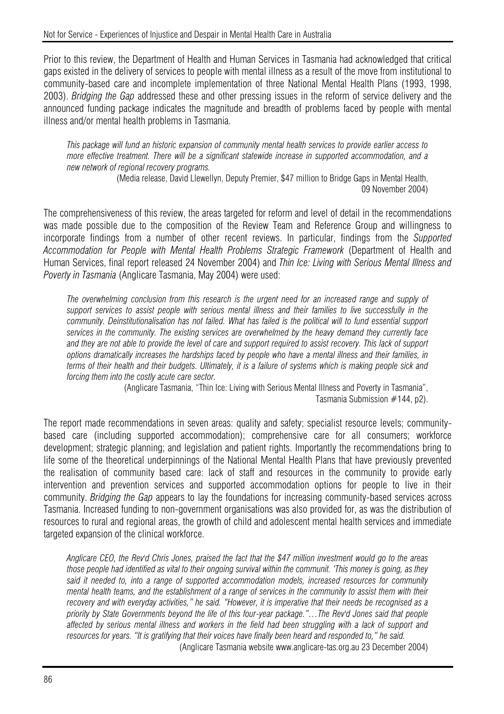Prior to this review, the Department of Health and Human Services in Tasmania had acknowledged that critical gaps existed in the delivery of services to people with mental illness as a result of the move from institutional to community-based care and incomplete implementation of three National Mental Health Plans (1993, 1998, 2003). *Bridging the Gap* addressed these and other pressing issues in the reform of service delivery and the announced funding package indicates the magnitude and breadth of problems faced by people with mental illness and/or mental health problems in Tasmania.

*This package will fund an historic expansion of community mental health services to provide earlier access to more effective treatment. There will be a significant statewide increase in supported accommodation, and a new network of regional recovery programs.* 

(Media release, David Llewellyn, Deputy Premier, \$47 million to Bridge Gaps in Mental Health, 09 November 2004)

The comprehensiveness of this review, the areas targeted for reform and level of detail in the recommendations was made possible due to the composition of the Review Team and Reference Group and willingness to incorporate findings from a number of other recent reviews. In particular, findings from the *Supported Accommodation for People with Mental Health Problems Strategic Framework* (Department of Health and Human Services, final report released 24 November 2004) and *Thin Ice: Living with Serious Mental Illness and Poverty in Tasmania* (Anglicare Tasmania, May 2004) were used:

*The overwhelming conclusion from this research is the urgent need for an increased range and supply of support services to assist people with serious mental illness and their families to live successfully in the*  community. Deinstitutionalisation has not failed. What has failed is the political will to fund essential support *services in the community. The existing services are overwhelmed by the heavy demand they currently face and they are not able to provide the level of care and support required to assist recovery. This lack of support options dramatically increases the hardships faced by people who have a mental illness and their families, in terms of their health and their budgets. Ultimately, it is a failure of systems which is making people sick and forcing them into the costly acute care sector.* 

(Anglicare Tasmania, "Thin Ice: Living with Serious Mental Illness and Poverty in Tasmania", Tasmania Submission #144, p2).

The report made recommendations in seven areas: quality and safety; specialist resource levels; communitybased care (including supported accommodation); comprehensive care for all consumers; workforce development; strategic planning; and legislation and patient rights. Importantly the recommendations bring to life some of the theoretical underpinnings of the National Mental Health Plans that have previously prevented the realisation of community based care: lack of staff and resources in the community to provide early intervention and prevention services and supported accommodation options for people to live in their community. *Bridging the Gap* appears to lay the foundations for increasing community-based services across Tasmania. Increased funding to non-government organisations was also provided for, as was the distribution of resources to rural and regional areas, the growth of child and adolescent mental health services and immediate targeted expansion of the clinical workforce.

*Anglicare CEO, the Rev'd Chris Jones, praised the fact that the \$47 million investment would go to the areas those people had identified as vital to their ongoing survival within the communit. 'This money is going, as they said it needed to, into a range of supported accommodation models, increased resources for community mental health teams, and the establishment of a range of services in the community to assist them with their recovery and with everyday activities," he said. "However, it is imperative that their needs be recognised as a priority by State Governments beyond the life of this four-year package."…The Rev'd Jones said that people affected by serious mental illness and workers in the field had been struggling with a lack of support and resources for years. "It is gratifying that their voices have finally been heard and responded to," he said.*  (Anglicare Tasmania website www.anglicare-tas.org.au 23 December 2004)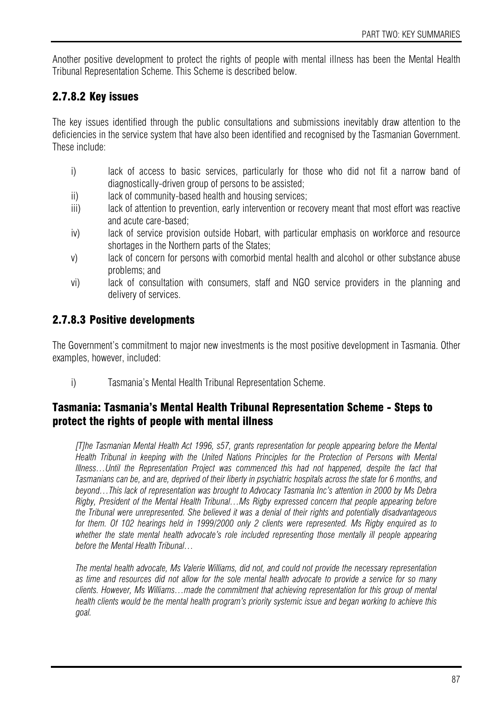Another positive development to protect the rights of people with mental illness has been the Mental Health Tribunal Representation Scheme. This Scheme is described below.

## 2.7.8.2 Key issues

The key issues identified through the public consultations and submissions inevitably draw attention to the deficiencies in the service system that have also been identified and recognised by the Tasmanian Government. These include:

- i) lack of access to basic services, particularly for those who did not fit a narrow band of diagnostically-driven group of persons to be assisted;
- ii) lack of community-based health and housing services;
- iii) lack of attention to prevention, early intervention or recovery meant that most effort was reactive and acute care-based;
- iv) lack of service provision outside Hobart, with particular emphasis on workforce and resource shortages in the Northern parts of the States;
- v) lack of concern for persons with comorbid mental health and alcohol or other substance abuse problems; and
- vi) lack of consultation with consumers, staff and NGO service providers in the planning and delivery of services.

## 2.7.8.3 Positive developments

The Government's commitment to major new investments is the most positive development in Tasmania. Other examples, however, included:

i) Tasmania's Mental Health Tribunal Representation Scheme.

#### Tasmania: Tasmania's Mental Health Tribunal Representation Scheme - Steps to protect the rights of people with mental illness

*[T]he Tasmanian Mental Health Act 1996, s57, grants representation for people appearing before the Mental Health Tribunal in keeping with the United Nations Principles for the Protection of Persons with Mental Illness…Until the Representation Project was commenced this had not happened, despite the fact that Tasmanians can be, and are, deprived of their liberty in psychiatric hospitals across the state for 6 months, and beyond…This lack of representation was brought to Advocacy Tasmania Inc's attention in 2000 by Ms Debra Rigby, President of the Mental Health Tribunal…Ms Rigby expressed concern that people appearing before the Tribunal were unrepresented. She believed it was a denial of their rights and potentially disadvantageous for them. Of 102 hearings held in 1999/2000 only 2 clients were represented. Ms Rigby enquired as to*  whether the state mental health advocate's role included representing those mentally ill people appearing *before the Mental Health Tribunal…* 

*The mental health advocate, Ms Valerie Williams, did not, and could not provide the necessary representation as time and resources did not allow for the sole mental health advocate to provide a service for so many clients. However, Ms Williams…made the commitment that achieving representation for this group of mental health clients would be the mental health program's priority systemic issue and began working to achieve this goal.*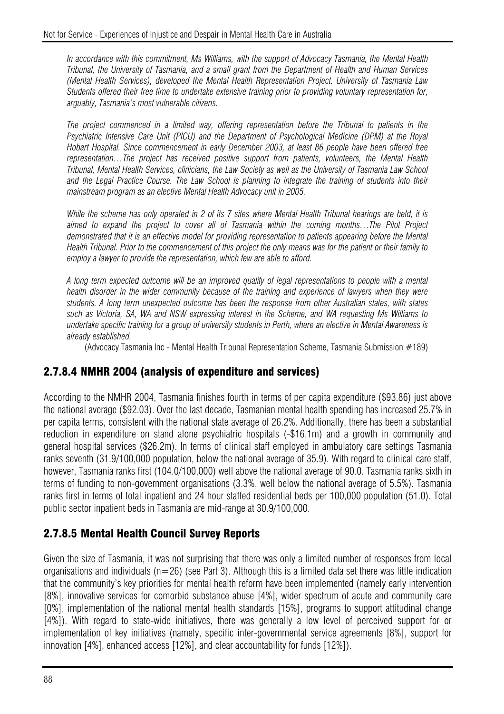*In accordance with this commitment, Ms Williams, with the support of Advocacy Tasmania, the Mental Health Tribunal, the University of Tasmania, and a small grant from the Department of Health and Human Services (Mental Health Services), developed the Mental Health Representation Project. University of Tasmania Law Students offered their free time to undertake extensive training prior to providing voluntary representation for, arguably, Tasmania's most vulnerable citizens.* 

*The project commenced in a limited way, offering representation before the Tribunal to patients in the Psychiatric Intensive Care Unit (PICU) and the Department of Psychological Medicine (DPM) at the Royal Hobart Hospital. Since commencement in early December 2003, at least 86 people have been offered free representation…The project has received positive support from patients, volunteers, the Mental Health Tribunal, Mental Health Services, clinicians, the Law Society as well as the University of Tasmania Law School and the Legal Practice Course. The Law School is planning to integrate the training of students into their mainstream program as an elective Mental Health Advocacy unit in 2005.* 

*While the scheme has only operated in 2 of its 7 sites where Mental Health Tribunal hearings are held, it is aimed to expand the project to cover all of Tasmania within the coming months…The Pilot Project demonstrated that it is an effective model for providing representation to patients appearing before the Mental Health Tribunal. Prior to the commencement of this project the only means was for the patient or their family to employ a lawyer to provide the representation, which few are able to afford.* 

*A long term expected outcome will be an improved quality of legal representations to people with a mental health disorder in the wider community because of the training and experience of lawyers when they were students. A long term unexpected outcome has been the response from other Australian states, with states such as Victoria, SA, WA and NSW expressing interest in the Scheme, and WA requesting Ms Williams to undertake specific training for a group of university students in Perth, where an elective in Mental Awareness is already established.* 

(Advocacy Tasmania Inc - Mental Health Tribunal Representation Scheme, Tasmania Submission #189)

#### 2.7.8.4 NMHR 2004 (analysis of expenditure and services)

According to the NMHR 2004, Tasmania finishes fourth in terms of per capita expenditure (\$93.86) just above the national average (\$92.03). Over the last decade, Tasmanian mental health spending has increased 25.7% in per capita terms, consistent with the national state average of 26.2%. Additionally, there has been a substantial reduction in expenditure on stand alone psychiatric hospitals (-\$16.1m) and a growth in community and general hospital services (\$26.2m). In terms of clinical staff employed in ambulatory care settings Tasmania ranks seventh (31.9/100,000 population, below the national average of 35.9). With regard to clinical care staff, however, Tasmania ranks first (104.0/100,000) well above the national average of 90.0. Tasmania ranks sixth in terms of funding to non-government organisations (3.3%, well below the national average of 5.5%). Tasmania ranks first in terms of total inpatient and 24 hour staffed residential beds per 100,000 population (51.0). Total public sector inpatient beds in Tasmania are mid-range at 30.9/100,000.

#### 2.7.8.5 Mental Health Council Survey Reports

Given the size of Tasmania, it was not surprising that there was only a limited number of responses from local organisations and individuals ( $n=26$ ) (see Part 3). Although this is a limited data set there was little indication that the community's key priorities for mental health reform have been implemented (namely early intervention [8%], innovative services for comorbid substance abuse [4%], wider spectrum of acute and community care [0%], implementation of the national mental health standards [15%], programs to support attitudinal change [4%]). With regard to state-wide initiatives, there was generally a low level of perceived support for or implementation of key initiatives (namely, specific inter-governmental service agreements [8%], support for innovation [4%], enhanced access [12%], and clear accountability for funds [12%]).